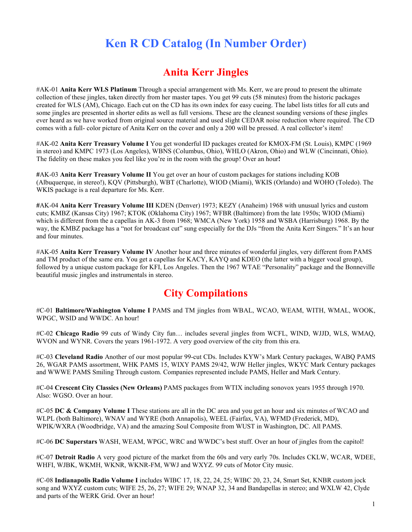# **Ken R CD Catalog (In Number Order)**

#### **Anita Kerr Jingles**

#AK-01 **Anita Kerr WLS Platinum** Through a special arrangement with Ms. Kerr, we are proud to present the ultimate collection of these jingles, taken directly from her master tapes. You get 99 cuts (58 minutes) from the historic packages created for WLS (AM), Chicago. Each cut on the CD has its own index for easy cueing. The label lists titles for all cuts and some jingles are presented in shorter edits as well as full versions. These are the cleanest sounding versions of these jingles ever heard as we have worked from original source material and used slight CEDAR noise reduction where required. The CD comes with a full- color picture of Anita Kerr on the cover and only a 200 will be pressed. A real collector's item!

#AK-02 **Anita Kerr Treasury Volume I** You get wonderful ID packages created for KMOX-FM (St. Louis), KMPC (1969 in stereo) and KMPC 1973 (Los Angeles), WBNS (Columbus, Ohio), WHLO (Akron, Ohio) and WLW (Cincinnati, Ohio). The fidelity on these makes you feel like you're in the room with the group! Over an hour**!** 

**#**AK-03 **Anita Kerr Treasury Volume II** You get over an hour of custom packages for stations including KOB (Albuquerque, in stereo!), KQV (Pittsburgh), WBT (Charlotte), WIOD (Miami), WKIS (Orlando) and WOHO (Toledo). The WKIS package is a real departure for Ms. Kerr.

**#**AK-04 **Anita Kerr Treasury Volume III** KDEN (Denver) 1973; KEZY (Anaheim) 1968 with unusual lyrics and custom cuts; KMBZ (Kansas City) 1967; KTOK (Oklahoma City) 1967; WFBR (Baltimore) from the late 1950s; WIOD (Miami) which is different from the a capellas in AK-3 from 1968; WMCA (New York) 1958 and WSBA (Harrisburg) 1968. By the way, the KMBZ package has a "not for broadcast cut" sung especially for the DJs "from the Anita Kerr Singers." It's an hour and four minutes.

#AK-05 **Anita Kerr Treasury Volume IV** Another hour and three minutes of wonderful jingles, very different from PAMS and TM product of the same era. You get a capellas for KACY, KAYQ and KDEO (the latter with a bigger vocal group), followed by a unique custom package for KFI, Los Angeles. Then the 1967 WTAE "Personality" package and the Bonneville beautiful music jingles and instrumentals in stereo.

# **City Compilations**

#C-01 **Baltimore/Washington Volume I** PAMS and TM jingles from WBAL, WCAO, WEAM, WITH, WMAL, WOOK, WPGC, WSID and WWDC. An hour!

#C-02 **Chicago Radio** 99 cuts of Windy City fun… includes several jingles from WCFL, WIND, WJJD, WLS, WMAQ, WVON and WYNR. Covers the years 1961-1972. A very good overview of the city from this era.

#C-03 **Cleveland Radio** Another of our most popular 99-cut CDs. Includes KYW's Mark Century packages, WABQ PAMS 26, WGAR PAMS assortment, WHK PAMS 15, WIXY PAMS 29/42, WJW Heller jingles, WKYC Mark Century packages and WWWE PAMS Smiling Through custom. Companies represented include PAMS, Heller and Mark Century.

#C-04 **Crescent City Classics (New Orleans)** PAMS packages from WTIX including sonovox years 1955 through 1970. Also: WGSO. Over an hour.

#C-05 **DC & Company Volume I** These stations are all in the DC area and you get an hour and six minutes of WCAO and WLPL (both Baltimore), WNAV and WYRE (both Annapolis), WEEL (Fairfax, VA), WFMD (Frederick, MD), WPIK/WXRA (Woodbridge, VA) and the amazing Soul Composite from WUST in Washington, DC. All PAMS.

#C-06 **DC Superstars** WASH, WEAM, WPGC, WRC and WWDC's best stuff. Over an hour of jingles from the capitol!

#C-07 **Detroit Radio** A very good picture of the market from the 60s and very early 70s. Includes CKLW, WCAR, WDEE, WHFI, WJBK, WKMH, WKNR, WKNR-FM, WWJ and WXYZ. 99 cuts of Motor City music.

#C-08 **Indianapolis Radio Volume I** includes WIBC 17, 18, 22, 24, 25; WIBC 20, 23, 24, Smart Set, KNBR custom jock song and WXYZ custom cuts; WIFE 25, 26, 27; WIFE 29; WNAP 32, 34 and Bandapellas in stereo; and WXLW 42, Clyde and parts of the WERK Grid. Over an hour!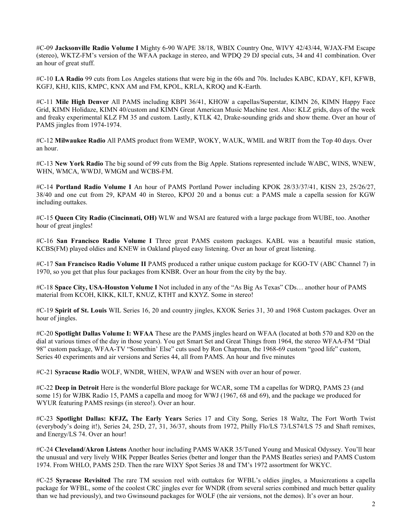#C-09 **Jacksonville Radio Volume I** Mighty 6-90 WAPE 38/18, WBIX Country One, WIVY 42/43/44, WJAX-FM Escape (stereo), WKTZ-FM's version of the WFAA package in stereo, and WPDQ 29 DJ special cuts, 34 and 41 combination. Over an hour of great stuff.

#C-10 **LA Radio** 99 cuts from Los Angeles stations that were big in the 60s and 70s. Includes KABC, KDAY, KFI, KFWB, KGFJ, KHJ, KIIS, KMPC, KNX AM and FM, KPOL, KRLA, KROQ and K-Earth.

#C-11 **Mile High Denver** All PAMS including KBPI 36/41, KHOW a capellas/Superstar, KIMN 26, KIMN Happy Face Grid, KIMN Holidaze, KIMN 40/custom and KIMN Great American Music Machine test. Also: KLZ grids, days of the week and freaky experimental KLZ FM 35 and custom. Lastly, KTLK 42, Drake-sounding grids and show theme. Over an hour of PAMS jingles from 1974-1974.

#C-12 **Milwaukee Radio** All PAMS product from WEMP, WOKY, WAUK, WMIL and WRIT from the Top 40 days. Over an hour.

#C-13 **New York Radio** The big sound of 99 cuts from the Big Apple. Stations represented include WABC, WINS, WNEW, WHN, WMCA, WWDJ, WMGM and WCBS-FM.

#C-14 **Portland Radio Volume I** An hour of PAMS Portland Power including KPOK 28/33/37/41, KISN 23, 25/26/27, 38/40 and one cut from 29, KPAM 40 in Stereo, KPOJ 20 and a bonus cut: a PAMS male a capella session for KGW including outtakes.

#C-15 **Queen City Radio (Cincinnati, OH)** WLW and WSAI are featured with a large package from WUBE, too. Another hour of great jingles!

#C-16 **San Francisco Radio Volume I** Three great PAMS custom packages. KABL was a beautiful music station, KCBS(FM) played oldies and KNEW in Oakland played easy listening. Over an hour of great listening.

#C-17 **San Francisco Radio Volume II** PAMS produced a rather unique custom package for KGO-TV (ABC Channel 7) in 1970, so you get that plus four packages from KNBR. Over an hour from the city by the bay.

#C-18 **Space City, USA-Houston Volume I** Not included in any of the "As Big As Texas" CDs… another hour of PAMS material from KCOH, KIKK, KILT, KNUZ, KTHT and KXYZ. Some in stereo!

#C-19 **Spirit of St. Louis** WIL Series 16, 20 and country jingles, KXOK Series 31, 30 and 1968 Custom packages. Over an hour of jingles.

#C-20 **Spotlight Dallas Volume I: WFAA** These are the PAMS jingles heard on WFAA (located at both 570 and 820 on the dial at various times of the day in those years). You get Smart Set and Great Things from 1964, the stereo WFAA-FM "Dial 98" custom package, WFAA-TV "Somethin' Else" cuts used by Ron Chapman, the 1968-69 custom "good life" custom, Series 40 experiments and air versions and Series 44, all from PAMS. An hour and five minutes

#C-21 **Syracuse Radio** WOLF, WNDR, WHEN, WPAW and WSEN with over an hour of power.

#C-22 **Deep in Detroit** Here is the wonderful Blore package for WCAR, some TM a capellas for WDRQ, PAMS 23 (and some 15) for WJBK Radio 15, PAMS a capella and moog for WWJ (1967, 68 and 69), and the package we produced for WYUR featuring PAMS resings (in stereo!). Over an hour.

#C-23 **Spotlight Dallas: KFJZ, The Early Years** Series 17 and City Song, Series 18 Waltz, The Fort Worth Twist (everybody's doing it!), Series 24, 25D, 27, 31, 36/37, shouts from 1972, Philly Flo/LS 73/LS74/LS 75 and Shaft remixes, and Energy/LS 74. Over an hour!

#C-24 **Cleveland/Akron Listens** Another hour including PAMS WAKR 35/Tuned Young and Musical Odyssey. You'll hear the unusual and very lively WHK Pepper Beatles Series (better and longer than the PAMS Beatles series) and PAMS Custom 1974. From WHLO, PAMS 25D. Then the rare WIXY Spot Series 38 and TM's 1972 assortment for WKYC.

#C-25 **Syracuse Revisited** The rare TM session reel with outtakes for WFBL's oldies jingles, a Musicreations a capella package for WFBL, some of the coolest CRC jingles ever for WNDR (from several series combined and much better quality than we had previously), and two Gwinsound packages for WOLF (the air versions, not the demos). It's over an hour.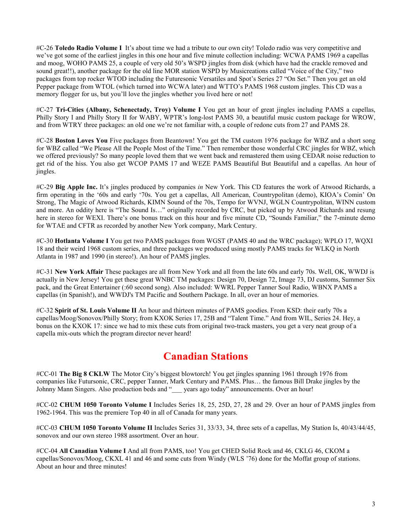#C-26 **Toledo Radio Volume I** It's about time we had a tribute to our own city! Toledo radio was very competitive and we've got some of the earliest jingles in this one hour and five minute collection including: WCWA PAMS 1969 a capellas and moog, WOHO PAMS 25, a couple of very old 50's WSPD jingles from disk (which have had the crackle removed and sound great!!), another package for the old line MOR station WSPD by Musicreations called "Voice of the City," two packages from top rocker WTOD including the Futuresonic Versatiles and Spot's Series 27 "On Set." Then you get an old Pepper package from WTOL (which turned into WCWA later) and WTTO's PAMS 1968 custom jingles. This CD was a memory flogger for us, but you'll love the jingles whether you lived here or not!

#C-27 **Tri-Cities (Albany, Schenectady, Troy) Volume I** You get an hour of great jingles including PAMS a capellas, Philly Story I and Philly Story II for WABY, WPTR's long-lost PAMS 30, a beautiful music custom package for WROW, and from WTRY three packages: an old one we're not familiar with, a couple of redone cuts from 27 and PAMS 28.

#C-28 **Boston Loves You** Five packages from Beantown! You get the TM custom 1976 package for WBZ and a short song for WBZ called "We Please All the People Most of the Time." Then remember those wonderful CRC jingles for WBZ, which we offered previously? So many people loved them that we went back and remastered them using CEDAR noise reduction to get rid of the hiss. You also get WCOP PAMS 17 and WEZE PAMS Beautiful But Beautiful and a capellas. An hour of jingles.

#C-29 **Big Apple Inc.** It's jingles produced by companies *in* New York. This CD features the work of Atwood Richards, a firm operating in the '60s and early '70s. You get a capellas, All American, Countrypolitan (demo), KIOA's Comin' On Strong, The Magic of Atwood Richards, KIMN Sound of the 70s, Tempo for WVNJ, WGLN Countrypolitan, WINN custom and more. An oddity here is "The Sound Is…" originally recorded by CRC, but picked up by Atwood Richards and resung here in stereo for WEXI. There's one bonus track on this hour and five minute CD, "Sounds Familiar," the 7-minute demo for WTAE and CFTR as recorded by another New York company, Mark Century.

#C-30 **Hotlanta Volume I** You get two PAMS packages from WGST (PAMS 40 and the WRC package); WPLO 17, WQXI 18 and their weird 1968 custom series, and three packages we produced using mostly PAMS tracks for WLKQ in North Atlanta in 1987 and 1990 (in stereo!). An hour of PAMS jingles.

#C-31 **New York Affair** These packages are all from New York and all from the late 60s and early 70s. Well, OK, WWDJ is actually in New Jersey! You get these great WNBC TM packages: Design 70, Design 72, Image 73, DJ customs, Summer Six pack, and the Great Entertainer (:60 second song). Also included: WWRL Pepper Tanner Soul Radio, WBNX PAMS a capellas (in Spanish!), and WWDJ's TM Pacific and Southern Package. In all, over an hour of memories.

#C-32 **Spirit of St. Louis Volume II** An hour and thirteen minutes of PAMS goodies. From KSD: their early 70s a capellas/Moog/Sonovox/Philly Story; from KXOK Series 17, 25B and "Talent Time." And from WIL, Series 24. Hey, a bonus on the KXOK 17: since we had to mix these cuts from original two-track masters, you get a very neat group of a capella mix-outs which the program director never heard!

# **Canadian Stations**

#CC-01 **The Big 8 CKLW** The Motor City's biggest blowtorch! You get jingles spanning 1961 through 1976 from companies like Futursonic, CRC, pepper Tanner, Mark Century and PAMS. Plus… the famous Bill Drake jingles by the Johnny Mann Singers. Also production beds and "\_\_\_ years ago today" announcements. Over an hour!

#CC-02 **CHUM 1050 Toronto Volume I** Includes Series 18, 25, 25D, 27, 28 and 29. Over an hour of PAMS jingles from 1962-1964. This was the premiere Top 40 in all of Canada for many years.

#CC-03 **CHUM 1050 Toronto Volume II** Includes Series 31, 33/33, 34, three sets of a capellas, My Station Is, 40/43/44/45, sonovox and our own stereo 1988 assortment. Over an hour.

#CC-04 **All Canadian Volume I** And all from PAMS, too! You get CHED Solid Rock and 46, CKLG 46, CKOM a capellas/Sonovox/Moog, CKXL 41 and 46 and some cuts from Windy (WLS '76) done for the Moffat group of stations. About an hour and three minutes!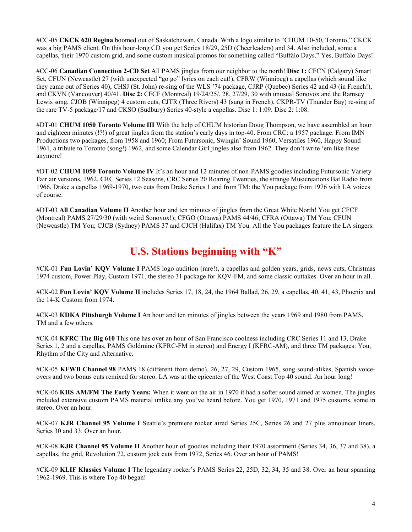#CC-05 **CKCK 620 Regina** boomed out of Saskatchewan, Canada. With a logo similar to "CHUM 10-50, Toronto," CKCK was a big PAMS client. On this hour-long CD you get Series 18/29, 25D (Cheerleaders) and 34. Also included, some a capellas, their 1970 custom grid, and some custom musical promos for something called "Buffalo Days." Yes, Buffalo Days!

#CC-06 **Canadian Connection 2-CD Set** All PAMS jingles from our neighbor to the north! **Disc 1:** CFCN (Calgary) Smart Set, CFUN (Newcastle) 27 (with unexpected "go go" lyrics on each cut!), CFRW (Winnipeg) a capellas (which sound like they came out of Series 40), CHSJ (St. John) re-sing of the WLS '74 package, CJRP (Quebec) Series 42 and 43 (in French!), and CKVN (Vancouver) 40/41. **Disc 2:** CFCF (Montreal) 19/24/25/, 28, 27/29, 30 with unusual Sonovox and the Ramsey Lewis song, CJOB (Winnipeg) 4 custom cuts, CJTR (Three Rivers) 43 (sung in French), CKPR-TV (Thunder Bay) re-sing of the rare TV-5 package/17 and CKSO (Sudbury) Series 40-style a capellas. Disc 1: 1:09. Disc 2: 1:08.

#DT-01 **CHUM 1050 Toronto Volume III** With the help of CHUM historian Doug Thompson, we have assembled an hour and eighteen minutes (!?!) of great jingles from the station's early days in top-40. From CRC: a 1957 package. From IMN Productions two packages, from 1958 and 1960; From Futursonic, Swingin' Sound 1960, Versatiles 1960, Happy Sound 1961, a tribute to Toronto (song!) 1962, and some Calendar Girl jingles also from 1962. They don't write 'em like these anymore!

#DT-02 **CHUM 1050 Toronto Volume IV** It's an hour and 12 minutes of non-PAMS goodies including Futursonic Variety Fair air versions, 1962, CRC Series 12 Seasons, CRC Series 20 Roaring Twenties, the strange Musicreations Bat Radio from 1966, Drake a capellas 1969-1970, two cuts from Drake Series 1 and from TM: the You package from 1976 with LA voices of course.

#DT-03 **All Canadian Volume II** Another hour and ten minutes of jingles from the Great White North! You get CFCF (Montreal) PAMS 27/29/30 (with weird Sonovox!); CFGO (Ottawa) PAMS 44/46; CFRA (Ottawa) TM You; CFUN (Newcastle) TM You; CJCB (Sydney) PAMS 37 and CJCH (Halifax) TM You. All the You packages feature the LA singers.

# **U.S. Stations beginning with "K"**

#CK-01 **Fun Lovin' KQV Volume I** PAMS logo audition (rare!), a capellas and golden years, grids, news cuts, Christmas 1974 custom, Power Play, Custom 1971, the stereo 31 package for KQV-FM, and some classic outtakes. Over an hour in all.

#CK-02 **Fun Lovin' KQV Volume II** includes Series 17, 18, 24, the 1964 Ballad, 26, 29, a capellas, 40, 41, 43, Phoenix and the 14-K Custom from 1974.

#CK-03 **KDKA Pittsburgh Volume I** An hour and ten minutes of jingles between the years 1969 and 1980 from PAMS, TM and a few others*.* 

#CK-04 **KFRC The Big 610** This one has over an hour of San Francisco coolness including CRC Series 11 and 13, Drake Series 1, 2 and a capellas, PAMS Goldmine (KFRC-FM in stereo) and Energy I (KFRC-AM), and three TM packages: You, Rhythm of the City and Alternative.

#CK-05 **KFWB Channel 98** PAMS 18 (different from demo), 26, 27, 29, Custom 1965, song sound-alikes, Spanish voiceovers and two bonus cuts remixed for stereo. LA was at the epicenter of the West Coast Top 40 sound. An hour long!

#CK-06 **KIIS AM/FM The Early Years:** When it went on the air in 1970 it had a softer sound aimed at women. The jingles included extensive custom PAMS material unlike any you've heard before. You get 1970, 1971 and 1975 customs, some in stereo. Over an hour.

#CK-07 **KJR Channel 95 Volume I** Seattle's premiere rocker aired Series 25C, Series 26 and 27 plus announcer liners, Series 30 and 33. Over an hour.

#CK-08 **KJR Channel 95 Volume II** Another hour of goodies including their 1970 assortment (Series 34, 36, 37 and 38), a capellas, the grid, Revolution 72, custom jock cuts from 1972, Series 46. Over an hour of PAMS!

#CK-09 **KLIF Klassics Volume I** The legendary rocker's PAMS Series 22, 25D, 32, 34, 35 and 38. Over an hour spanning 1962-1969. This is where Top 40 began!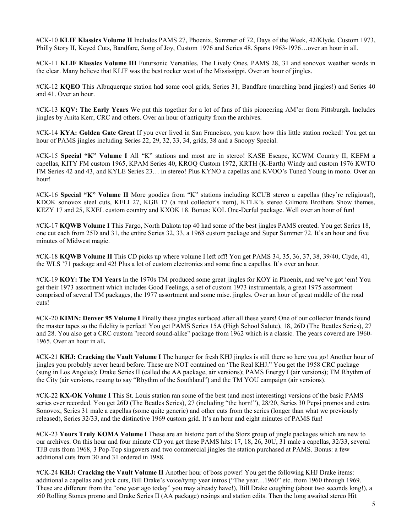#CK-10 **KLIF Klassics Volume II** Includes PAMS 27, Phoenix, Summer of 72, Days of the Week, 42/Klyde, Custom 1973, Philly Story II, Keyed Cuts, Bandfare, Song of Joy, Custom 1976 and Series 48. Spans 1963-1976…over an hour in all.

#CK-11 **KLIF Klassics Volume III** Futursonic Versatiles, The Lively Ones, PAMS 28, 31 and sonovox weather words in the clear. Many believe that KLIF was the best rocker west of the Mississippi. Over an hour of jingles.

#CK-12 **KQEO** This Albuquerque station had some cool grids, Series 31, Bandfare (marching band jingles!) and Series 40 and 41. Over an hour.

#CK-13 **KQV: The Early Years** We put this together for a lot of fans of this pioneering AM'er from Pittsburgh. Includes jingles by Anita Kerr, CRC and others. Over an hour of antiquity from the archives.

#CK-14 **KYA: Golden Gate Great** If you ever lived in San Francisco, you know how this little station rocked! You get an hour of PAMS jingles including Series 22, 29, 32, 33, 34, grids, 38 and a Snoopy Special.

#CK-15 **Special "K" Volume I** All "K" stations and most are in stereo! KASE Escape, KCWM Country II, KEFM a capellas, KITY FM custom 1965, KPAM Series 40, KROQ Custom 1972, KRTH (K-Earth) Windy and custom 1976 KWTO FM Series 42 and 43, and KYLE Series 23… in stereo! Plus KYNO a capellas and KVOO's Tuned Young in mono. Over an hour!

#CK-16 **Special "K" Volume II** More goodies from "K" stations including KCUB stereo a capellas (they're religious!), KDOK sonovox steel cuts, KELI 27, KGB 17 (a real collector's item), KTLK's stereo Gilmore Brothers Show themes, KEZY 17 and 25, KXEL custom country and KXOK 18. Bonus: KOL One-Derful package. Well over an hour of fun!

#CK-17 **KQWB Volume I** This Fargo, North Dakota top 40 had some of the best jingles PAMS created. You get Series 18, one cut each from 25D and 31, the entire Series 32, 33, a 1968 custom package and Super Summer 72. It's an hour and five minutes of Midwest magic.

#CK-18 **KQWB Volume II** This CD picks up where volume I left off! You get PAMS 34, 35, 36, 37, 38, 39/40, Clyde, 41, the WLS '71 package and 42! Plus a lot of custom electronics and some fine a capellas. It's over an hour.

#CK-19 **KOY: The TM Years** In the 1970s TM produced some great jingles for KOY in Phoenix, and we've got 'em! You get their 1973 assortment which includes Good Feelings, a set of custom 1973 instrumentals, a great 1975 assortment comprised of several TM packages, the 1977 assortment and some misc. jingles. Over an hour of great middle of the road cuts!

#CK-20 **KIMN: Denver 95 Volume I** Finally these jingles surfaced after all these years! One of our collector friends found the master tapes so the fidelity is perfect! You get PAMS Series 15A (High School Salute), 18, 26D (The Beatles Series), 27 and 28. You also get a CRC custom "record sound-alike" package from 1962 which is a classic. The years covered are 1960- 1965. Over an hour in all**.** 

**#**CK-21 **KHJ: Cracking the Vault Volume I** The hunger for fresh KHJ jingles is still there so here you go! Another hour of jingles you probably never heard before. These are NOT contained on 'The Real KHJ." You get the 1958 CRC package (sung in Los Angeles); Drake Series II (called the AA package, air versions); PAMS Energy I (air versions); TM Rhythm of the City (air versions, resung to say "Rhythm of the Southland") and the TM YOU campaign (air versions).

#CK-22 **KX-OK Volume I** This St. Louis station ran some of the best (and most interesting) versions of the basic PAMS series ever recorded. You get 26D (The Beatles Series), 27 (including "the horn!"), 28/20, Series 30 Pepsi promos and extra Sonovox, Series 31 male a capellas (some quite generic) and other cuts from the series (longer than what we previously released), Series 32/33, and the distinctive 1969 custom grid. It's an hour and eight minutes of PAMS fun!

#CK-23 **Yours Truly KOMA Volume I** These are an historic part of the Storz group of jingle packages which are new to our archives. On this hour and four minute CD you get these PAMS hits: 17, 18, 26, 30U, 31 male a capellas, 32/33, several TJB cuts from 1968, 3 Pop-Top singovers and two commercial jingles the station purchased at PAMS. Bonus: a few additional cuts from 30 and 31 ordered in 1988.

#CK-24 **KHJ: Cracking the Vault Volume II** Another hour of boss power! You get the following KHJ Drake items: additional a capellas and jock cuts, Bill Drake's voice/tymp year intros ("The year…1960" etc. from 1960 through 1969. These are different from the "one year ago today" you may already have!), Bill Drake coughing (about two seconds long!), a :60 Rolling Stones promo and Drake Series II (AA package) resings and station edits. Then the long awaited stereo Hit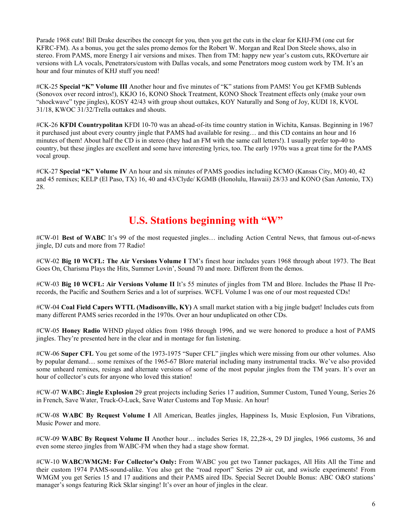Parade 1968 cuts! Bill Drake describes the concept for you, then you get the cuts in the clear for KHJ-FM (one cut for KFRC-FM). As a bonus, you get the sales promo demos for the Robert W. Morgan and Real Don Steele shows, also in stereo. From PAMS, more Energy I air versions and mixes. Then from TM: happy new year's custom cuts, RKOverture air versions with LA vocals, Penetrators/custom with Dallas vocals, and some Penetrators moog custom work by TM. It's an hour and four minutes of KHJ stuff you need!

#CK-25 **Special "K" Volume III** Another hour and five minutes of "K" stations from PAMS! You get KFMB Sublends (Sonovox over record intros!), KKJO 16, KONO Shock Treatment, KONO Shock Treatment effects only (make your own "shockwave" type jingles), KOSY 42/43 with group shout outtakes, KOY Naturally and Song of Joy, KUDI 18, KVOL 31/18, KWOC 31/32/Trella outtakes and shouts.

#CK-26 **KFDI Countrypolitan** KFDI 10-70 was an ahead-of-its time country station in Wichita, Kansas. Beginning in 1967 it purchased just about every country jingle that PAMS had available for resing… and this CD contains an hour and 16 minutes of them! About half the CD is in stereo (they had an FM with the same call letters!). I usually prefer top-40 to country, but these jingles are excellent and some have interesting lyrics, too. The early 1970s was a great time for the PAMS vocal group.

#CK-27 **Special "K" Volume IV** An hour and six minutes of PAMS goodies including KCMO (Kansas City, MO) 40, 42 and 45 remixes; KELP (El Paso, TX) 16, 40 and 43/Clyde/ KGMB (Honolulu, Hawaii) 28/33 and KONO (San Antonio, TX) 28.

#### **U.S. Stations beginning with "W"**

#CW-01 **Best of WABC** It's 99 of the most requested jingles… including Action Central News, that famous out-of-news jingle, DJ cuts and more from 77 Radio!

#CW-02 **Big 10 WCFL: The Air Versions Volume I** TM's finest hour includes years 1968 through about 1973. The Beat Goes On, Charisma Plays the Hits, Summer Lovin', Sound 70 and more. Different from the demos.

#CW-03 **Big 10 WCFL: Air Versions Volume II** It's 55 minutes of jingles from TM and Blore. Includes the Phase II Prerecords, the Pacific and Southern Series and a lot of surprises. WCFL Volume I was one of our most requested CDs!

#CW-04 **Coal Field Capers WTTL (Madisonville, KY)** A small market station with a big jingle budget! Includes cuts from many different PAMS series recorded in the 1970s. Over an hour unduplicated on other CDs.

#CW-05 **Honey Radio** WHND played oldies from 1986 through 1996, and we were honored to produce a host of PAMS jingles. They're presented here in the clear and in montage for fun listening.

#CW-06 **Super CFL** You get some of the 1973-1975 "Super CFL" jingles which were missing from our other volumes. Also by popular demand… some remixes of the 1965-67 Blore material including many instrumental tracks. We've also provided some unheard remixes, resings and alternate versions of some of the most popular jingles from the TM years. It's over an hour of collector's cuts for anyone who loved this station!

#CW-07 **WABC: Jingle Explosion** 29 great projects including Series 17 audition, Summer Custom, Tuned Young, Series 26 in French, Save Water, Truck-O-Luck, Save Water Customs and Top Music. An hour!

#CW-08 **WABC By Request Volume I** All American, Beatles jingles, Happiness Is, Music Explosion, Fun Vibrations, Music Power and more.

#CW-09 **WABC By Request Volume II** Another hour… includes Series 18, 22,28-x, 29 DJ jingles, 1966 customs, 36 and even some stereo jingles from WABC-FM when they had a stage show format.

#CW-10 **WABC/WMGM: For Collector's Only:** From WABC you get two Tanner packages, All Hits All the Time and their custom 1974 PAMS-sound-alike. You also get the "road report" Series 29 air cut, and swiszle experiments! From WMGM you get Series 15 and 17 auditions and their PAMS aired IDs. Special Secret Double Bonus: ABC O&O stations' manager's songs featuring Rick Sklar singing! It's over an hour of jingles in the clear.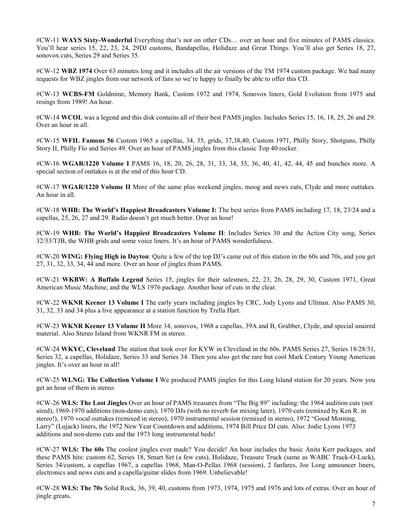#CW-11 **WAYS Sixty-Wonderful** Everything that's not on other CDs… over an hour and five minutes of PAMS classics. You'll hear series 15, 22, 23, 24, 29DJ customs, Bandapellas, Holidaze and Great Things. You'll also get Series 18, 27, sonovox cuts, Series 29 and Series 35.

#CW-12 **WBZ 1974** Over 63 minutes long and it includes all the air versions of the TM 1974 custom package. We had many requests for WBZ jingles from our network of fans so we're happy to finally be able to offer this CD.

#CW-13 **WCBS-FM** Goldmine, Memory Bank, Custom 1972 and 1974, Sonovox liners, Gold Evolution from 1975 and resings from 1989! An hour.

#CW-14 **WCOL** was a legend and this disk contains all of their best PAMS jingles. Includes Series 15, 16, 18, 25, 26 and 29. Over an hour in all.

#CW-15 **WFIL Famous 56** Custom 1965 a capellas, 34, 35, grids, 37,38,40, Custom 1971, Philly Story, Shotguns, Philly Story II, Philly Flo and Series 49. Over an hour of PAMS jingles from this classic Top 40 rocker.

#CW-16 **WGAR/1220 Volume I** PAMS 16, 18, 20, 26, 28, 31, 33, 34, 35, 36, 40, 41, 42, 44, 45 and bunches more. A special section of outtakes is at the end of this hour CD.

#CW-17 **WGAR/1220 Volume II** More of the same plus weekend jingles, moog and news cuts, Clyde and more outtakes. An hour in all.

#CW-18 **WHB: The World's Happiest Broadcasters Volume I:** The best series from PAMS including 17, 18, 23/24 and a capellas, 25, 26, 27 and 29. Radio doesn't get much better. Over an hour!

#CW-19 **WHB: The World's Happiest Broadcasters Volume II**: Includes Series 30 and the Action City song, Series 32/33/TJB, the WHB grids and some voice liners. It's an hour of PAMS wonderfulness.

#CW-20 **WING: Flying High in Dayton**: Quite a few of the top DJ's came out of this station in the 60s and 70s, and you get 27, 31, 32, 33, 34, 44 and more. Over an hour of jingles from PAMS.

#CW-21 **WKBW: A Buffalo Legend** Series 15, jingles for their salesmen, 22, 23, 26, 28, 29, 30, Custom 1971, Great American Music Machine, and the WLS 1976 package. Another hour of cuts in the clear.

#CW-22 **WKNR Keener 13 Volume I** The early years including jingles by CRC, Jody Lyons and Ullman. Also PAMS 30, 31, 32, 33 and 34 plus a live appearance at a station function by Trella Hart.

#CW-23 **WKNR Keener 13 Volume II** More 34, sonovox, 1968 a capellas, 39A and B, Grabber, Clyde, and special unaired material. Also Stereo Island from WKNR FM in stereo.

#CW-24 **WKYC, Cleveland** The station that took over for KYW in Cleveland in the 60s. PAMS Series 27, Series 18/28/31, Series 32, a capellas, Holidaze, Series 33 and Series 34. Then you also get the rare but cool Mark Century Young American jingles. It's over an hour in all!

#CW-25 **WLNG: The Collection Volume I** We produced PAMS jingles for this Long Island station for 20 years. Now you get an hour of them in stereo.

#CW-26 **WLS: The Lost Jingles** Over an hour of PAMS treasures from "The Big 89" including: the 1964 audition cuts (not aired), 1969-1970 additions (non-demo cuts), 1970 DJs (with no reverb for mixing later), 1970 cuts (remixed by Ken R. in stereo!), 1970 vocal outtakes (remixed in stereo), 1970 instrumental session (remixed in stereo), 1972 "Good Morning, Larry" (Lujack) liners, the 1972 New Year Countdown and additions, 1974 Bill Price DJ cuts. Also: Jodie Lyons 1973 additions and non-demo cuts and the 1973 long instrumental beds!

#CW-27 **WLS: The 60s** The coolest jingles ever made? You decide! An hour includes the basic Anita Kerr packages, and these PAMS hits: custom 62, Series 18, Smart Set (a few cuts), Holidaze, Treasure Truck (same as WABC Truck-O-Luck), Series 34/custom, a capellas 1967, a capellas 1968, Man-O-Pellas 1968 (session), 2 fanfares, Joe Long announcer liners, electronics and news cuts and a capella/guitar slides from 1969. Unbelievable!

#CW-28 **WLS: The 70s** Solid Rock, 36, 39, 40, customs from 1973, 1974, 1975 and 1976 and lots of extras. Over an hour of jingle greats.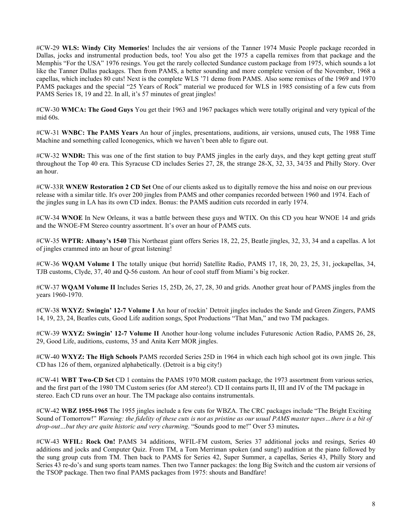#CW-29 **WLS: Windy City Memories**! Includes the air versions of the Tanner 1974 Music People package recorded in Dallas, jocks and instrumental production beds, too! You also get the 1975 a capella remixes from that package and the Memphis "For the USA" 1976 resings. You get the rarely collected Sundance custom package from 1975, which sounds a lot like the Tanner Dallas packages. Then from PAMS, a better sounding and more complete version of the November, 1968 a capellas, which includes 80 cuts! Next is the complete WLS '71 demo from PAMS. Also some remixes of the 1969 and 1970 PAMS packages and the special "25 Years of Rock" material we produced for WLS in 1985 consisting of a few cuts from PAMS Series 18, 19 and 22. In all, it's 57 minutes of great jingles!

#CW-30 **WMCA: The Good Guys** You get their 1963 and 1967 packages which were totally original and very typical of the mid 60s.

#CW-31 **WNBC: The PAMS Years** An hour of jingles, presentations, auditions, air versions, unused cuts, The 1988 Time Machine and something called Iconogenics, which we haven't been able to figure out.

#CW-32 **WNDR:** This was one of the first station to buy PAMS jingles in the early days, and they kept getting great stuff throughout the Top 40 era. This Syracuse CD includes Series 27, 28, the strange 28-X, 32, 33, 34/35 and Philly Story. Over an hour.

#CW-33R **WNEW Restoration 2 CD Set** One of our clients asked us to digitally remove the hiss and noise on our previous release with a similar title. It's over 200 jingles from PAMS and other companies recorded between 1960 and 1974. Each of the jingles sung in LA has its own CD index. Bonus: the PAMS audition cuts recorded in early 1974.

#CW-34 **WNOE** In New Orleans, it was a battle between these guys and WTIX. On this CD you hear WNOE 14 and grids and the WNOE-FM Stereo country assortment. It's over an hour of PAMS cuts.

#CW-35 **WPTR: Albany's 1540** This Northeast giant offers Series 18, 22, 25, Beatle jingles, 32, 33, 34 and a capellas. A lot of jingles crammed into an hour of great listening!

#CW-36 **WQAM Volume I** The totally unique (but horrid) Satellite Radio, PAMS 17, 18, 20, 23, 25, 31, jockapellas, 34, TJB customs, Clyde, 37, 40 and Q-56 custom. An hour of cool stuff from Miami's big rocker.

#CW-37 **WQAM Volume II** Includes Series 15, 25D, 26, 27, 28, 30 and grids. Another great hour of PAMS jingles from the years 1960-1970.

#CW-38 **WXYZ: Swingin' 12-7 Volume I** An hour of rockin' Detroit jingles includes the Sande and Green Zingers, PAMS 14, 19, 23, 24, Beatles cuts, Good Life audition songs, Spot Productions "That Man," and two TM packages.

#CW-39 **WXYZ: Swingin' 12-7 Volume II** Another hour-long volume includes Futuresonic Action Radio, PAMS 26, 28, 29, Good Life, auditions, customs, 35 and Anita Kerr MOR jingles.

#CW-40 **WXYZ: The High Schools** PAMS recorded Series 25D in 1964 in which each high school got its own jingle. This CD has 126 of them, organized alphabetically. (Detroit is a big city!)

#CW-41 **WBT Two-CD Set** CD 1 contains the PAMS 1970 MOR custom package, the 1973 assortment from various series, and the first part of the 1980 TM Custom series (for AM stereo!). CD II contains parts II, III and IV of the TM package in stereo. Each CD runs over an hour. The TM package also contains instrumentals.

#CW-42 **WBZ 1955-1965** The 1955 jingles include a few cuts for WBZA. The CRC packages include "The Bright Exciting Sound of Tomorrow!" *Warning: the fidelity of these cuts is not as pristine as our usual PAMS master tapes…there is a bit of drop-out…but they are quite historic and very charming*. "Sounds good to me!" Over 53 minutes**.** 

#CW-43 **WFIL: Rock On!** PAMS 34 additions, WFIL-FM custom, Series 37 additional jocks and resings, Series 40 additions and jocks and Computer Quiz. From TM, a Tom Merriman spoken (and sung!) audition at the piano followed by the sung group cuts from TM. Then back to PAMS for Series 42, Super Summer, a capellas, Series 43, Philly Story and Series 43 re-do's and sung sports team names. Then two Tanner packages: the long Big Switch and the custom air versions of the TSOP package. Then two final PAMS packages from 1975: shouts and Bandfare!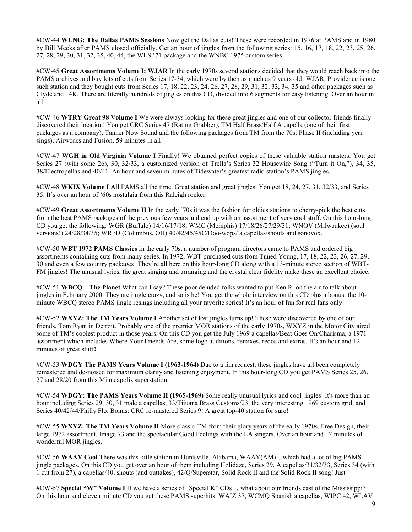#CW-44 **WLNG: The Dallas PAMS Sessions** Now get the Dallas cuts! These were recorded in 1976 at PAMS and in 1980 by Bill Meeks after PAMS closed officially. Get an hour of jingles from the following series: 15, 16, 17, 18, 22, 23, 25, 26, 27, 28, 29, 30, 31, 32, 35, 40, 44, the WLS '71 package and the WNBC 1975 custom series.

#CW-45 **Great Assortments Volume I: WJAR** In the early 1970s several stations decided that they would reach back into the PAMS archives and buy lots of cuts from Series 17-34, which were by then as much as 9 years old! WJAR, Providence is one such station and they bought cuts from Series 17, 18, 22, 23, 24, 26, 27, 28, 29, 31, 32, 33, 34, 35 and other packages such as Clyde and 14K. There are literally hundreds of jingles on this CD, divided into 6 segments for easy listening. Over an hour in all!

#CW-46 **WTRY Great 98 Volume I** We were always looking for these great jingles and one of our collector friends finally discovered their location! You get CRC Series 47 (Rating Grabber), TM Half Brass/Half A capella (one of their first packages as a company), Tanner Now Sound and the following packages from TM from the 70s: Phase II (including year sings), Airworks and Fusion. 59 minutes in all!

#CW-47 **WGH in Old Virginia Volume I** Finally! We obtained perfect copies of these valuable station masters. You get Series 27 (with some 26), 30, 32/33, a customized version of Trella's Series 32 Housewife Song ("Turn it On,"), 34, 35, 38/Electropellas and 40/41. An hour and seven minutes of Tidewater's greatest radio station's PAMS jingles.

#CW-48 **WKIX Volume I** All PAMS all the time. Great station and great jingles. You get 18, 24, 27, 31, 32/33, and Series 35. It's over an hour of '60s nostalgia from this Raleigh rocker.

#CW-49 **Great Assortments Volume II** In the early '70s it was the fashion for oldies stations to cherry-pick the best cuts from the best PAMS packages of the previous few years and end up with an assortment of very cool stuff. On this hour-long CD you get the following: WGR (Buffalo) 14/16/17/18; WMC (Memphis) 17/18/26/27/29/31; WNOV (Milwaukee) (soul versions!) 24/28/34/35; WRFD (Columbus, OH) 40/42/45/45C/Doo-wops/ a capellas/shouts and sonovox.

#CW-50 **WBT 1972 PAMS Classics** In the early 70s, a number of program directors came to PAMS and ordered big assortments containing cuts from many series. In 1972, WBT purchased cuts from Tuned Young, 17, 18, 22, 23, 26, 27, 29, 30 and even a few country packages! They're all here on this hour-long CD along with a 13-minute stereo section of WBT-FM jingles! The unusual lyrics, the great singing and arranging and the crystal clear fidelity make these an excellent choice.

#CW-51 **WBCQ—The Planet** What can I say? These poor deluded folks wanted to put Ken R. on the air to talk about jingles in February 2000. They are jingle crazy, and so is he! You get the whole interview on this CD plus a bonus: the 10 minute WBCQ stereo PAMS jingle resings including all your favorite series! It's an hour of fun for real fans only!

#CW-52 **WXYZ: The TM Years Volume I** Another set of lost jingles turns up! These were discovered by one of our friends, Tom Ryan in Detroit. Probably one of the premier MOR stations of the early 1970s, WXYZ in the Motor City aired some of TM's coolest product in those years. On this CD you get the July 1969 a capellas/Beat Goes On/Charisma; a 1971 assortment which includes Where Your Friends Are, some logo auditions, remixes, redos and extras. It's an hour and 12 minutes of great stuff**!** 

#CW-53 **WDGY The PAMS Years Volume I (1963-1964)** Due to a fan request, these jingles have all been completely remastered and de-noised for maximum clarity and listening enjoyment. In this hour-long CD you get PAMS Series 25, 26, 27 and 28/20 from this Minneapolis superstation.

#CW-54 **WDGY: The PAMS Years Volume II (1965-1969)** Some really unusual lyrics and cool jingles! It's more than an hour including Series 29, 30, 31 male a capellas, 33/Tijuana Brass Customs/23, the very interesting 1969 custom grid, and Series 40/42/44/Philly Flo. Bonus: CRC re-mastered Series 9! A great top-40 station for sure!

#CW-55 **WXYZ: The TM Years Volume II** More classic TM from their glory years of the early 1970s. Free Design, their large 1972 assortment, Image 73 and the spectacular Good Feelings with the LA singers. Over an hour and 12 minutes of wonderful MOR jingles**.** 

#CW-56 **WAAY Cool** There was this little station in Huntsville, Alabama, WAAY(AM)…which had a lot of big PAMS jingle packages. On this CD you get over an hour of them including Holidaze, Series 29, A capellas/31/32/33, Series 34 (with 1 cut from 27), a capellas/40, shouts (and outtakes), 42/Q/Superstar, Solid Rock II and the Solid Rock II song! Just

#CW-57 **Special "W" Volume I** If we have a series of "Special K" CDs… what about our friends east of the Mississippi? On this hour and eleven minute CD you get these PAMS superhits: WAIZ 37, WCMQ Spanish a capellas, WIPC 42, WLAV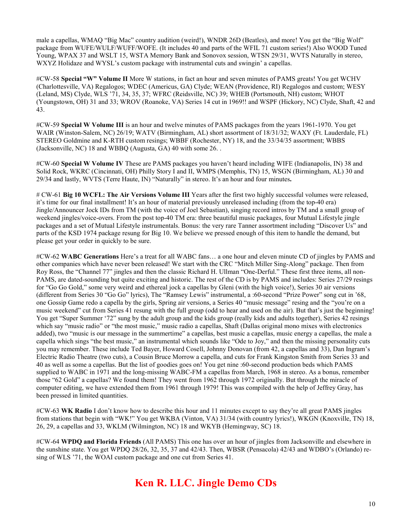male a capellas, WMAQ "Big Mac" country audition (weird!), WNDR 26D (Beatles), and more! You get the "Big Wolf" package from WUFE/WULF/WUFF/WOFE. (It includes 40 and parts of the WFIL 71 custom series!) Also WOOD Tuned Young, WPAX 37 and WSLT 15, WSTA Memory Bank and Sonovox session, WTSN 29/31, WVTS Naturally in stereo, WXYZ Holidaze and WYSL's custom package with instrumental cuts and swingin' a capellas.

#CW-58 **Special "W" Volume II** More W stations, in fact an hour and seven minutes of PAMS greats! You get WCHV (Charlottesville, VA) Regalogos; WDEC (Americus, GA) Clyde; WEAN (Providence, RI) Regalogos and custom; WESY (Leland, MS) Clyde, WLS '71, 34, 35, 37; WFRC (Reidsville, NC) 39; WHEB (Portsmouth, NH) custom; WHOT (Youngstown, OH) 31 and 33; WROV (Roanoke, VA) Series 14 cut in 1969!! and WSPF (Hickory, NC) Clyde, Shaft, 42 and 43.

#CW-59 **Special W Volume III** is an hour and twelve minutes of PAMS packages from the years 1961-1970. You get WAIR (Winston-Salem, NC) 26/19; WATV (Birmingham, AL) short assortment of 18/31/32; WAXY (Ft. Lauderdale, FL) STEREO Goldmine and K-RTH custom resings; WBBF (Rochester, NY) 18, and the 33/34/35 assortment; WBBS (Jacksonville, NC) 18 and WBBQ (Augusta, GA) 40 with some 26. .

#CW-60 **Special W Volume IV** These are PAMS packages you haven't heard including WIFE (Indianapolis, IN) 38 and Solid Rock, WKRC (Cincinnati, OH) Philly Story I and II, WMPS (Memphis, TN) 15, WSGN (Birmingham, AL) 30 and 29/34 and lastly, WVTS (Terre Haute, IN) "Naturally" in stereo. It's an hour and four minutes**.** 

# CW-61 **Big 10 WCFL: The Air Versions Volume III** Years after the first two highly successful volumes were released, it's time for our final installment! It's an hour of material previously unreleased including (from the top-40 era) Jingle/Announcer Jock IDs from TM (with the voice of Joel Sebastian), singing record intros by TM and a small group of weekend jingles/voice-overs. From the post top-40 TM era: three beautiful music packages, four Mutual Lifestyle jingle packages and a set of Mutual Lifestyle instrumentals. Bonus: the very rare Tanner assortment including "Discover Us" and parts of the KSD 1974 package resung for Big 10. We believe we pressed enough of this item to handle the demand, but please get your order in quickly to be sure.

#CW-62 **WABC Generations** Here's a treat for all WABC fans… a one hour and eleven minute CD of jingles by PAMS and other companies which have never been released! We start with the CRC "Mitch Miller Sing-Along" package. Then from Roy Ross, the "Channel 77" jingles and then the classic Richard H. Ullman "One-Derful." These first three items, all non-PAMS, are dated-sounding but quite exciting and historic. The rest of the CD is by PAMS and includes: Series 27/29 resings for "Go Go Gold," some very weird and ethereal jock a capellas by Gleni (with the high voice!), Series 30 air versions (different from Series 30 "Go Go" lyrics), The "Ramsey Lewis" instrumental, a :60-second "Prize Power" song cut in '68, one Gossip Game redo a capella by the girls, Spring air versions, a Series 40 "music message" resing and the "you're on a music weekend" cut from Series 41 resung with the full group (odd to hear and used on the air). But that's just the beginning! You get "Super Summer '72" sung by the adult group and the kids group (really kids and adults together), Series 42 resings which say "music radio" or "the most music," music radio a capellas, Shaft (Dallas original mono mixes with electronics added), two "music is our message in the summertime" a capellas, best music a capellas, music energy a capellas, the male a capella which sings "the best music," an instrumental which sounds like "Ode to Joy," and then the missing personality cuts you may remember. These include Ted Bayer, Howard Cosell, Johnny Donovan (from 42, a capellas and 33), Dan Ingram's Electric Radio Theatre (two cuts), a Cousin Bruce Morrow a capella, and cuts for Frank Kingston Smith from Series 33 and 40 as well as some a capellas. But the list of goodies goes on! You get nine :60-second production beds which PAMS supplied to WABC in 1971 and the long-missing WABC-FM a capellas from March, 1968 in stereo. As a bonus, remember those "62 Gold" a capellas? We found them! They went from 1962 through 1972 originally. But through the miracle of computer editing, we have extended them from 1961 through 1979! This was compiled with the help of Jeffrey Gray, has been pressed in limited quantities.

#CW-63 **WK Radio** I don't know how to describe this hour and 11 minutes except to say they're all great PAMS jingles from stations that begin with "WK!" You get WKBA (Vinton, VA) 31/34 (with country lyrics!), WKGN (Knoxville, TN) 18, 26, 29, a capellas and 33, WKLM (Wilmington, NC) 18 and WKYB (Hemingway, SC) 18.

#CW-64 **WPDQ and Florida Friends** (All PAMS) This one has over an hour of jingles from Jacksonville and elsewhere in the sunshine state. You get WPDQ 28/26, 32, 35, 37 and 42/43. Then, WBSR (Pensacola) 42/43 and WDBO's (Orlando) resing of WLS '71, the WOAI custom package and one cut from Series 41.

# **Ken R. LLC. Jingle Demo CDs**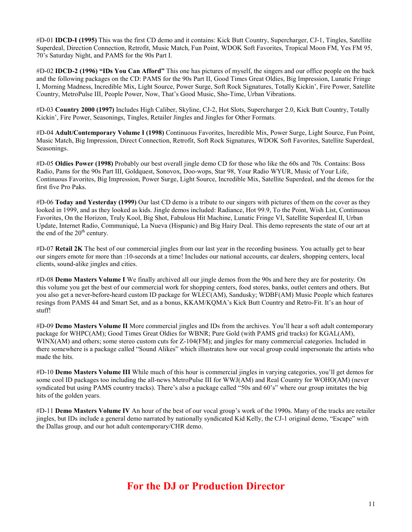#D-01 **IDCD-I (1995)** This was the first CD demo and it contains: Kick Butt Country, Supercharger, CJ-1, Tingles, Satellite Superdeal, Direction Connection, Retrofit, Music Match, Fun Point, WDOK Soft Favorites, Tropical Moon FM, Yes FM 95, 70's Saturday Night, and PAMS for the 90s Part I.

#D-02 **IDCD-2 (1996) "IDs You Can Afford"** This one has pictures of myself, the singers and our office people on the back and the following packages on the CD: PAMS for the 90s Part II, Good Times Great Oldies, Big Impression, Lunatic Fringe I, Morning Madness, Incredible Mix, Light Source, Power Surge, Soft Rock Signatures, Totally Kickin', Fire Power, Satellite Country, MetroPulse III, People Power, Now, That's Good Music, Sho-Time, Urban Vibrations.

#D-03 **Country 2000 (1997)** Includes High Caliber, Skyline, CJ-2, Hot Slots, Supercharger 2.0, Kick Butt Country, Totally Kickin', Fire Power, Seasonings, Tingles, Retailer Jingles and Jingles for Other Formats.

#D-04 **Adult/Contemporary Volume I (1998)** Continuous Favorites, Incredible Mix, Power Surge, Light Source, Fun Point, Music Match, Big Impression, Direct Connection, Retrofit, Soft Rock Signatures, WDOK Soft Favorites, Satellite Superdeal, Seasonings.

#D-05 **Oldies Power (1998)** Probably our best overall jingle demo CD for those who like the 60s and 70s. Contains: Boss Radio, Pams for the 90s Part III, Goldquest, Sonovox, Doo-wops, Star 98, Your Radio WYUR, Music of Your Life, Continuous Favorites, Big Impression, Power Surge, Light Source, Incredible Mix, Satellite Superdeal, and the demos for the first five Pro Paks.

#D-06 **Today and Yesterday (1999)** Our last CD demo is a tribute to our singers with pictures of them on the cover as they looked in 1999, and as they looked as kids. Jingle demos included: Radiance, Hot 99.9, To the Point, Wish List, Continuous Favorites, On the Horizon, Truly Kool, Big Shot, Fabulous Hit Machine, Lunatic Fringe VI, Satellite Superdeal II, Urban Update, Internet Radio, Communiqué, La Nueva (Hispanic) and Big Hairy Deal. This demo represents the state of our art at the end of the  $20<sup>th</sup>$  century.

#D-07 **Retail 2K** The best of our commercial jingles from our last year in the recording business. You actually get to hear our singers emote for more than :10-seconds at a time! Includes our national accounts, car dealers, shopping centers, local clients, sound-alike jingles and cities.

#D-08 **Demo Masters Volume I** We finally archived all our jingle demos from the 90s and here they are for posterity. On this volume you get the best of our commercial work for shopping centers, food stores, banks, outlet centers and others. But you also get a never-before-heard custom ID package for WLEC(AM), Sandusky; WDBF(AM) Music People which features resings from PAMS 44 and Smart Set, and as a bonus, KKAM/KQMA's Kick Butt Country and Retro-Fit. It's an hour of stuff!

#D-09 **Demo Masters Volume II** More commercial jingles and IDs from the archives. You'll hear a soft adult contemporary package for WHPC(AM); Good Times Great Oldies for WBNR; Pure Gold (with PAMS grid tracks) for KGAL(AM), WINX(AM) and others; some stereo custom cuts for Z-104(FM); and jingles for many commercial categories. Included in there somewhere is a package called "Sound Alikes" which illustrates how our vocal group could impersonate the artists who made the hits.

#D-10 **Demo Masters Volume III** While much of this hour is commercial jingles in varying categories, you'll get demos for some cool ID packages too including the all-news MetroPulse III for WWJ(AM) and Real Country for WOHO(AM) (never syndicated but using PAMS country tracks). There's also a package called "50s and 60's" where our group imitates the big hits of the golden years.

#D-11 **Demo Masters Volume IV** An hour of the best of our vocal group's work of the 1990s. Many of the tracks are retailer jingles, but IDs include a general demo narrated by nationally syndicated Kid Kelly, the CJ-1 original demo, "Escape" with the Dallas group, and our hot adult contemporary/CHR demo.

# **For the DJ or Production Director**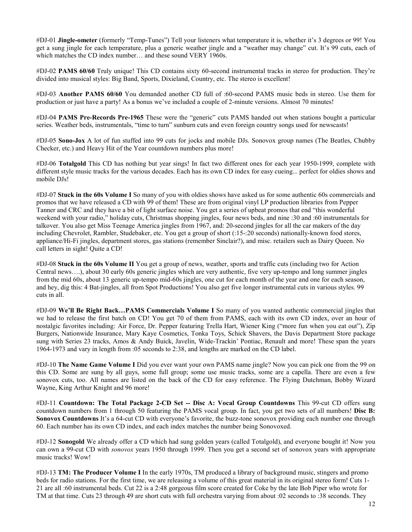#DJ-01 **Jingle-ometer** (formerly "Temp-Tunes") Tell your listeners what temperature it is, whether it's 3 degrees or 99! You get a sung jingle for each temperature, plus a generic weather jingle and a "weather may change" cut. It's 99 cuts, each of which matches the CD index number... and these sound VERY 1960s.

#DJ-02 **PAMS 60/60** Truly unique! This CD contains sixty 60-second instrumental tracks in stereo for production. They're divided into musical styles: Big Band, Sports, Dixieland, Country, etc. The stereo is excellent!

#DJ-03 **Another PAMS 60/60** You demanded another CD full of :60-second PAMS music beds in stereo. Use them for production or just have a party! As a bonus we've included a couple of 2-minute versions. Almost 70 minutes!

#DJ-04 **PAMS Pre-Records Pre-1965** These were the "generic" cuts PAMS handed out when stations bought a particular series. Weather beds, instrumentals, "time to turn" sunburn cuts and even foreign country songs used for newscasts!

#DJ-05 **Sono-Jox** A lot of fun stuffed into 99 cuts for jocks and mobile DJs. Sonovox group names (The Beatles, Chubby Checker, etc.) and Heavy Hit of the Year countdown numbers plus more!

#DJ-06 **Totalgold** This CD has nothing but year sings! In fact two different ones for each year 1950-1999, complete with different style music tracks for the various decades. Each has its own CD index for easy cueing... perfect for oldies shows and mobile DJs!

#DJ-07 **Stuck in the 60s Volume I** So many of you with oldies shows have asked us for some authentic 60s commercials and promos that we have released a CD with 99 of them! These are from original vinyl LP production libraries from Pepper Tanner and CRC and they have a bit of light surface noise. You get a series of upbeat promos that end "this wonderful weekend with your radio," holiday cuts, Christmas shopping jingles, four news beds, and nine :30 and :60 instrumentals for talkover. You also get Miss Teenage America jingles from 1967, and: 20-second jingles for all the car makers of the day including Chevrolet, Rambler, Studebaker, etc. You get a group of short (:15-:20 seconds) nationally-known food stores, appliance/Hi-Fi jingles, department stores, gas stations (remember Sinclair?), and misc. retailers such as Dairy Queen. No call letters in sight! Quite a CD!

#DJ-08 **Stuck in the 60s Volume II** You get a group of news, weather, sports and traffic cuts (including two for Action Central news….), about 30 early 60s generic jingles which are very authentic, five very up-tempo and long summer jingles from the mid 60s, about 13 generic up-tempo mid-60s jingles, one cut for each month of the year and one for each season, and hey, dig this: 4 Bat-jingles, all from Spot Productions! You also get five longer instrumental cuts in various styles. 99 cuts in all.

#DJ-09 **We'll Be Right Back…PAMS Commercials Volume I** So many of you wanted authentic commercial jingles that we had to release the first batch on CD! You get 70 of them from PAMS, each with its own CD index, over an hour of nostalgic favorites including: Air Force, Dr. Pepper featuring Trella Hart, Wiener King ("more fun when you eat out"), Zip Burgers, Nationwide Insurance, Mary Kaye Cosmetics, Tonka Toys, Schick Shavers, the Davis Department Store package sung with Series 23 tracks, Amos & Andy Buick, Javelin, Wide-Trackin' Pontiac, Renault and more! These span the years 1964-1973 and vary in length from :05 seconds to 2:38, and lengths are marked on the CD label.

#DJ-10 **The Name Game Volume I** Did you ever want your own PAMS name jingle? Now you can pick one from the 99 on this CD. Some are sung by all guys, some full group; some use music tracks, some are a capella. There are even a few sonovox cuts, too. All names are listed on the back of the CD for easy reference. The Flying Dutchman, Bobby Wizard Wayne, King Arthur Knight and 96 more!

#DJ-11 **Countdown: The Total Package 2-CD Set -- Disc A: Vocal Group Countdowns** This 99-cut CD offers sung countdown numbers from 1 through 50 featuring the PAMS vocal group. In fact, you get two sets of all numbers! **Disc B: Sonovox Countdowns** It's a 64-cut CD with everyone's favorite, the buzz-tone sonovox providing each number one through 60. Each number has its own CD index, and each index matches the number being Sonovoxed.

#DJ-12 **Sonogold** We already offer a CD which had sung golden years (called Totalgold), and everyone bought it! Now you can own a 99-cut CD with *sonovox* years 1950 through 1999. Then you get a second set of sonovox years with appropriate music tracks! Wow!

#DJ-13 **TM: The Producer Volume I** In the early 1970s, TM produced a library of background music, stingers and promo beds for radio stations. For the first time, we are releasing a volume of this great material in its original stereo form! Cuts 1- 21 are all :60 instrumental beds. Cut 22 is a 2:48 gorgeous film score created for Coke by the late Bob Piper who wrote for TM at that time. Cuts 23 through 49 are short cuts with full orchestra varying from about :02 seconds to :38 seconds. They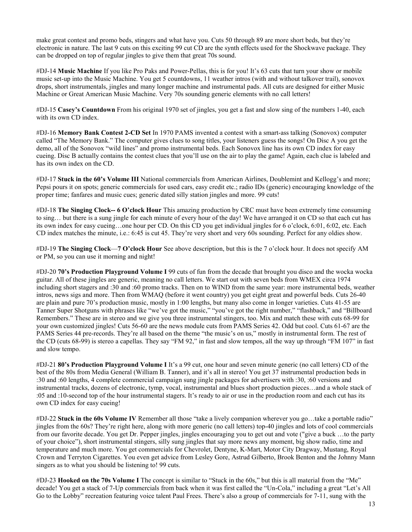make great contest and promo beds, stingers and what have you. Cuts 50 through 89 are more short beds, but they're electronic in nature. The last 9 cuts on this exciting 99 cut CD are the synth effects used for the Shockwave package. They can be dropped on top of regular jingles to give them that great 70s sound.

#DJ-14 **Music Machine** If you like Pro Paks and Power-Pellas, this is for you! It's 63 cuts that turn your show or mobile music set-up into the Music Machine. You get 5 countdowns, 11 weather intros (with and without talkover trail), sonovox drops, short instrumentals, jingles and many longer machine and instrumental pads. All cuts are designed for either Music Machine or Great American Music Machine. Very 70s sounding generic elements with no call letters!

#DJ-15 **Casey's Countdown** From his original 1970 set of jingles, you get a fast and slow sing of the numbers 1-40, each with its own CD index.

#DJ-16 **Memory Bank Contest 2-CD Set** In 1970 PAMS invented a contest with a smart-ass talking (Sonovox) computer called "The Memory Bank." The computer gives clues to song titles, your listeners guess the songs! On Disc A you get the demo, all of the Sonovox "wild lines" and promo instrumental beds. Each Sonovox line has its own CD index for easy cueing. Disc B actually contains the contest clues that you'll use on the air to play the game! Again, each clue is labeled and has its own index on the CD.

#DJ-17 **Stuck in the 60's Volume III** National commercials from American Airlines, Doublemint and Kellogg's and more; Pepsi pours it on spots; generic commercials for used cars, easy credit etc.; radio IDs (generic) encouraging knowledge of the proper time; fanfares and music cues; generic dated silly station jingles and more. 99 cuts!

#DJ-18 **The Singing Clock-- 6 O'clock Hour** This amazing production by CRC must have been extremely time consuming to sing… but there is a sung jingle for each minute of every hour of the day! We have arranged it on CD so that each cut has its own index for easy cueing…one hour per CD. On this CD you get individual jingles for 6 o'clock, 6:01, 6:02, etc. Each CD index matches the minute, i.e.: 6:45 is cut 45. They're very short and very 60s sounding. Perfect for any oldies show.

#DJ-19 **The Singing Clock**—**7 O'clock Hour** See above description, but this is the 7 o'clock hour. It does not specify AM or PM, so you can use it morning and night!

#DJ-20 **70's Production Playground Volume I** 99 cuts of fun from the decade that brought you disco and the wocka wocka guitar. All of these jingles are generic, meaning no call letters. We start out with seven beds from WMEX circa 1974 including short stagers and :30 and :60 promo tracks. Then on to WIND from the same year: more instrumental beds, weather intros, news sigs and more. Then from WMAQ (before it went country) you get eight great and powerful beds. Cuts 26-40 are plain and pure 70's production music, mostly in 1:00 lengths, but many also come in longer varieties. Cuts 41-55 are Tanner Super Shotguns with phrases like "we've got the music," "you've got the right number," "flashback," and "Billboard Remembers." These are in stereo and we give you three instrumental stingers, too. Mix and match these with cuts 68-99 for your own customized jingles! Cuts 56-60 are the news module cuts from PAMS Series 42. Odd but cool. Cuts 61-67 are the PAMS Series 44 pre-records. They're all based on the theme "the music's on us," mostly in instrumental form. The rest of the CD (cuts 68-99) is stereo a capellas. They say "FM 92," in fast and slow tempos, all the way up through "FM 107" in fast and slow tempo.

#DJ-21 **80's Production Playground Volume I** It's a 99 cut, one hour and seven minute generic (no call letters) CD of the best of the 80s from Media General (William B. Tanner), and it's all in stereo! You get 37 instrumental production beds in :30 and :60 lengths, 4 complete commercial campaign sung jingle packages for advertisers with :30, :60 versions and instrumental tracks, dozens of electronic, tymp, vocal, instrumental and blues short production pieces…and a whole stack of :05 and :10-second top of the hour instrumental stagers. It's ready to air or use in the production room and each cut has its own CD index for easy cueing!

#DJ-22 **Stuck in the 60s Volume IV** Remember all those "take a lively companion wherever you go…take a portable radio" jingles from the 60s? They're right here, along with more generic (no call letters) top-40 jingles and lots of cool commercials from our favorite decade. You get Dr. Pepper jingles, jingles encouraging you to get out and vote ("give a buck …to the party of your choice"), short instrumental stingers, silly sung jingles that say more news any moment, big show radio, time and temperature and much more. You get commercials for Chevrolet, Dentyne, K-Mart, Motor City Dragway, Mustang, Royal Crown and Terryton Cigarettes. You even get advice from Lesley Gore, Astrud Gilberto, Brook Benton and the Johnny Mann singers as to what you should be listening to! 99 cuts.

#DJ-23 **Hooked on the 70s Volume I** The concept is similar to "Stuck in the 60s," but this is all material from the "Me" decade! You get a stack of 7-Up commercials from back when it was first called the "Un-Cola," including a great "Let's All Go to the Lobby" recreation featuring voice talent Paul Frees. There's also a group of commercials for 7-11, sung with the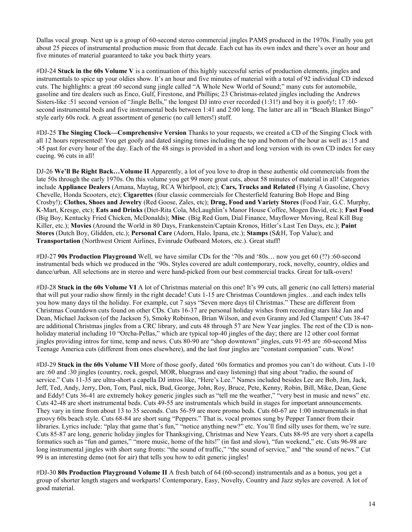Dallas vocal group. Next up is a group of 60-second stereo commercial jingles PAMS produced in the 1970s. Finally you get about 25 pieces of instrumental production music from that decade. Each cut has its own index and there's over an hour and five minutes of material guaranteed to take you back thirty years.

#DJ-24 **Stuck in the 60s Volume V** is a continuation of this highly successful series of production elements, jingles and instrumentals to spice up your oldies show. It's an hour and five minutes of material with a total of 92 individual CD indexed cuts. The highlights: a great :60 second sung jingle called "A Whole New World of Sound;" many cuts for automobile, gasoline and tire dealers such as Enco, Gulf, Firestone, and Phillips; 23 Christmas-related jingles including the Andrews Sisters-like :51 second version of "Jingle Bells," the longest DJ intro ever recorded (1:31!) and boy it is goofy!; 17 :60 second instrumental beds and five instrumental beds between 1:41 and 2:00 long. The latter are all in "Beach Blanket Bingo" style early 60s rock. A great assortment of generic (no call letters!) stuff.

#DJ-25 **The Singing Clock—Comprehensive Version** Thanks to your requests, we created a CD of the Singing Clock with all 12 hours represented! You get goofy and dated singing times including the top and bottom of the hour as well as :15 and :45 past for every hour of the day. Each of the 48 sings is provided in a short and long version with its own CD index for easy cueing. 96 cuts in all!

DJ-26 **We'll Be Right Back…Volume II** Apparently, a lot of you love to drop in these authentic old commercials from the late 50s through the early 1970s. On this volume you get 99 more great cuts, about 58 minutes of material in all! Categories include **Appliance Dealers** (Amana, Maytag, RCA Whirlpool, etc); **Cars, Trucks and Related** (Flying A Gasoline, Chevy Chevelle, Honda Scooters, etc); **Cigarettes** (four classic commercials for Chesterfield featuring Bob Hope and Bing Crosby!); **Clothes, Shoes and Jewelry** (Red Goose, Zales, etc); **Drug, Food and Variety Stores** (Food Fair, G.C. Murphy, K-Mart, Kresge, etc); **Eats and Drinks** (Diet-Rita Cola, McLaughlin's Manor House Coffee, Mogen David, etc.); **Fast Food** (Big Boy, Kentucky Fried Chicken, McDonalds); **Misc**. (Big Red Gum, Dial Finance, Mayflower Moving, Real Kill Bug Killer, etc.); **Movies** (Around the World in 80 Days, Frankenstein/Captain Kronos, Hitler's Last Ten Days, etc.); **Paint Stores** (Dutch Boy, Glidden, etc.); **Personal Care** (Adorn, Halo, Ipana, etc.); **Stamps** (S&H, Top Value); and **Transportation** (Northwest Orient Airlines, Evinrude Outboard Motors, etc.). Great stuff!

#DJ-27 **90s Production Playground** Well, we have similar CDs for the '70s and '80s… now you get 60 (!?) :60-second instrumental beds which we produced in the '90s. Styles covered are adult contemporary, rock, novelty, country, oldies and dance/urban. All selections are in stereo and were hand-picked from our best commercial tracks. Great for talk-overs!

#DJ-28 **Stuck in the 60s Volume VI** A lot of Christmas material on this one! It's 99 cuts, all generic (no call letters) material that will put your radio show firmly in the right decade! Cuts 1-15 are Christmas Countdown jingles…and each index tells you how many days til the holiday. For example, cut 7 says "Seven more days til Christmas." These are different from Christmas Countdown cuts found on other CDs. Cuts 16-37 are personal holiday wishes from recording stars like Jan and Dean, Michael Jackson (of the Jackson 5), Smoky Robinson, Brian Wilson, and even Granny and Jed Clampett! Cuts 38-47 are additional Christmas jingles from a CRC library, and cuts 48 through 57 are New Year jingles. The rest of the CD is nonholiday material including 10 "Orcha-Pellas," which are typical top-40 jingles of the day; there are 12 other cool format jingles providing intros for time, temp and news. Cuts 80-90 are "shop downtown" jingles, cuts 91-95 are :60-second Miss Teenage America cuts (different from ones elsewhere), and the last four jingles are "constant companion" cuts. Wow!

#DJ-29 **Stuck in the 60s Volume VII** More of those goofy, dated '60s formatics and promos you can't do without. Cuts 1-10 are :60 and :30 jingles (country, rock, gospel, MOR, bluegrass and easy listening) that sing about "radio, the sound of service." Cuts 11-35 are ultra-short a capella DJ intros like, "Here's Lee." Names included besides Lee are Bob, Jim, Jack, Jeff, Ted, Andy, Jerry, Don, Tom, Paul, nick, Bud, George, John, Roy, Bruce, Pete, Kenny, Robin, Bill, Mike, Dean, Gene and Eddy! Cuts 36-41 are extremely hokey generic jingles such as "tell me the weather," "very best in music and news" etc. Cuts 42-48 are short instrumental beds. Cuts 49-55 are instrumentals which build in stages for important announcements. They vary in time from about 13 to 35 seconds. Cuts 56-59 are more promo beds. Cuts 60-67 are 1:00 instrumentals in that groovy 60s beach style. Cuts 68-84 are short sung "Peppers." That is, vocal promos sung by Pepper Tanner from their libraries. Lyrics include: "play that game that's fun," "notice anything new?" etc. You'll find silly uses for them, we're sure. Cuts 85-87 are long, generic holiday jingles for Thanksgiving, Christmas and New Years. Cuts 88-95 are very short a capella formatics such as "fun and games," "more music, home of the hits!" (in fast and slow), "fun weekend," etc. Cuts 96-98 are long instrumental jingles with short sung fronts: "the sound of traffic," "the sound of service," and "the sound of news." Cut 99 is an interesting demo (not for air) that tells you how to edit generic jingles!

#DJ-30 **80s Production Playground Volume II** A fresh batch of 64 (60-second) instrumentals and as a bonus, you get a group of shorter length stagers and workparts! Contemporary, Easy, Novelty, Country and Jazz styles are covered. A lot of good material.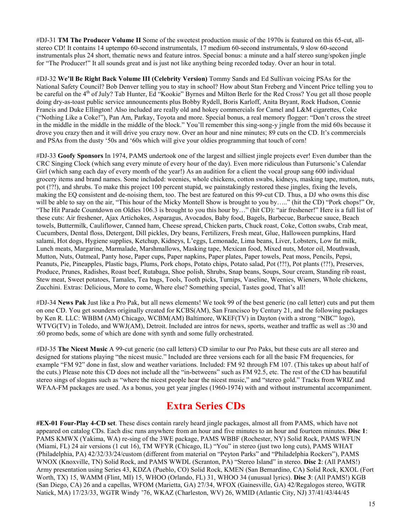#DJ-31 **TM The Producer Volume II** Some of the sweetest production music of the 1970s is featured on this 65-cut, allstereo CD! It contains 14 uptempo 60-second instrumentals, 17 medium 60-second instrumentals, 9 slow 60-second instrumentals plus 24 short, thematic news and feature intros. Special bonus: a minute and a half stereo sung/spoken jingle for "The Producer!" It all sounds great and is just not like anything being recorded today. Over an hour in total.

#DJ-32 **We'll Be Right Back Volume III (Celebrity Version)** Tommy Sands and Ed Sullivan voicing PSAs for the National Safety Council? Bob Denver telling you to stay in school? How about Stan Freberg and Vincent Price telling you to be careful on the 4<sup>th</sup> of July? Tab Hunter, Ed "Kookie" Byrnes and Milton Berle for the Red Cross? You get all those people doing dry-as-toast public service announcements plus Bobby Rydell, Boris Karloff, Anita Bryant, Rock Hudson, Connie Francis and Duke Ellington! Also included are really old and hokey commercials for Camel and L&M cigarettes, Coke ("Nothing Like a Coke!"), Pan Am, Parkay, Toyota and more. Special bonus, a real memory flogger: "Don't cross the street in the middle in the middle in the middle of the block." You'll remember this sing-song-y jingle from the mid 60s because it drove you crazy then and it will drive you crazy now. Over an hour and nine minutes; 89 cuts on the CD. It's commercials and PSAs from the dusty '50s and '60s which will give your oldies programming that touch of corn!

#DJ-33 **Goofy Sponsors** In 1974, PAMS undertook one of the largest and silliest jingle projects ever! Even dumber than the CRC Singing Clock (which sang every minute of every hour of the day). Even more ridiculous than Futursonic's Calendar Girl (which sang each day of every month of the year!) As an audition for a client the vocal group sang 600 individual grocery items and brand names. Some included: weenies, whole chickens, cotton swabs, kidneys, masking tape, mutton, nuts, pot (!?!), and shrubs. To make this project 100 percent stupid, we painstakingly restored these jingles, fixing the levels, making the EQ consistent and de-noising them, too. The best are featured on this 99-cut CD. Thus, a DJ who owns this disc will be able to say on the air, "This hour of the Micky Montell Show is brought to you by….." (hit the CD) "Pork chops!" Or, "The Hit Parade Countdown on Oldies 106.3 is brought to you this hour by…" (hit CD): "air freshener!" Here is a full list of these cuts: Air freshener, Ajax Artichokes, Asparagus, Avocados, Baby food, Bagels, Barbecue, Barbecue sauce, Beach towels, Buttermilk, Cauliflower, Canned ham, Cheese spread, Chicken parts, Chuck roast, Coke, Cotton swabs, Crab meat, Cucumbers, Dental floss, Detergent, Dill pickles, Dry beans, Fertilizers, Fresh meat, Glue, Halloween pumpkins, Hard salami, Hot dogs, Hygiene supplies, Ketchup, Kidneys, L'eggs, Lemonade, Lima beans, Liver, Lobsters, Low fat milk, Lunch meats, Margarine, Marmalade, Marshmallows, Masking tape, Mexican food, Mixed nuts, Motor oil, Mouthwash, Mutton, Nuts, Oatmeal, Panty hose, Paper cups, Paper napkins, Paper plates, Paper towels, Peat moss, Pencils, Pepsi, Peanuts, Pie, Pineapples, Plastic bags, Plums, Pork chops, Potato chips, Potato salad, Pot (!?!), Pot plants (!?!), Preserves, Produce, Prunes, Radishes, Roast beef, Rutabaga, Shoe polish, Shrubs, Snap beans, Soups, Sour cream, Standing rib roast, Stew meat, Sweet potatoes, Tamales, Tea bags, Tools, Tooth picks, Turnips, Vaseline, Weenies, Wieners, Whole chickens, Zucchini. Extras: Delicious, More to come, Where else? Something special, Tastes good, That's all!

#DJ-34 **News Pak** Just like a Pro Pak, but all news elements! We took 99 of the best generic (no call letter) cuts and put them on one CD. You get sounders originally created for KCBS(AM), San Francisco by Century 21, and the following packages by Ken R. LLC: WBBM (AM) Chicago, WCBM(AM) Baltimore, WKEF(TV) in Dayton (with a strong "NBC" logo), WTVG(TV) in Toledo, and WWJ(AM), Detroit. Included are intros for news, sports, weather and traffic as well as :30 and :60 promo beds, some of which are done with synth and some fully orchestrated.

#DJ-35 **The Nicest Music** A 99-cut generic (no call letters) CD similar to our Pro Paks, but these cuts are all stereo and designed for stations playing "the nicest music." Included are three versions each for all the basic FM frequencies, for example "FM 92" done in fast, slow and weather variations. Included: FM 92 through FM 107. (This takes up about half of the cuts.) Please note this CD does not include all the "in-betweens" such as FM 92.5, etc. The rest of the CD has beautiful stereo sings of slogans such as "where the nicest people hear the nicest music," and "stereo gold." Tracks from WRIZ and WFAA-FM packages are used. As a bonus, you get year jingles (1960-1974) with and without instrumental accompaniment.

# **Extra Series CDs**

**#EX-01 Four-Play 4-CD set**. These discs contain rarely heard jingle packages, almost all from PAMS, which have not appeared on catalog CDs. Each disc runs anywhere from an hour and five minutes to an hour and fourteen minutes. **Disc 1**: PAMS KMWX (Yakima, WA) re-sing of the 3WE package, PAMS WBBF (Rochester, NY) Solid Rock, PAMS WFUN (Miami, FL) 24 air versions (1 cut 16), TM WFYR (Chicago, IL) "You" in stereo (just two long cuts), PAMS WHAT (Philadelphia, PA) 42/32/33/24/custom (different from material on "Peyton Parks" and "Philadelphia Rockers"), PAMS WNOX (Knoxville, TN) Solid Rock, and PAMS WWDL (Scranton, PA) "Stereo Island" in stereo. **Disc 2**: (All PAMS!) Army presentation using Series 43, KDZA (Pueblo, CO) Solid Rock, KMEN (San Bernardino, CA) Solid Rock, KXOL (Fort Worth, TX) 15, WAMM (Flint, MI) 15, WHOO (Orlando, FL) 31, WHOO 34 (unusual lyrics). **Disc 3**: (All PAMS!) KGB (San Diego, CA) 26 and a capellas, WFOM (Marietta, GA) 27/34, WFOX (Gainesville, GA) 42/Regalogos stereo, WGTR Natick, MA) 17/23/33, WGTR Windy '76, WKAZ (Charleston, WV) 26, WMID (Atlantic City, NJ) 37/41/43/44/45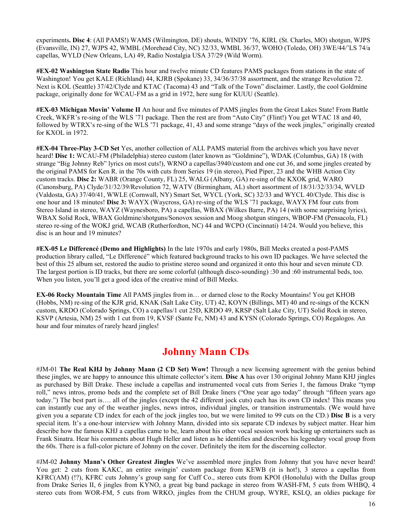experiments**. Disc 4**: (All PAMS!) WAMS (Wilmington, DE) shouts, WINDY '76, KIRL (St. Charles, MO) shotgun, WJPS (Evansville, IN) 27, WJPS 42, WMBL (Morehead City, NC) 32/33, WMBL 36/37, WOHO (Toledo, OH) 3WE/44/'LS 74/a capellas, WYLD (New Orleans, LA) 49, Radio Nostalgia USA 37/29 (Wild Worm).

**#EX-02 Washington State Radio** This hour and twelve minute CD features PAMS packages from stations in the state of Washington! You get KALE (Richland) 44, KJRB (Spokane) 33, 34/36/37/38 assortment, and the strange Revolution 72. Next is KOL (Seattle) 37/42/Clyde and KTAC (Tacoma) 43 and "Talk of the Town" disclaimer. Lastly, the cool Goldmine package, originally done for WCAU-FM as a grid in 1972, here sung for KUUU (Seattle).

**#EX-03 Michigan Movin' Volume II** An hour and five minutes of PAMS jingles from the Great Lakes State! From Battle Creek, WKFR's re-sing of the WLS '71 package. Then the rest are from "Auto City" (Flint!) You get WTAC 18 and 40, followed by WTRX's re-sing of the WLS '71 package, 41, 43 and some strange "days of the week jingles," originally created for KXOL in 1972.

**#EX-04 Three-Play 3-CD Set** Yes, another collection of ALL PAMS material from the archives which you have never heard! **Disc 1:** WCAU-FM (Philadelphia) stereo custom (later known as "Goldmine"), WDAK (Columbus, GA) 18 (with strange "Big Johnny Reb" lyrics on most cuts!), WRNO a capellas/3940/custom and one cut 36, and some jingles created by the original PAMS for Ken R. in the 70s with cuts from Series 19 (in stereo), Pied Piper, 23 and the WHB Action City custom tracks. **Disc 2:** WABR (Orange County, FL) 25, WALG (Albany, GA) re-sing of the KXOK grid, WARO (Canonsburg, PA) Clyde/31/32/39/Revolution 72, WATV (Birmingham, AL) short assortment of 18/31/32/33/34, WVLD (Valdosta, GA) 37/40/41, WWLE (Cornwall, NY) Smart Set, WYCL (York, SC) 32/33 and WYCL 40/Clyde. This disc is one hour and 18 minutes! **Disc 3:** WAYX (Waycross, GA) re-sing of the WLS '71 package, WAYX FM four cuts from Stereo Island in stereo, WAYZ (Waynesboro, PA) a capellas, WBAX (Wilkes Barre, PA) 14 (with some surprising lyrics), WBAX Solid Rock, WBAX Goldmine/shotguns/Sonovox session and Moog shotgun stingers, WBOP-FM (Pensacola, FL) stereo re-sing of the WOKJ grid, WCAB (Rutherfordton, NC) 44 and WCPO (Cincinnati) 14/24. Would you believe, this disc is an hour and 19 minutes?

**#EX-05 Le Differencé (Demo and Highlights)** In the late 1970s and early 1980s, Bill Meeks created a post-PAMS production library called, "Le Differencé" which featured background tracks to his own ID packages. We have selected the best of this 25 album set, restored the audio to pristine stereo sound and organized it onto this hour and seven minute CD. The largest portion is ID tracks, but there are some colorful (although disco-sounding) :30 and :60 instrumental beds, too. When you listen, you'll get a good idea of the creative mind of Bill Meeks.

**EX-06 Rocky Mountain Time** All PAMS jingles from in… or darned close to the Rocky Mountains! You get KHOB (Hobbs, NM) re-sing of the KJR grid, KNAK (Salt Lake City, UT) 42, KOYN (Billings, MT) 40 and re-sings of the KCKN custom, KRDO (Colorado Springs, CO) a capellas/1 cut 25D, KRDO 49, KRSP (Salt Lake City, UT) Solid Rock in stereo, KSVP (Artesia, NM) 25 with 1 cut from 19, KVSF (Sante Fe, NM) 43 and KYSN (Colorado Springs, CO) Regalogos. An hour and four minutes of rarely heard jingles!

# **Johnny Mann CDs**

#JM-01 **The Real KHJ by Johnny Mann (2 CD Set) Wow!** Through a new licensing agreement with the genius behind these jingles, we are happy to announce this ultimate collector's item. **Disc A** has over 130 original Johnny Mann KHJ jingles as purchased by Bill Drake. These include a capellas and instrumented vocal cuts from Series 1, the famous Drake "tymp roll," news intros, promo beds and the complete set of Bill Drake liners ("One year ago today" through "fifteen years ago today.") The best part is…. all of the jingles (except the 42 different jock cuts) each has its own CD index! This means you can instantly cue any of the weather jingles, news intros, individual jingles, or transition instrumentals. (We would have given you a separate CD index for each of the jock jingles too, but we were limited to 99 cuts on the CD.) **Disc B** is a very special item. It's a one-hour interview with Johnny Mann, divided into six separate CD indexes by subject matter. Hear him describe how the famous KHJ a capellas came to be, learn about his other vocal session work backing up entertainers such as Frank Sinatra. Hear his comments about Hugh Heller and listen as he identifies and describes his legendary vocal group from the 60s. There is a full-color picture of Johnny on the cover. Definitely the item for the discerning collector.

#JM-02 **Johnny Mann's Other Greatest Jingles** We've assembled more jingles from Johnny that you have never heard! You get: 2 cuts from KAKC, an entire swingin' custom package from KEWB (it is hot!), 3 stereo a capellas from KFRC(AM) (!?), KFRC cuts Johnny's group sang for Cuff Co., stereo cuts from KPOI (Honolulu) with the Dallas group from Drake Series II, 6 jingles from KYNO, a great big band package in stereo from WASH-FM, 5 cuts from WHBQ, 4 stereo cuts from WOR-FM, 5 cuts from WRKO, jingles from the CHUM group, WYRE, KSLQ, an oldies package for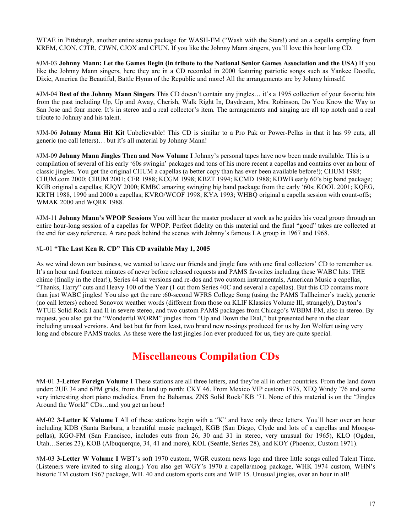WTAE in Pittsburgh, another entire stereo package for WASH-FM ("Wash with the Stars!) and an a capella sampling from KREM, CJON, CJTR, CJWN, CJOX and CFUN. If you like the Johnny Mann singers, you'll love this hour long CD.

#JM-03 **Johnny Mann: Let the Games Begin (in tribute to the National Senior Games Association and the USA)** If you like the Johnny Mann singers, here they are in a CD recorded in 2000 featuring patriotic songs such as Yankee Doodle, Dixie, America the Beautiful, Battle Hymn of the Republic and more! All the arrangements are by Johnny himself.

#JM-04 **Best of the Johnny Mann Singers** This CD doesn't contain any jingles… it's a 1995 collection of your favorite hits from the past including Up, Up and Away, Cherish, Walk Right In, Daydream, Mrs. Robinson, Do You Know the Way to San Jose and four more. It's in stereo and a real collector's item. The arrangements and singing are all top notch and a real tribute to Johnny and his talent.

#JM-06 **Johnny Mann Hit Kit** Unbelievable! This CD is similar to a Pro Pak or Power-Pellas in that it has 99 cuts, all generic (no call letters)… but it's all material by Johnny Mann!

#JM-09 **Johnny Mann Jingles Then and Now Volume I** Johnny's personal tapes have now been made available. This is a compilation of several of his early '60s swingin' packages and tons of his more recent a capellas and contains over an hour of classic jingles. You get the original CHUM a capellas (a better copy than has ever been available before!); CHUM 1988; CHUM.com 2000; CHUM 2001; CFR 1988; KCGM 1998; KBZT 1994; KCMD 1988; KDWB early 60's big band package; KGB original a capellas; KJQY 2000; KMBC amazing swinging big band package from the early '60s; KOOL 2001; KQEG, KRTH 1988, 1990 and 2000 a capellas; KVRO/WCOF 1998; KYA 1993; WHBQ original a capella session with count-offs; WMAK 2000 and WQRK 1988.

#JM-11 **Johnny Mann's WPOP Sessions** You will hear the master producer at work as he guides his vocal group through an entire hour-long session of a capellas for WPOP. Perfect fidelity on this material and the final "good" takes are collected at the end for easy reference. A rare peek behind the scenes with Johnny's famous LA group in 1967 and 1968.

#### #L-01 **"The Last Ken R. CD" This CD available May 1, 2005**

As we wind down our business, we wanted to leave our friends and jingle fans with one final collectors' CD to remember us. It's an hour and fourteen minutes of never before released requests and PAMS favorites including these WABC hits: THE chime (finally in the clear!), Series 44 air versions and re-dos and two custom instrumentals, American Music a capellas, "Thanks, Harry" cuts and Heavy 100 of the Year (1 cut from Series 40C and several a capellas). But this CD contains more than just WABC jingles! You also get the rare :60-second WFRS College Song (using the PAMS Tallheimer's track), generic (no call letters) echoed Sonovox weather words (different from those on KLIF Klassics Volume III, strangely), Dayton's WTUE Solid Rock I and II in severe stereo, and two custom PAMS packages from Chicago's WBBM-FM, also in stereo. By request, you also get the "Wonderful WORM" jingles from "Up and Down the Dial," but presented here in the clear including unused versions. And last but far from least, two brand new re-sings produced for us by Jon Wolfert using very long and obscure PAMS tracks. As these were the last jingles Jon ever produced for us, they are quite special.

#### **Miscellaneous Compilation CDs**

#M-01 **3-Letter Foreign Volume I** These stations are all three letters, and they're all in other countries. From the land down under: 2UE 34 and 6PM grids, from the land up north: CKY 46. From Mexico VIP custom 1975, XEQ Windy '76 and some very interesting short piano melodies. From the Bahamas, ZNS Solid Rock/'KB '71. None of this material is on the "Jingles Around the World" CDs…and you get an hour!

#M-02 **3-Letter K Volume I** All of these stations begin with a "K" and have only three letters. You'll hear over an hour including KDB (Santa Barbara, a beautiful music package), KGB (San Diego, Clyde and lots of a capellas and Moog-apellas), KGO-FM (San Francisco, includes cuts from 26, 30 and 31 in stereo, very unusual for 1965), KLO (Ogden, Utah…Series 23), KOB (Albuquerque, 34, 41 and more), KOL (Seattle, Series 28), and KOY (Phoenix, Custom 1971).

#M-03 **3-Letter W Volume I** WBT's soft 1970 custom, WGR custom news logo and three little songs called Talent Time. (Listeners were invited to sing along.) You also get WGY's 1970 a capella/moog package, WHK 1974 custom, WHN's historic TM custom 1967 package, WIL 40 and custom sports cuts and WIP 15. Unusual jingles, over an hour in all!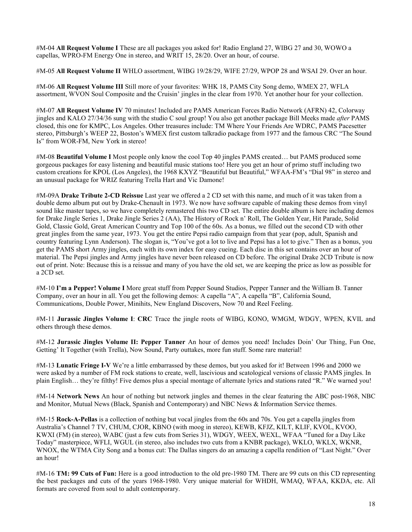#M-04 **All Request Volume I** These are all packages you asked for! Radio England 27, WIBG 27 and 30, WOWO a capellas, WPRO-FM Energy One in stereo, and WRIT 15, 28/20. Over an hour, of course.

#M-05 **All Request Volume II** WHLO assortment, WIBG 19/28/29, WIFE 27/29, WPOP 28 and WSAI 29. Over an hour.

#M-06 **All Request Volume III** Still more of your favorites: WHK 18, PAMS City Song demo, WMEX 27, WFLA assortment, WVON Soul Composite and the Cruisin' jingles in the clear from 1970. Yet another hour for your collection.

#M-07 **All Request Volume IV** 70 minutes! Included are PAMS American Forces Radio Network (AFRN) 42, Colorway jingles and KALO 27/34/36 sung with the studio C soul group! You also get another package Bill Meeks made *after* PAMS closed, this one for KMPC, Los Angeles. Other treasures include: TM Where Your Friends Are WDRC, PAMS Pacesetter stereo, Pittsburgh's WEEP 22, Boston's WMEX first custom talkradio package from 1977 and the famous CRC "The Sound Is" from WOR-FM, New York in stereo!

#M-08 **Beautiful Volume I** Most people only know the cool Top 40 jingles PAMS created… but PAMS produced some gorgeous packages for easy listening and beautiful music stations too! Here you get an hour of primo stuff including two custom creations for KPOL (Los Angeles), the 1968 KXYZ "Beautiful but Beautiful," WFAA-FM's "Dial 98" in stereo and an unusual package for WRIZ featuring Trella Hart and Vic Damone!

#M-09A **Drake Tribute 2-CD Reissue** Last year we offered a 2 CD set with this name, and much of it was taken from a double demo album put out by Drake-Chenault in 1973. We now have software capable of making these demos from vinyl sound like master tapes, so we have completely remastered this two CD set. The entire double album is here including demos for Drake Jingle Series 1, Drake Jingle Series 2 (AA), The History of Rock n' Roll, The Golden Year, Hit Parade, Solid Gold, Classic Gold, Great American Country and Top 100 of the 60s. As a bonus, we filled out the second CD with other great jingles from the same year, 1973. You get the entire Pepsi radio campaign from that year (pop, adult, Spanish and country featuring Lynn Anderson). The slogan is, "You've got a lot to live and Pepsi has a lot to give." Then as a bonus, you get the PAMS short Army jingles, each with its own index for easy cueing. Each disc in this set contains over an hour of material. The Pepsi jingles and Army jingles have never been released on CD before. The original Drake 2CD Tribute is now out of print. Note: Because this is a reissue and many of you have the old set, we are keeping the price as low as possible for a 2CD set.

#M-10 **I'm a Pepper! Volume I** More great stuff from Pepper Sound Studios, Pepper Tanner and the William B. Tanner Company, over an hour in all. You get the following demos: A capella "A", A capella "B", California Sound, Communications, Double Power, Minihits, New England Discovers, Now 70 and Reel Feeling.

#M-11 **Jurassic Jingles Volume I**: **CRC** Trace the jingle roots of WIBG, KONO, WMGM, WDGY, WPEN, KVIL and others through these demos.

#M-12 **Jurassic Jingles Volume II: Pepper Tanner** An hour of demos you need! Includes Doin' Our Thing, Fun One, Getting' It Together (with Trella), Now Sound, Party outtakes, more fun stuff. Some rare material!

#M-13 **Lunatic Fringe I-V** We're a little embarrassed by these demos, but you asked for it! Between 1996 and 2000 we were asked by a number of FM rock stations to create, well, lascivious and scatological versions of classic PAMS jingles. In plain English… they're filthy! Five demos plus a special montage of alternate lyrics and stations rated "R." We warned you!

#M-14 **Network News** An hour of nothing but network jingles and themes in the clear featuring the ABC post-1968, NBC and Monitor, Mutual News (Black, Spanish and Contemporary) and NBC News & Information Service themes.

#M-15 **Rock-A-Pellas** is a collection of nothing but vocal jingles from the 60s and 70s. You get a capella jingles from Australia's Channel 7 TV, CHUM, CJOR, KBNO (with moog in stereo), KEWB, KFJZ, KILT, KLIF, KVOL, KVOO, KWXI (FM) (in stereo), WABC (just a few cuts from Series 31), WDGY, WEEX, WEXL, WFAA "Tuned for a Day Like Today" masterpiece, WFLI, WGUL (in stereo, also includes two cuts from a KNBR package), WKLO, WKLX, WKNR, WNOX, the WTMA City Song and a bonus cut: The Dallas singers do an amazing a capella rendition of "Last Night." Over an hour!

#M-16 **TM: 99 Cuts of Fun:** Here is a good introduction to the old pre-1980 TM. There are 99 cuts on this CD representing the best packages and cuts of the years 1968-1980. Very unique material for WHDH, WMAQ, WFAA, KKDA, etc. All formats are covered from soul to adult contemporary.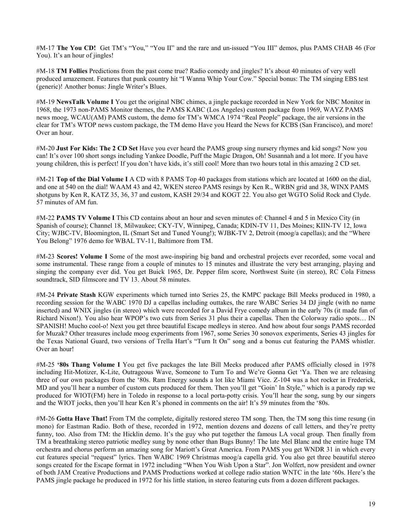#M-17 **The You CD!** Get TM's "You," "You II" and the rare and un-issued "You III" demos, plus PAMS CHAB 46 (For You). It's an hour of jingles!

#M-18 **TM Follies** Predictions from the past come true? Radio comedy and jingles? It's about 40 minutes of very well produced amazement. Features that punk country hit "I Wanna Whip Your Cow." Special bonus: The TM singing EBS test (generic)! Another bonus: Jingle Writer's Blues.

#M-19 **NewsTalk Volume I** You get the original NBC chimes, a jingle package recorded in New York for NBC Monitor in 1968, the 1973 non-PAMS Monitor themes, the PAMS KABC (Los Angeles) custom package from 1969, WAYZ PAMS news moog, WCAU(AM) PAMS custom, the demo for TM's WMCA 1974 "Real People" package, the air versions in the clear for TM's WTOP news custom package, the TM demo Have you Heard the News for KCBS (San Francisco), and more! Over an hour.

#M-20 **Just For Kids: The 2 CD Set** Have you ever heard the PAMS group sing nursery rhymes and kid songs? Now you can! It's over 100 short songs including Yankee Doodle, Puff the Magic Dragon, Oh! Susannah and a lot more. If you have young children, this is perfect! If you don't have kids, it's still cool! More than two hours total in this amazing 2 CD set.

#M-21 **Top of the Dial Volume I** A CD with 8 PAMS Top 40 packages from stations which are located at 1600 on the dial, and one at 540 on the dial! WAAM 43 and 42, WKEN stereo PAMS resings by Ken R., WRBN grid and 38, WINX PAMS shotguns by Ken R, KATZ 35, 36, 37 and custom, KASH 29/34 and KOGT 22. You also get WGTO Solid Rock and Clyde. 57 minutes of AM fun.

#M-22 **PAMS TV Volume I** This CD contains about an hour and seven minutes of: Channel 4 and 5 in Mexico City (in Spanish of course); Channel 18, Milwaukee; CKY-TV, Winnipeg, Canada; KDIN-TV 11, Des Moines; KIIN-TV 12, Iowa City; WJBC-TV, Bloomington, IL (Smart Set and Tuned Young!); WJBK-TV 2, Detroit (moog/a capellas); and the "Where You Belong" 1976 demo for WBAL TV-11, Baltimore from TM.

#M-23 **Scores! Volume I** Some of the most awe-inspiring big band and orchestral projects ever recorded, some vocal and some instrumental. These range from a couple of minutes to 15 minutes and illustrate the very best arranging, playing and singing the company ever did. You get Buick 1965, Dr. Pepper film score, Northwest Suite (in stereo), RC Cola Fitness soundtrack, SID filmscore and TV 13. About 58 minutes.

#M-24 **Private Stash** KGW experiments which turned into Series 25, the KMPC package Bill Meeks produced in 1980, a recording session for the WABC 1970 DJ a capellas including outtakes, the rare WABC Series 34 DJ jingle (with no name inserted) and WNIX jingles (in stereo) which were recorded for a David Frye comedy album in the early 70s (it made fun of Richard Nixon!). You also hear WPOP's two cuts from Series 31 plus their a capellas. Then the Colorway radio spots… IN SPANISH! Mucho cool-o! Next you get three beautiful Escape medleys in stereo. And how about four songs PAMS recorded for Muzak? Other treasures include moog experiments from 1967, some Series 30 sonovox experiments, Series 43 jingles for the Texas National Guard, two versions of Trella Hart's "Turn It On" song and a bonus cut featuring the PAMS whistler. Over an hour!

#M-25 **'80s Thang Volume I** You get five packages the late Bill Meeks produced after PAMS officially closed in 1978 including Hit-Motizer, K-Lite, Outrageous Wave, Someone to Turn To and We're Gonna Get 'Ya. Then we are releasing three of our own packages from the '80s. Ram Energy sounds a lot like Miami Vice. Z-104 was a hot rocker in Frederick, MD and you'll hear a number of custom cuts produced for them. Then you'll get "Goin' In Style," which is a parody rap we produced for WIOT(FM) here in Toledo in response to a local porta-potty crisis. You'll hear the song, sung by our singers and the WIOT jocks, then you'll hear Ken R's phoned in comments on the air! It's 59 minutes from the '80s.

#M-26 **Gotta Have That!** From TM the complete, digitally restored stereo TM song. Then, the TM song this time resung (in mono) for Eastman Radio. Both of these, recorded in 1972, mention dozens and dozens of call letters, and they're pretty funny, too. Also from TM: the Hicklin demo. It's the guy who put together the famous LA vocal group. Then finally from TM a breathtaking stereo patriotic medley sung by none other than Bugs Bunny! The late Mel Blanc and the entire huge TM orchestra and chorus perform an amazing song for Mariott's Great America. From PAMS you get WNDR 31 in which every cut features special "request" lyrics. Then WABC 1969 Christmas moog/a capella grid. You also get three beautiful stereo songs created for the Escape format in 1972 including "When You Wish Upon a Star". Jon Wolfert, now president and owner of both JAM Creative Productions and PAMS Productions worked at college radio station WNTC in the late '60s. Here's the PAMS jingle package he produced in 1972 for his little station, in stereo featuring cuts from a dozen different packages.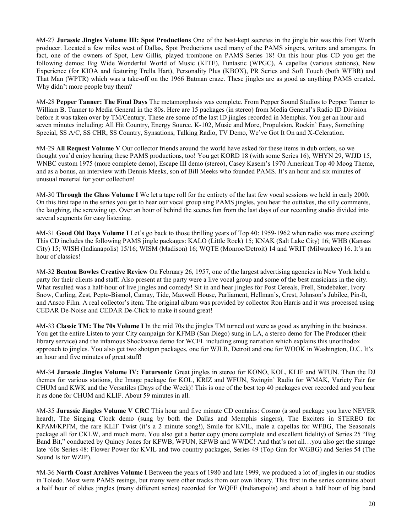#M-27 **Jurassic Jingles Volume III: Spot Productions** One of the best-kept secretes in the jingle biz was this Fort Worth producer. Located a few miles west of Dallas, Spot Productions used many of the PAMS singers, writers and arrangers. In fact, one of the owners of Spot, Lew Gillis, played trombone on PAMS Series 18! On this hour plus CD you get the following demos: Big Wide Wonderful World of Music (KITE), Funtastic (WPGC), A capellas (various stations), New Experience (for KIOA and featuring Trella Hart), Personality Plus (KBOX), PR Series and Soft Touch (both WFBR) and That Man (WPTR) which was a take-off on the 1966 Batman craze. These jingles are as good as anything PAMS created. Why didn't more people buy them?

#M-28 **Pepper Tanner: The Final Days** The metamorphosis was complete. From Pepper Sound Studios to Pepper Tanner to William B. Tanner to Media General in the 80s. Here are 15 packages (in stereo) from Media General's Radio ID Division before it was taken over by TM/Century. These are some of the last ID jingles recorded in Memphis. You get an hour and seven minutes including: All Hit Country, Energy Source, K-102, Music and More, Propulsion, Rockin' Easy, Something Special, SS A/C, SS CHR, SS Country, Synsations, Talking Radio, TV Demo, We've Got It On and X-Celeration.

#M-29 **All Request Volume V** Our collector friends around the world have asked for these items in dub orders, so we thought you'd enjoy hearing these PAMS productions, too! You get KORD 18 (with some Series 16), WHYN 29, WJJD 15, WNBC custom 1975 (more complete demo), Escape III demo (stereo), Casey Kasem's 1970 American Top 40 Moog Theme, and as a bonus, an interview with Dennis Meeks, son of Bill Meeks who founded PAMS. It's an hour and six minutes of unusual material for your collection!

#M-30 **Through the Glass Volume I** We let a tape roll for the entirety of the last few vocal sessions we held in early 2000. On this first tape in the series you get to hear our vocal group sing PAMS jingles, you hear the outtakes, the silly comments, the laughing, the screwing up. Over an hour of behind the scenes fun from the last days of our recording studio divided into several segments for easy listening.

#M-31 **Good Old Days Volume I** Let's go back to those thrilling years of Top 40: 1959-1962 when radio was more exciting! This CD includes the following PAMS jingle packages: KALO (Little Rock) 15; KNAK (Salt Lake City) 16; WHB (Kansas City) 15; WISH (Indianapolis) 15/16; WISM (Madison) 16; WQTE (Monroe/Detroit) 14 and WRIT (Milwaukee) 16. It's an hour of classics!

#M-32 **Benton Bowles Creative Review** On February 26, 1957, one of the largest advertising agencies in New York held a party for their clients and staff. Also present at the party were a live vocal group and some of the best musicians in the city. What resulted was a half-hour of live jingles and comedy! Sit in and hear jingles for Post Cereals, Prell, Studebaker, Ivory Snow, Carling, Zest, Pepto-Bismol, Camay, Tide, Maxwell House, Parliament, Hellman's, Crest, Johnson's Jubilee, Pin-It, and Ansco Film. A real collector's item. The original album was provided by collector Ron Harris and it was processed using CEDAR De-Noise and CEDAR De-Click to make it sound great!

#M-33 **Classic TM: The 70s Volume I** In the mid 70s the jingles TM turned out were as good as anything in the business. You get the entire Listen to your City campaign for KFMB (San Diego) sung in LA, a stereo demo for The Producer (their library service) and the infamous Shockwave demo for WCFL including smug narration which explains this unorthodox approach to jingles. You also get two shotgun packages, one for WJLB, Detroit and one for WOOK in Washington, D.C. It's an hour and five minutes of great stuff!

#M-34 **Jurassic Jingles Volume IV: Futursonic** Great jingles in stereo for KONO, KOL, KLIF and WFUN. Then the DJ themes for various stations, the Image package for KOL, KRIZ and WFUN, Swingin' Radio for WMAK, Variety Fair for CHUM and KWK and the Versatiles (Days of the Week)! This is one of the best top 40 packages ever recorded and you hear it as done for CHUM and KLIF. About 59 minutes in all.

#M-35 **Jurassic Jingles Volume V CRC** This hour and five minute CD contains: Cosmo (a soul package you have NEVER heard), The Singing Clock demo (sung by both the Dallas and Memphis singers), The Exciters in STEREO for KPAM/KPFM, the rare KLIF Twist (it's a 2 minute song!), Smile for KVIL, male a capellas for WFBG, The Seasonals package all for CKLW, and much more. You also get a better copy (more complete and excellent fidelity) of Series 25 "Big Band Bit," conducted by Quincy Jones for KFWB, WFUN, KFWB and WWDC! And that's not all…you also get the strange late '60s Series 48: Flower Power for KVIL and two country packages, Series 49 (Top Gun for WGBG) and Series 54 (The Sound Is for WZIP).

#M-36 **North Coast Archives Volume I** Between the years of 1980 and late 1999, we produced a lot of jingles in our studios in Toledo. Most were PAMS resings, but many were other tracks from our own library. This first in the series contains about a half hour of oldies jingles (many different series) recorded for WQFE (Indianapolis) and about a half hour of big band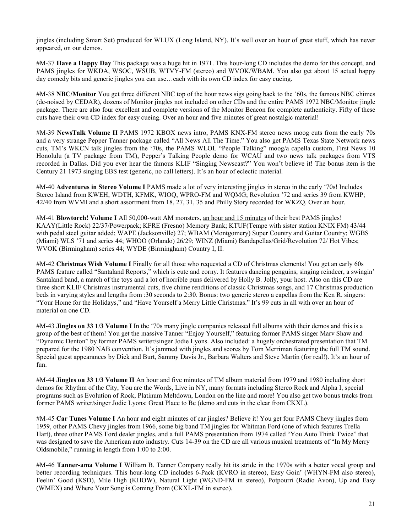jingles (including Smart Set) produced for WLUX (Long Island, NY). It's well over an hour of great stuff, which has never appeared, on our demos.

#M-37 **Have a Happy Day** This package was a huge hit in 1971. This hour-long CD includes the demo for this concept, and PAMS jingles for WKDA, WSOC, WSUB, WTVY-FM (stereo) and WVOK/WBAM. You also get about 15 actual happy day comedy bits and generic jingles you can use…each with its own CD index for easy cueing.

#M-38 **NBC/Monitor** You get three different NBC top of the hour news sigs going back to the '60s, the famous NBC chimes (de-noised by CEDAR), dozens of Monitor jingles not included on other CDs and the entire PAMS 1972 NBC/Monitor jingle package. There are also four excellent and complete versions of the Monitor Beacon for complete authenticity. Fifty of these cuts have their own CD index for easy cueing. Over an hour and five minutes of great nostalgic material!

#M-39 **NewsTalk Volume II** PAMS 1972 KBOX news intro, PAMS KNX-FM stereo news moog cuts from the early 70s and a very strange Pepper Tanner package called "All News All The Time." You also get PAMS Texas State Network news cuts, TM's WKCN talk jingles from the '70s, the PAMS WLOL "People Talking" moog/a capella custom, First News 10 Honolulu (a TV package from TM), Pepper's Talking People demo for WCAU and two news talk packages from VTS recorded in Dallas. Did you ever hear the famous KLIF "Singing Newscast?" You won't believe it! The bonus item is the Century 21 1973 singing EBS test (generic, no call letters). It's an hour of eclectic material.

#M-40 **Adventures in Stereo Volume I** PAMS made a lot of very interesting jingles in stereo in the early '70s! Includes Stereo Island from KWEH, WDTH, KFMK, WIOQ, WPRO-FM and WQMG; Revolution '72 and series 39 from KWHP; 42/40 from WVMI and a short assortment from 18, 27, 31, 35 and Philly Story recorded for WKZQ. Over an hour.

#M-41 **Blowtorch! Volume I** All 50,000-watt AM monsters, an hour and 15 minutes of their best PAMS jingles! KAAY(Little Rock) 22/37/Powerpack; KFRE (Fresno) Memory Bank; KTUF(Tempe with sister station KNIX FM) 43/44 with pedal steel guitar added; WAPE (Jacksonville) 27; WBAM (Montgomery) Super Country and Guitar Country; WGBS (Miami) WLS '71 and series 44; WHOO (Orlando) 26/29; WINZ (Miami) Bandapellas/Grid/Revolution 72/ Hot Vibes; WVOK (Birmingham) series 44; WYDE (Birmingham) Country I, II.

#M-42 **Christmas Wish Volume I** Finally for all those who requested a CD of Christmas elements! You get an early 60s PAMS feature called "Santaland Reports," which is cute and corny. It features dancing penguins, singing reindeer, a swingin' Santaland band, a march of the toys and a lot of horrible puns delivered by Holly B. Jolly, your host. Also on this CD are three short KLIF Christmas instrumental cuts, five chime renditions of classic Christmas songs, and 17 Christmas production beds in varying styles and lengths from :30 seconds to 2:30. Bonus: two generic stereo a capellas from the Ken R. singers: "Your Home for the Holidays," and "Have Yourself a Merry Little Christmas." It's 99 cuts in all with over an hour of material on one CD.

#M-43 **Jingles on 33 1/3 Volume I** In the '70s many jingle companies released full albums with their demos and this is a group of the best of them! You get the massive Tanner "Enjoy Yourself," featuring former PAMS singer Marv Shaw and "Dynamic Denton" by former PAMS writer/singer Jodie Lyons. Also included: a hugely orchestrated presentation that TM prepared for the 1980 NAB convention. It's jammed with jingles and scores by Tom Merriman featuring the full TM sound. Special guest appearances by Dick and Burt, Sammy Davis Jr., Barbara Walters and Steve Martin (for real!). It's an hour of fun.

#M-44 **Jingles on 33 1/3 Volume II** An hour and five minutes of TM album material from 1979 and 1980 including short demos for Rhythm of the City, You are the Words, Live in NY, many formats including Stereo Rock and Alpha I, special programs such as Evolution of Rock, Platinum Meltdown, London on the line and more! You also get two bonus tracks from former PAMS writer/singer Jodie Lyons: Great Place to Be (demo and cuts in the clear from CKXL).

#M-45 **Car Tunes Volume I** An hour and eight minutes of car jingles? Believe it! You get four PAMS Chevy jingles from 1959, other PAMS Chevy jingles from 1966, some big band TM jingles for Whitman Ford (one of which features Trella Hart), three other PAMS Ford dealer jingles, and a full PAMS presentation from 1974 called "You Auto Think Twice" that was designed to save the American auto industry. Cuts 14-39 on the CD are all various musical treatments of "In My Merry Oldsmobile," running in length from 1:00 to 2:00.

#M-46 **Tanner-ama Volume I** William B. Tanner Company really hit its stride in the 1970s with a better vocal group and better recording techniques. This hour-long CD includes 6-Pack (KVRO in stereo), Easy Goin' (WHYN-FM also stereo), Feelin' Good (KSD), Mile High (KHOW), Natural Light (WGND-FM in stereo), Potpourri (Radio Avon), Up and Easy (WMEX) and Where Your Song is Coming From (CKXL-FM in stereo).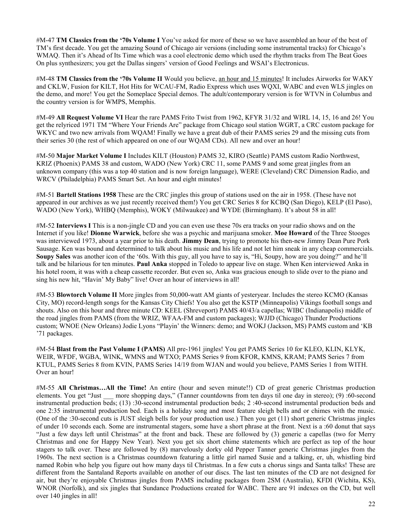#M-47 **TM Classics from the '70s Volume I** You've asked for more of these so we have assembled an hour of the best of TM's first decade. You get the amazing Sound of Chicago air versions (including some instrumental tracks) for Chicago's WMAQ. Then it's Ahead of Its Time which was a cool electronic demo which used the rhythm tracks from The Beat Goes On plus synthesizers; you get the Dallas singers' version of Good Feelings and WSAI's Electronicus.

#M-48 **TM Classics from the '70s Volume II** Would you believe, an hour and 15 minutes! It includes Airworks for WAKY and CKLW, Fusion for KILT, Hot Hits for WCAU-FM, Radio Express which uses WQXI, WABC and even WLS jingles on the demo, and more! You get the Someplace Special demos. The adult/contemporary version is for WTVN in Columbus and the country version is for WMPS, Memphis.

#M-49 **All Request Volume VI** Hear the rare PAMS Frito Twist from 1962, KFYR 31/32 and WIRL 14, 15, 16 and 26! You get the relyriced 1971 TM "Where Your Friends Are" package from Chicago soul station WGRT, a CRC custom package for WKYC and two new arrivals from WQAM! Finally we have a great dub of their PAMS series 29 and the missing cuts from their series 30 (the rest of which appeared on one of our WQAM CDs). All new and over an hour!

#M-50 **Major Market Volume I** Includes KILT (Houston) PAMS 32, KIRO (Seattle) PAMS custom Radio Northwest, KRIZ (Phoenix) PAMS 38 and custom, WADO (New York) CRC 11, some PAMS 9 and some great jingles from an unknown company (this was a top 40 station and is now foreign language), WERE (Cleveland) CRC Dimension Radio, and WRCV (Philadelphia) PAMS Smart Set. An hour and eight minutes!

#M-51 **Bartell Stations 1958** These are the CRC jingles this group of stations used on the air in 1958. (These have not appeared in our archives as we just recently received them!) You get CRC Series 8 for KCBQ (San Diego), KELP (El Paso), WADO (New York), WHBQ (Memphis), WOKY (Milwaukee) and WYDE (Birmingham). It's about 58 in all!

#M-52 **Interviews I** This is a non-jingle CD and you can even use these 70s era tracks on your radio shows and on the Internet if you like! **Dionne Warwick**, before she was a psychic and marijuana smoker. **Moe Howard** of the Three Stooges was interviewed 1973, about a year prior to his death. **Jimmy Dean**, trying to promote his then-new Jimmy Dean Pure Pork Sausage. Ken was bound and determined to talk about his music and his life and not let him sneak in any cheap commercials. **Soupy Sales** was another icon of the '60s. With this guy, all you have to say is, "Hi, Soupy, how are you doing?" and he'll talk and be hilarious for ten minutes. **Paul Anka** stopped in Toledo to appear live on stage. When Ken interviewed Anka in his hotel room, it was with a cheap cassette recorder. But even so, Anka was gracious enough to slide over to the piano and sing his new hit, "Havin' My Baby" live! Over an hour of interviews in all!

#M-53 **Blowtorch Volume II** More jingles from 50,000-watt AM giants of yesteryear. Includes the stereo KCMO (Kansas City, MO) record-length songs for the Kansas City Chiefs! You also get the KSTP (Minneapolis) Vikings football songs and shouts. Also on this hour and three minute CD: KEEL (Shreveport) PAMS 40/43/a capellas; WIBC (Indianapolis) middle of the road jingles from PAMS (from the WRIZ, WFAA-FM and custom packages); WJJD (Chicago) Thunder Productions custom; WNOE (New Orleans) Jodie Lyons "Playin' the Winners: demo; and WOKJ (Jackson, MS) PAMS custom and 'KB '71 packages.

#M-54 **Blast from the Past Volume I (PAMS)** All pre-1961 jingles! You get PAMS Series 10 for KLEO, KLIN, KLYK, WEIR, WFDF, WGBA, WINK, WMNS and WTXO; PAMS Series 9 from KFOR, KMNS, KRAM; PAMS Series 7 from KTUL, PAMS Series 8 from KVIN, PAMS Series 14/19 from WJAN and would you believe, PAMS Series 1 from WITH. Over an hour!

#M-55 **All Christmas…All the Time!** An entire (hour and seven minute!!) CD of great generic Christmas production elements. You get "Just \_\_\_ more shopping days," (Tanner countdowns from ten days til one day in stereo); (9) :60-second instrumental production beds; (13) :30-second instrumental production beds; 2 :40-second instrumental production beds and one 2:35 instrumental production bed. Each is a holiday song and most feature sleigh bells and or chimes with the music. (One of the :30-second cuts is JUST sleigh bells for your production use.) Then you get (11) short generic Christmas jingles of under 10 seconds each. Some are instrumental stagers, some have a short phrase at the front. Next is a :60 donut that says "Just a few days left until Christmas" at the front and back. These are followed by (3) generic a capellas (two for Merry Christmas and one for Happy New Year). Next you get six short chime statements which are perfect as top of the hour stagers to talk over. These are followed by (8) marvelously dorky old Pepper Tanner generic Christmas jingles from the 1960s. The next section is a Christmas countdown featuring a little girl named Susie and a talking, er, uh, whistling bird named Robin who help you figure out how many days til Christmas. In a few cuts a chorus sings and Santa talks! These are different from the Santaland Reports available on another of our discs. The last ten minutes of the CD are not designed for air, but they're enjoyable Christmas jingles from PAMS including packages from 2SM (Australia), KFDI (Wichita, KS), WNOR (Norfolk), and six jingles that Sundance Productions created for WABC. There are 91 indexes on the CD, but well over 140 jingles in all!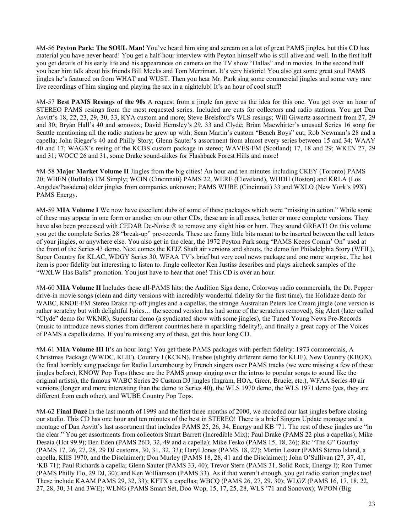#M-56 **Peyton Park: The SOUL Man!** You've heard him sing and scream on a lot of great PAMS jingles, but this CD has material you have never heard! You get a half-hour interview with Peyton himself who is still alive and well. In the first half you get details of his early life and his appearances on camera on the TV show "Dallas" and in movies. In the second half you hear him talk about his friends Bill Meeks and Tom Merriman. It's very historic! You also get some great soul PAMS jingles he's featured on from WHAT and WUST. Then you hear Mr. Park sing some commercial jingles and some very rare live recordings of him singing and playing the sax in a nightclub! It's an hour of cool stuff!

#M-57 **Best PAMS Resings of the 90s** A request from a jingle fan gave us the idea for this one. You get over an hour of STEREO PAMS resings from the most requested series. Included are cuts for collectors and radio stations. You get Dan Asvitt's 18, 22, 23, 29, 30, 33, KYA custom and more; Steve Brelsford's WLS resings; Will Giwertz assortment from 27, 29 and 30; Bryan Hall's 40 and sonovox; David Hemsley's 29, 33 and Clyde; Brian Macwhirter's unusual Series 16 song for Seattle mentioning all the radio stations he grew up with; Sean Martin's custom "Beach Boys" cut; Rob Newman's 28 and a capella; John Rieger's 40 and Philly Story; Glenn Sauter's assortment from almost every series between 15 and 34; WAAY 40 and 17; WAGX's resing of the KCBS custom package in stereo; WAVES-FM (Scotland) 17, 18 and 29; WKEN 27, 29 and 31; WOCC 26 and 31, some Drake sound-alikes for Flashback Forest Hills and more!

#M-58 **Major Market Volume II** Jingles from the big cities! An hour and ten minutes including CKEY (Toronto) PAMS 20; WBEN (Buffalo) TM Simply; WCIN (Cincinnati) PAMS 22, WERE (Cleveland), WHDH (Boston) and KRLA (Los Angeles/Pasadena) older jingles from companies unknown; PAMS WUBE (Cincinnati) 33 and WXLO (New York's 99X) PAMS Energy.

#M-59 **MIA Volume I** We now have excellent dubs of some of these packages which were "missing in action." While some of these may appear in one form or another on our other CDs, these are in all cases, better or more complete versions. They have also been processed with CEDAR De-Noise  $\circledast$  to remove any slight hiss or hum. They sound GREAT! On this volume you get the complete Series 28 "break-up" pre-records. These are funny little bits meant to be inserted between the call letters of your jingles, or anywhere else. You also get in the clear, the 1972 Peyton Park song "PAMS Keeps Comin' On" used at the front of the Series 43 demo. Next comes the KFJZ Shaft air versions and shouts, the demo for Philadelphia Story (WFIL), Super Country for KLAC, WDGY Series 30, WFAA TV's brief but very cool news package and one more surprise. The last item is poor fidelity but interesting to listen to. Jingle collector Ken Justiss describes and plays aircheck samples of the "WXLW Has Balls" promotion. You just have to hear that one! This CD is over an hour.

#M-60 **MIA Volume II** Includes these all-PAMS hits: the Audition Sigs demo, Colorway radio commercials, the Dr. Pepper drive-in movie songs (clean and dirty versions with incredibly wonderful fidelity for the first time), the Holidaze demo for WABC, KNOE-FM Stereo Drake rip-off jingles and a capellas, the strange Australian Peters Ice Cream jingle (one version is rather scratchy but with delightful lyrics… the second version has had some of the scratches removed), Sig Alert (later called "Clyde" demo for WKNR), Superstar demo (a syndicated show with some jingles), the Tuned Young News Pre-Records (music to introduce news stories from different countries here in sparkling fidelity!), and finally a great copy of The Voices of PAMS a capella demo. If you're missing any of these, get this hour long CD.

#M-61 **MIA Volume III** It's an hour long! You get these PAMS packages with perfect fidelity: 1973 commercials, A Christmas Package (WWDC, KLIF), Country I (KCKN), Frisbee (slightly different demo for KLIF), New Country (KBOX), the final horribly sung package for Radio Luxembourg by French singers over PAMS tracks (we were missing a few of these jingles before), KNOW Pop Tops (these are the PAMS group singing over the intros to popular songs to sound like the original artists), the famous WABC Series 29 Custom DJ jingles (Ingram, HOA, Greer, Brucie, etc.), WFAA Series 40 air versions (longer and more interesting than the demo to Series 40), the WLS 1970 demo, the WLS 1971 demo (yes, they are different from each other), and WUBE Country Pop Tops.

#M-62 **Final Daze** In the last month of 1999 and the first three months of 2000, we recorded our last jingles before closing our studio. This CD has one hour and ten minutes of the best in STEREO! There is a brief Singers Update montage and a montage of Dan Asvitt's last assortment that includes PAMS 25, 26, 34, Energy and KB '71. The rest of these jingles are "in the clear." You get assortments from collectors Stuart Barrett (Incredible Mix); Paul Drake (PAMS 22 plus a capellas); Mike Desaia (Hot 99.9); Ben Eden (PAMS 26D, 32, 49 and a capella); Mike Fesko (PAMS 15, 18, 26); Ric "The G" Gourlay (PAMS 17, 26, 27, 28, 29 DJ customs, 30, 31, 32, 33); Daryl Jones (PAMS 18, 27); Martin Lester (PAMS Stereo Island, a capella, KIIS 1970, and the Disclaimer); Don Murley (PAMS 18, 28, 41 and the Disclaimer); John O'Sullivan (27, 37, 41, 'KB 71); Paul Richards a capella; Glenn Sauter (PAMS 33, 40); Trevor Stern (PAMS 31, Solid Rock, Energy I); Ron Turner (PAMS Philly Flo, 29 DJ, 30); and Ken Williamson (PAMS 33). As if that weren't enough, you get radio station jingles too! These include KAAM PAMS 29, 32, 33); KFTX a capellas; WBCQ (PAMS 26, 27, 29, 30); WLGZ (PAMS 16, 17, 18, 22, 27, 28, 30, 31 and 3WE); WLNG (PAMS Smart Set, Doo Wop, 15, 17, 25, 28, WLS '71 and Sonovox); WPON (Big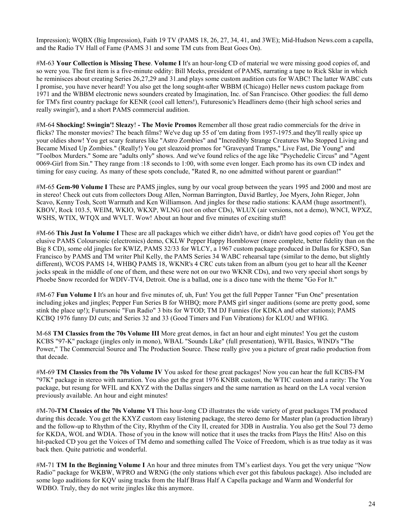Impression); WQBX (Big Impression), Faith 19 TV (PAMS 18, 26, 27, 34, 41, and 3WE); Mid-Hudson News.com a capella, and the Radio TV Hall of Fame (PAMS 31 and some TM cuts from Beat Goes On).

#M-63 **Your Collection is Missing These**. **Volume I** It's an hour-long CD of material we were missing good copies of, and so were you. The first item is a five-minute oddity: Bill Meeks, president of PAMS, narrating a tape to Rick Sklar in which he reminisces about creating Series 26,27,29 and 31 and plays some custom audition cuts for WABC! The latter WABC cuts I promise, you have never heard! You also get the long sought-after WBBM (Chicago) Heller news custom package from 1971 and the WBBM electronic news sounders created by Imagination, Inc. of San Francisco. Other goodies: the full demo for TM's first country package for KENR (cool call letters!), Futuresonic's Headliners demo (their high school series and really swingin'), and a short PAMS commercial audition.

#M-64 **Shocking! Swingin'! Sleazy**! **- The Movie Promos** Remember all those great radio commercials for the drive in flicks? The monster movies? The beach films? We've dug up 55 of 'em dating from 1957-1975.and they'll really spice up your oldies show! You get scary features like "Astro Zombies" and "Incredibly Strange Creatures Who Stopped Living and Became Mixed Up Zombies." (Really!) You get sleazoid promos for "Graveyard Tramps," Live Fast, Die Young" and "Toolbox Murders." Some are "adults only" shows. And we've found relics of the age like "Psychedelic Circus" and "Agent 0069-Girl from Sin." They range from :18 seconds to 1:00, with some even longer. Each promo has its own CD index and timing for easy cueing. As many of these spots conclude, "Rated R, no one admitted without parent or guardian!"

#M-65 **Gem-90 Volume I** These are PAMS jingles, sung by our vocal group between the years 1995 and 2000 and most are in stereo! Check out cuts from collectors Doug Allen, Norman Barrington, David Bartley, Joe Myers, John Rieger, John Scavo, Kenny Tosh, Scott Warmuth and Ken Williamson. And jingles for these radio stations: KAAM (huge assortment!), KBOV, Rock 103.5, WEIM, WKIO, WKXP, WLNG (not on other CDs), WLUX (air versions, not a demo), WNCI, WPXZ, WSHS, WTIX, WTQX and WVLT. Wow! About an hour and five minutes of exciting stuff!

#M-66 **This Just In Volume I** These are all packages which we either didn't have, or didn't have good copies of! You get the elusive PAMS Coloursonic (electronics) demo, CKLW Pepper Happy Hornblower (more complete, better fidelity than on the Big 8 CD), some old jingles for KWIZ, PAMS 32/33 for WLCY, a 1967 custom package produced in Dallas for KSFO, San Francisco by PAMS and TM writer Phil Kelly, the PAMS Series 34 WABC rehearsal tape (similar to the demo, but slightly different), WCOS PAMS 14, WHBQ PAMS 18, WKNR's 4 CRC cuts taken from an album (you get to hear all the Keener jocks speak in the middle of one of them, and these were not on our two WKNR CDs), and two very special short songs by Phoebe Snow recorded for WDIV-TV4, Detroit. One is a ballad, one is a disco tune with the theme "Go For It."

#M-67 **Fun Volume I** It's an hour and five minutes of, uh, Fun! You get the full Pepper Tanner "Fun One" presentation including jokes and jingles; Pepper Fun Series B for WHBQ; more PAMS girl singer auditions (some are pretty good, some stink the place up!); Futursonic "Fun Radio" 3 bits for WTOD; TM DJ Funnies (for KDKA and other stations); PAMS KCBQ 1976 funny DJ cuts; and Series 32 and 33 (Good Timers and Fun Vibrations) for KLOU and WFHG.

M-68 **TM Classics from the 70s Volume III** More great demos, in fact an hour and eight minutes! You get the custom KCBS "97-K" package (jingles only in mono), WBAL "Sounds Like" (full presentation), WFIL Basics, WIND's "The Power," The Commercial Source and The Production Source. These really give you a picture of great radio production from that decade.

#M-69 **TM Classics from the 70s Volume IV** You asked for these great packages! Now you can hear the full KCBS-FM "97K" package in stereo with narration. You also get the great 1976 KNBR custom, the WTIC custom and a rarity: The You package, but resung for WFIL and KXYZ with the Dallas singers and the same narration as heard on the LA vocal version previously available. An hour and eight minutes!

#M-70**-TM Classics of the 70s Volume VI** This hour-long CD illustrates the wide variety of great packages TM produced during this decade. You get the KXYZ custom easy listening package, the stereo demo for Master plan (a production library) and the follow-up to Rhythm of the City, Rhythm of the City II, created for 3DB in Australia. You also get the Soul 73 demo for KKDA, WOL and WDIA. Those of you in the know will notice that it uses the tracks from Plays the Hits! Also on this hit-packed CD you get the Voices of TM demo and something called The Voice of Freedom, which is as true today as it was back then. Quite patriotic and wonderful.

#M-71 **TM In the Beginning Volume I** An hour and three minutes from TM's earliest days. You get the very unique "Now Radio" package for WKBW, WPRO and WRNG (the only stations which ever got this fabulous package). Also included are some logo auditions for KQV using tracks from the Half Brass Half A Capella package and Warm and Wonderful for WDBO. Truly, they do not write jingles like this anymore.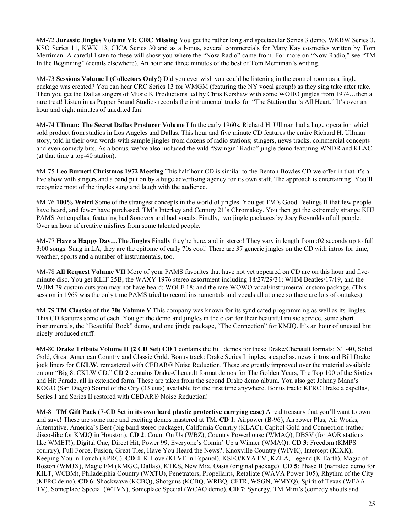#M-72 **Jurassic Jingles Volume VI: CRC Missing** You get the rather long and spectacular Series 3 demo, WKBW Series 3, KSO Series 11, KWK 13, CJCA Series 30 and as a bonus, several commercials for Mary Kay cosmetics written by Tom Merriman. A careful listen to these will show you where the "Now Radio" came from. For more on "Now Radio," see "TM In the Beginning" (details elsewhere). An hour and three minutes of the best of Tom Merriman's writing.

#M-73 **Sessions Volume I (Collectors Only!)** Did you ever wish you could be listening in the control room as a jingle package was created? You can hear CRC Series 13 for WMGM (featuring the NY vocal group!) as they sing take after take. Then you get the Dallas singers of Music K Productions led by Chris Kershaw with some WOHO jingles from 1974…then a rare treat! Listen in as Pepper Sound Studios records the instrumental tracks for "The Station that's All Heart." It's over an hour and eight minutes of unedited fun!

#M-74 **Ullman: The Secret Dallas Producer Volume I** In the early 1960s, Richard H. Ullman had a huge operation which sold product from studios in Los Angeles and Dallas. This hour and five minute CD features the entire Richard H. Ullman story, told in their own words with sample jingles from dozens of radio stations; stingers, news tracks, commercial concepts and even comedy bits. As a bonus, we've also included the wild "Swingin' Radio" jingle demo featuring WNDR and KLAC (at that time a top-40 station).

#M-75 **Leo Burnett Christmas 1972 Meeting** This half hour CD is similar to the Benton Bowles CD we offer in that it's a live show with singers and a band put on by a huge advertising agency for its own staff. The approach is entertaining! You'll recognize most of the jingles sung and laugh with the audience.

#M-76 **100% Weird** Some of the strangest concepts in the world of jingles. You get TM's Good Feelings II that few people have heard, and fewer have purchased, TM's Interkey and Century 21's Chromakey. You then get the extremely strange KHJ PAMS Articupellas, featuring bad Sonovox and bad vocals. Finally, two jingle packages by Joey Reynolds of all people. Over an hour of creative misfires from some talented people.

#M-77 **Have a Happy Day…The Jingles** Finally they're here, and in stereo! They vary in length from :02 seconds up to full 3:00 songs. Sung in LA, they are the epitome of early 70s cool! There are 37 generic jingles on the CD with intros for time, weather, sports and a number of instrumentals, too.

#M-78 **All Request Volume VII** More of your PAMS favorites that have not yet appeared on CD are on this hour and fiveminute disc. You get KLIF 25B; the WAXY 1976 stereo assortment including 18/27/29/31; WJIM Beatles/17/19, and the WJIM 29 custom cuts you may not have heard; WOLF 18; and the rare WOWO vocal/instrumental custom package. (This session in 1969 was the only time PAMS tried to record instrumentals and vocals all at once so there are lots of outtakes).

#M-79 **TM Classics of the 70s Volume V** This company was known for its syndicated programming as well as its jingles. This CD features some of each. You get the demo and jingles in the clear for their beautiful music service, some short instrumentals, the "Beautiful Rock" demo, and one jingle package, "The Connection" for KMJQ. It's an hour of unusual but nicely produced stuff.

**#**M-80 **Drake Tribute Volume II (2 CD Set) CD 1** contains the full demos for these Drake/Chenault formats: XT-40, Solid Gold, Great American Country and Classic Gold. Bonus track: Drake Series I jingles, a capellas, news intros and Bill Drake jock liners for **CKLW**, remastered with CEDAR<sup>®</sup> Noise Reduction. These are greatly improved over the material available on our "Big 8: CKLW CD." **CD 2** contains Drake-Chenault format demos for The Golden Years, The Top 100 of the Sixties and Hit Parade, all in extended form. These are taken from the second Drake demo album. You also get Johnny Mann's KOGO (San Diego) Sound of the City (33 cuts) available for the first time anywhere. Bonus track: KFRC Drake a capellas, Series I and Series II restored with CEDAR® Noise Reduction!

**#**M-81 **TM Gift Pack (7-CD Set in its own hard plastic protective carrying case)** A real treasury that you'll want to own and save! These are some rare and exciting demos mastered at TM. **CD 1**: Airpower (B-96), Airpower Plus, Air Works, Alternative, America's Best (big band stereo package), California Country (KLAC), Capitol Gold and Connection (rather disco-like for KMJQ in Houston). **CD 2**: Count On Us (WBZ), Country Powerhouse (WMAQ), DBSV (for AOR stations like WMET!), Digital One, Direct Hit, Power 99, Everyone's Comin' Up a Winner (WMAQ). **CD 3**: Freedom (KMPS country), Full Force, Fusion, Great Ties, Have You Heard the News?, Knoxville Country (WIVK), Intercept (KIXK), Keeping You in Touch (KPRC). **CD 4**: K-Love (KLVE in Espanol), KSFO/KYA FM, KZLA, Legend (K-Earth), Magic of Boston (WMJX), Magic FM (KMGC, Dallas), KTKS, New Mix, Oasis (original package). **CD 5**: Phase II (narrated demo for KILT, WCBM), Philadelphia Country (WXTU), Penetrators, Propellants, Retaliate (WAVA Power 105), Rhythm of the City (KFRC demo). **CD 6**: Shockwave (KCBQ), Shotguns (KCBQ, WRBQ, CFTR, WSGN, WMYQ), Spirit of Texas (WFAA TV), Someplace Special (WTVN), Someplace Special (WCAO demo). **CD 7**: Synergy, TM Mini's (comedy shouts and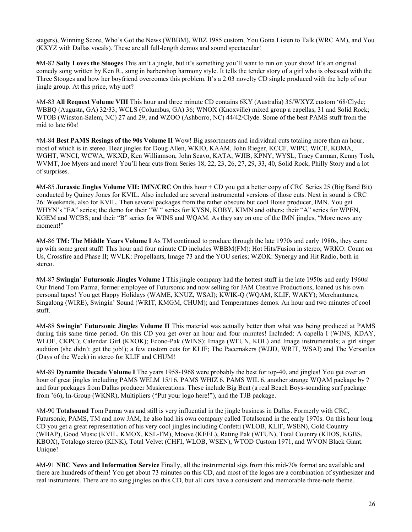stagers), Winning Score, Who's Got the News (WBBM), WBZ 1985 custom, You Gotta Listen to Talk (WRC AM), and You (KXYZ with Dallas vocals). These are all full-length demos and sound spectacular!

**#**M-82 **Sally Loves the Stooges** This ain't a jingle, but it's something you'll want to run on your show! It's an original comedy song written by Ken R., sung in barbershop harmony style. It tells the tender story of a girl who is obsessed with the Three Stooges and how her boyfriend overcomes this problem. It's a 2:03 novelty CD single produced with the help of our jingle group. At this price, why not?

#M-83 **All Request Volume VIII** This hour and three minute CD contains 6KY (Australia) 35/WXYZ custom '68/Clyde; WBBQ (Augusta, GA) 32/33; WCLS (Columbus, GA) 36; WNOX (Knoxville) mixed group a capellas, 31 and Solid Rock; WTOB (Winston-Salem, NC) 27 and 29; and WZOO (Ashborro, NC) 44/42/Clyde. Some of the best PAMS stuff from the mid to late 60s!

#M-84 **Best PAMS Resings of the 90s Volume II** Wow! Big assortments and individual cuts totaling more than an hour, most of which is in stereo. Hear jingles for Doug Allen, WKIO, KAAM, John Rieger, KCCF, WIPC, WICE, KOMA, WGHT, WNCI, WCWA, WKXD, Ken Williamson, John Scavo, KATA, WJIB, KPNY, WYSL, Tracy Carman, Kenny Tosh, WVMT, Joe Myers and more! You'll hear cuts from Series 18, 22, 23, 26, 27, 29, 33, 40, Solid Rock, Philly Story and a lot of surprises.

**#**M-85 **Jurassic Jingles Volume VII: IMN/CRC** On this hour + CD you get a better copy of CRC Series 25 (Big Band Bit) conducted by Quincy Jones for KVIL. Also included are several instrumental versions of those cuts. Next in sound is CRC 26: Weekends, also for KVIL. Then several packages from the rather obscure but cool Boise producer, IMN. You get WHYN's "FA" series; the demo for their "W " series for KYSN, KOBY, KIMN and others; their "A" series for WPEN, KGEM and WCBS; and their "B" series for WINS and WQAM. As they say on one of the IMN jingles, "More news any moment!"

**#**M-86 **TM: The Middle Years Volume I** As TM continued to produce through the late 1970s and early 1980s, they came up with some great stuff! This hour and four minute CD includes WBBM(FM): Hot Hits/Fusion in stereo; WRKO: Count on Us, Crossfire and Phase II; WVLK: Propellants, Image 73 and the YOU series; WZOK: Synergy and Hit Radio, both in stereo.

**#**M-87 **Swingin' Futursonic Jingles Volume I** This jingle company had the hottest stuff in the late 1950s and early 1960s! Our friend Tom Parma, former employee of Futursonic and now selling for JAM Creative Productions, loaned us his own personal tapes! You get Happy Holidays (WAME, KNUZ, WSAI); KWIK-Q (WQAM, KLIF, WAKY); Merchantunes, Singalong (WIRE), Swingin' Sound (WRIT, KMGM, CHUM); and Temperatunes demos. An hour and two minutes of cool stuff.

#M-88 **Swingin' Futursonic Jingles Volume II** This material was actually better than what was being produced at PAMS during this same time period. On this CD you get over an hour and four minutes! Included: A capella I (WINS, KDAY, WLOF, CKPC); Calendar Girl (KXOK); Econo-Pak (WINS); Image (WFUN, KOL) and Image instrumentals; a girl singer audition (she didn't get the job!); a few custom cuts for KLIF; The Pacemakers (WJJD, WRIT, WSAI) and The Versatiles (Days of the Week) in stereo for KLIF and CHUM!

#M-89 **Dynamite Decade Volume I** The years 1958-1968 were probably the best for top-40, and jingles! You get over an hour of great jingles including PAMS WELM 15/16, PAMS WHIZ 6, PAMS WIL 6, another strange WQAM package by ? and four packages from Dallas producer Musicreations. These include Big Beat (a real Beach Boys-sounding surf package from '66), In-Group (WKNR), Multipliers ("Put your logo here!"), and the TJB package.

#M-90 **Totalsound** Tom Parma was and still is very influential in the jingle business in Dallas. Formerly with CRC, Futursonic, PAMS, TM and now JAM, he also had his own company called Totalsound in the early 1970s. On this hour long CD you get a great representation of his very cool jingles including Confetti (WLOB, KLIF, WSEN), Gold Country (WBAP), Good Music (KVIL, KMOX, KSL-FM), Moove (KEEL), Rating Pak (WFUN), Total Country (KHOS, KGBS, KBOX), Totalogo stereo (KINK), Total Velvet (CHFI, WLOB, WSEN), WTOD Custom 1971, and WVON Black Giant. Unique!

#M-91 **NBC News and Information Service** Finally, all the instrumental sigs from this mid-70s format are available and there are hundreds of them! You get about 73 minutes on this CD, and most of the logos are a combination of synthesizer and real instruments. There are no sung jingles on this CD, but all cuts have a consistent and memorable three-note theme.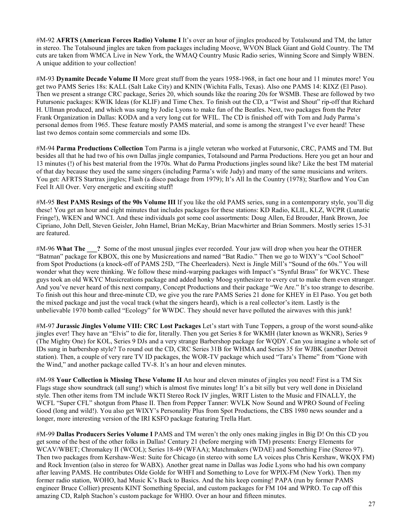#M-92 **AFRTS (American Forces Radio) Volume I** It's over an hour of jingles produced by Totalsound and TM, the latter in stereo. The Totalsound jingles are taken from packages including Moove, WVON Black Giant and Gold Country. The TM cuts are taken from WMCA Live in New York, the WMAQ Country Music Radio series, Winning Score and Simply WBEN. A unique addition to your collection!

#M-93 **Dynamite Decade Volume II** More great stuff from the years 1958-1968, in fact one hour and 11 minutes more! You get two PAMS Series 18s: KALL (Salt Lake City) and KNIN (Wichita Falls, Texas). Also one PAMS 14: KIXZ (El Paso). Then we present a strange CRC package, Series 20, which sounds like the roaring 20s for WSMB. These are followed by two Futursonic packages: KWIK Ideas (for KLIF) and Time Chex. To finish out the CD, a "Twist and Shout" rip-off that Richard H. Ullman produced, and which was sung by Jodie Lyons to make fun of the Beatles. Next, two packages from the Peter Frank Organization in Dallas: KODA and a very long cut for WFIL. The CD is finished off with Tom and Judy Parma's personal demos from 1965. These feature mostly PAMS material, and some is among the strangest I've ever heard! These last two demos contain some commercials and some IDs.

#M-94 **Parma Productions Collection** Tom Parma is a jingle veteran who worked at Futursonic, CRC, PAMS and TM. But besides all that he had two of his own Dallas jingle companies, Totalsound and Parma Productions. Here you get an hour and 13 minutes (!) of his best material from the 1970s. What do Parma Productions jingles sound like? Like the best TM material of that day because they used the same singers (including Parma's wife Judy) and many of the same musicians and writers. You get: AFRTS Startrax jingles; Flash (a disco package from 1979); It's All In the Country (1978); Starflow and You Can Feel It All Over. Very energetic and exciting stuff!

#M-95 **Best PAMS Resings of the 90s Volume III** If you like the old PAMS series, sung in a contemporary style, you'll dig these! You get an hour and eight minutes that includes packages for these stations: KD Radio, KLIL, KLZ, WCPR (Lunatic Fringe!), WKEN and WNCI. And these individuals got some cool assortments: Doug Allen, Ed Brouder, Hank Brown, Joe Cipriano, John Dell, Steven Geisler, John Hamel, Brian McKay, Brian Macwhirter and Brian Sommers. Mostly series 15-31 are featured.

#M-96 **What The \_\_\_?** Some of the most unusual jingles ever recorded. Your jaw will drop when you hear the OTHER "Batman" package for KBOX, this one by Musicreations and named "Bat Radio." Then we go to WIXY's "Cool School" from Spot Productions (a knock-off of PAMS 25D, "The Cheerleaders). Next is Jingle Mill's "Sound of the 60s." You will wonder what they were thinking. We follow these mind-warping packages with Impact's "Synful Brass" for WKYC. These guys took an old WKYC Musicreations package and added honky Moog synthesizer to every cut to make them even stranger. And you've never heard of this next company, Concept Productions and their package "We Are." It's too strange to describe. To finish out this hour and three-minute CD, we give you the rare PAMS Series 21 done for KHEY in El Paso. You get both the mixed package and just the vocal track (what the singers heard), which is a real collector's item. Lastly is the unbelievable 1970 bomb called "Ecology" for WWDC. They should never have polluted the airwaves with this junk!

#M-97 **Jurassic Jingles Volume VIII: CRC Lost Packages** Let's start with Tune Toppers, a group of the worst sound-alike jingles ever! They have an "Elvis" to die for, literally. Then you get Series 8 for WKMH (later known as WKNR), Series 9 (The Mighty One) for KOL, Series 9 DJs and a very strange Barbershop package for WQDY. Can you imagine a whole set of IDs sung in barbershop style? To round out the CD, CRC Series 31B for WHMA and Series 35 for WJBK (another Detroit station). Then, a couple of very rare TV ID packages, the WOR-TV package which used "Tara's Theme" from "Gone with the Wind," and another package called TV-8. It's an hour and eleven minutes.

#M-98 **Your Collection is Missing These Volume II** An hour and eleven minutes of jingles you need! First is a TM Six Flags stage show soundtrack (all sung!) which is almost five minutes long! It's a bit silly but very well done in Dixieland style. Then other items from TM include WKTI Stereo Rock IV jingles, WRIT Listen to the Music and FINALLY, the WCFL "Super CFL" shotgun from Phase II. Then from Pepper Tanner: WVLK Now Sound and WPRO Sound of Feeling Good (long and wild!). You also get WIXY's Personality Plus from Spot Productions, the CBS 1980 news sounder and a longer, more interesting version of the IRI KSFO package featuring Trella Hart.

#M-99 **Dallas Producers Series Volume I** PAMS and TM weren't the only ones making jingles in Big D! On this CD you get some of the best of the other folks in Dallas! Century 21 (before merging with TM) presents: Energy Elements for WCAV/WBET; Chromakey II (WCOL); Series 18-49 (WFAA); Matchmakers (WDAE) and Something Fine (Stereo 97). Then two packages from Kershaw-West: Suite for Chicago (in stereo with some LA voices plus Chris Kershaw, WKQX FM) and Rock Invention (also in stereo for WABX). Another great name in Dallas was Jodie Lyons who had his own company after leaving PAMS. He contributes Olde Golde for WHFI and Something to Love for WPIX-FM (New York). Then my former radio station, WOHO, had Music K's Back to Basics. And the hits keep coming! PAPA (run by former PAMS engineer Bruce Collier) presents KINT Something Special, and custom packages for FM 104 and WPRO. To cap off this amazing CD, Ralph Stachon's custom package for WHIO. Over an hour and fifteen minutes.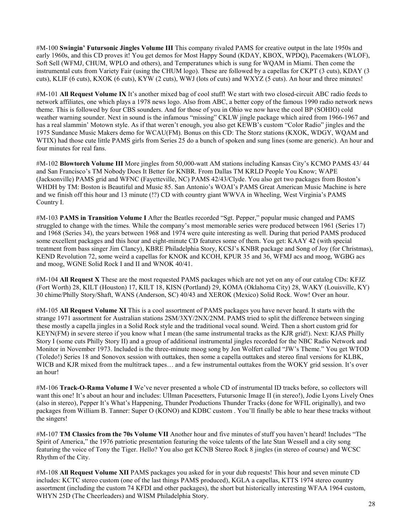#M-100 **Swingin' Futursonic Jingles Volume III** This company rivaled PAMS for creative output in the late 1950s and early 1960s, and this CD proves it! You get demos for Most Happy Sound (KDAY, KBOX, WPDQ), Pacemakers (WLOF), Soft Sell (WFMJ, CHUM, WPLO and others), and Temperatunes which is sung for WQAM in Miami. Then come the instrumental cuts from Variety Fair (using the CHUM logo). These are followed by a capellas for CKPT (3 cuts), KDAY (3 cuts), KLIF (6 cuts), KXOK (6 cuts), KYW (2 cuts), WWJ (lots of cuts) and WXYZ (5 cuts). An hour and three minutes!

#M-101 **All Request Volume IX** It's another mixed bag of cool stuff! We start with two closed-circuit ABC radio feeds to network affiliates, one which plays a 1978 news logo. Also from ABC, a better copy of the famous 1990 radio network news theme. This is followed by four CBS sounders. And for those of you in Ohio we now have the cool BP (SOHIO) cold weather warning sounder. Next in sound is the infamous "missing" CKLW jingle package which aired from 1966-1967 and has a real slammin' Motown style. As if that weren't enough, you also get KEWB's custom "Color Radio" jingles and the 1975 Sundance Music Makers demo for WCAU(FM). Bonus on this CD: The Storz stations (KXOK, WDGY, WQAM and WTIX) had those cute little PAMS girls from Series 25 do a bunch of spoken and sung lines (some are generic). An hour and four minutes for real fans.

#M-102 **Blowtorch Volume III** More jingles from 50,000-watt AM stations including Kansas City's KCMO PAMS 43/ 44 and San Francisco's TM Nobody Does It Better for KNBR. From Dallas TM KRLD People You Know; WAPE (Jacksonville) PAMS grid and WFNC (Fayetteville, NC) PAMS 42/43/Clyde. You also get two packages from Boston's WHDH by TM: Boston is Beautiful and Music 85. San Antonio's WOAI's PAMS Great American Music Machine is here and we finish off this hour and 13 minute (!?) CD with country giant WWVA in Wheeling, West Virginia's PAMS Country I.

#M-103 **PAMS in Transition Volume I** After the Beatles recorded "Sgt. Pepper," popular music changed and PAMS struggled to change with the times. While the company's most memorable series were produced between 1961 (Series 17) and 1968 (Series 34), the years between 1968 and 1974 were quite interesting as well. During that period PAMS produced some excellent packages and this hour and eight-minute CD features some of them. You get: KAAY 42 (with special treatment from bass singer Jim Clancy), KBRE Philadelphia Story, KCSJ's KNBR package and Song of Joy (for Christmas), KEND Revolution 72, some weird a capellas for KNOK and KCOH, KPUR 35 and 36, WFMJ acs and moog, WGBG acs and moog, WGNE Solid Rock I and II and WNOK 40/41.

#M-104 **All Request X** These are the most requested PAMS packages which are not yet on any of our catalog CDs: KFJZ (Fort Worth) 28, KILT (Houston) 17, KILT 18, KISN (Portland) 29, KOMA (Oklahoma City) 28, WAKY (Louisville, KY) 30 chime/Philly Story/Shaft, WANS (Anderson, SC) 40/43 and XEROK (Mexico) Solid Rock. Wow! Over an hour.

#M-105 **All Request Volume XI** This is a cool assortment of PAMS packages you have never heard. It starts with the strange 1971 assortment for Australian stations 2SM/3XY/2NX/2NM. PAMS tried to split the difference between singing these mostly a capella jingles in a Solid Rock style and the traditional vocal sound. Weird. Then a short custom grid for KEYN(FM) in severe stereo if you know what I mean (the same instrumental tracks as the KJR grid!). Next: KJAS Philly Story I (some cuts Philly Story II) and a group of additional instrumental jingles recorded for the NBC Radio Network and Monitor in November 1973. Included is the three-minute moog song by Jon Wolfert called "JW's Theme." You get WTOD (Toledo!) Series 18 and Sonovox session with outtakes, then some a capella outtakes and stereo final versions for KLBK, WICB and KJR mixed from the multitrack tapes... and a few instrumental outtakes from the WOKY grid session. It's over an hour!

#M-106 **Track-O-Rama Volume I** We've never presented a whole CD of instrumental ID tracks before, so collectors will want this one! It's about an hour and includes: Ullman Pacesetters, Futursonic Image II (in stereo!), Jodie Lyons Lively Ones (also in stereo), Pepper It's What's Happening, Thunder Productions Thunder Tracks (done for WFIL originally), and two packages from William B. Tanner: Super O (KONO) and KDBC custom . You'll finally be able to hear these tracks without the singers!

#M-107 **TM Classics from the 70s Volume VII** Another hour and five minutes of stuff you haven't heard! Includes "The Spirit of America," the 1976 patriotic presentation featuring the voice talents of the late Stan Wessell and a city song featuring the voice of Tony the Tiger. Hello? You also get KCNB Stereo Rock 8 jingles (in stereo of course) and WCSC Rhythm of the City.

#M-108 **All Request Volume XII** PAMS packages you asked for in your dub requests! This hour and seven minute CD includes: KCTC stereo custom (one of the last things PAMS produced), KGLA a capellas, KTTS 1974 stereo country assortment (including the custom 74 KFDI and other packages), the short but historically interesting WFAA 1964 custom, WHYN 25D (The Cheerleaders) and WISM Philadelphia Story.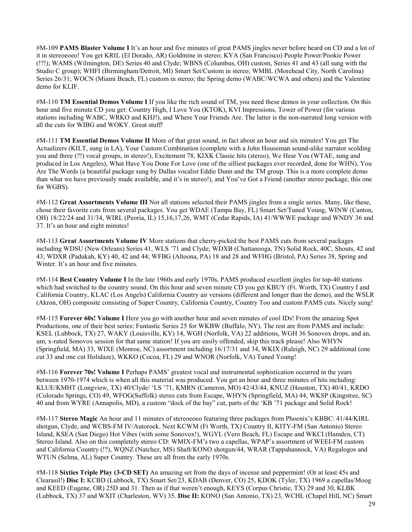#M-109 **PAMS Blaster Volume I** It's an hour and five minutes of great PAMS jingles never before heard on CD and a lot of it in stereoeoeo! You get KRIL (El Dorado, AR) Goldmine in stereo; KYA (San Francisco) People Power/Pookie Power (!?!); WAMS (Wilmington, DE) Series 40 and Clyde; WBNS (Columbus, OH) custom, Series 41 and 43 (all sung with the Studio C group); WHFI (Birmingham/Detroit, MI) Smart Set/Custom in stereo; WMBL (Morehead City, North Carolina) Series 26/31; WOCN (Miami Beach, FL) custom in stereo; the Spring demo (WABC/WCWA and others) and the Valentine demo for KLIF.

#M-110 **TM Essential Demos Volume I** If you like the rich sound of TM, you need these demos in your collection. On this hour and five minute CD you get: Country High, I Love You (KTOK), KVI Impressions, Tower of Power (for various stations including WABC, WRKO and KHJ!), and Where Your Friends Are. The latter is the non-narrated long version with all the cuts for WIBG and WOKY. Great stuff!

#M-111 **TM Essential Demos Volume II** More of that great sound, in fact about an hour and six minutes! You get The Actualizers (KILT, sung in LA), Your Custom Combination (complete with a John Houseman sound-alike narrator scolding you and three (?!) vocal groups, in stereo!), Excitement 78, KIXK Classic hits (stereo), We Hear You (WTAE, sung and produced in Los Angeles), What Have You Done For Love (one of the silliest packages ever recorded, done for WHN), You Are The Words (a beautiful package sung by Dallas vocalist Eddie Dunn and the TM group. This is a more complete demo than what we have previously made available, and it's in stereo!), and You've Got a Friend (another stereo package, this one for WGBS).

#M-112 **Great Assortments Volume III** Not all stations selected their PAMS jingles from a single series. Many, like these, chose their favorite cuts from several packages. You get WDAE (Tampa Bay, FL) Smart Set/Tuned Young, WINW (Canton, OH) 18/22/24 and 31/34, WIRL (Peoria, IL) 15,16,17,26, WMT (Cedar Rapids, IA) 41/WWWE package and WNDY 36 and 37. It's an hour and eight minutes!

#M-113 **Great Assortments Volume IV** More stations that cherry-picked the best PAMS cuts from several packages including WDSU (New Orleans) Series 41, WLS '71 and Clyde; WDXB (Chattanooga, TN) Solid Rock, 40C, Shouts, 42 and 43; WDXR (Padukah, KY) 40, 42 and 44; WFBG (Altoona, PA) 18 and 28 and WFHG (Bristol, PA) Series 38, Spring and Winter. It's an hour and five minutes.

#M-114 **Best Country Volume I** In the late 1960s and early 1970s, PAMS produced excellent jingles for top-40 stations which had switched to the country sound. On this hour and seven minute CD you get KBUY (Ft. Worth, TX) Country I and California Country, KLAC (Los Angels) California Country air versions (different and longer than the demo), and the WSLR (Akron, OH) composite consisting of Super Country, California Country, Country Too and custom PAMS cuts. Nicely sung!

#M-115 **Forever 60s! Volume I** Here you go with another hour and seven minutes of cool IDs! From the amazing Spot Productions, one of their best series: Funtastic Series 25 for WKBW (Buffalo, NY). The rest are from PAMS and include: KSEL (Lubbock, TX) 27, WAKY (Louisville, KY) 14, WGH (Norfolk, VA) 22 additions, WGH 36 Sonovox drops, and an, um, x-rated Sonovox session for that same station! If you are easily offended, skip this track please! Also WHYN (Springfield, MA) 33, WIXE (Monroe, NC) assortment including 16/17/31 and 34, WKIX (Raleigh, NC) 29 additional (one cut 33 and one cut Holidaze), WKKO (Cocoa, FL) 29 and WNOR (Norfolk, VA) Tuned Young!

#M-116 **Forever 70s! Volume I** Perhaps PAMS' greatest vocal and instrumental sophistication occurred in the years between 1970-1974 which is when all this material was produced. You get an hour and three minutes of hits including: KLUE/KMHT (Longview, TX) 40/Clyde/ 'LS '71, KMRN (Cameron, MO) 42/43/44, KNUZ (Houston, TX) 40/41, KRDO (Colorado Springs, CO) 49, WFOG(Suffolk) stereo cuts from Escape, WHYN (Springfield, MA) 44, WKSP (Kingstree, SC) 40 and from WYRE (Annapolis, MD), a custom "dock of the bay" cut, parts of the 'KB '71 package and Solid Rock!

#M-117 **Stereo Magic** An hour and 11 minutes of stereoeoeo featuring three packages from Phoenix's KBBC: 41/44/KIRL shotgun, Clyde, and WCBS-FM IV/Autorock. Next KCWM (Ft Worth, TX) Country II, KITY-FM (San Antonio) Stereo Island, KSEA (San Diego) Hot Vibes (with some Sonovox!), WGYL (Vero Beach, FL) Escape and WKCI (Hamden, CT) Stereo Island. Also on this completely stereo CD: WMIX-FM's two a capellas, WPAP's assortment of WEEI-FM custom and California Country (!?), WQNZ (Natchez, MS) Shaft/KONO shotgun/44, WRAR (Tappahannock, VA) Regalogos and WTUN (Selma, AL) Super Country. These are all from the early 1970s.

#M-118 **Sixties Triple Play (3-CD SET)** An amazing set from the days of incense and peppermint! (Or at least 45s and Clearasil!) **Disc I:** KCBD (Lubbock, TX) Smart Set/23, KDAB (Denver, CO) 25, KDOK (Tyler, TX) 1969 a capellas/Moog and KEED (Eugene, OR) 25D and 31. Then as if that weren't enough, KEYS (Corpus Christie, TX) 29 and 30, KLBK (Lubbock, TX) 37 and WXIT (Charleston, WV) 35. **Disc II:** KONO (San Antonio, TX) 23, WCHL (Chapel Hill, NC) Smart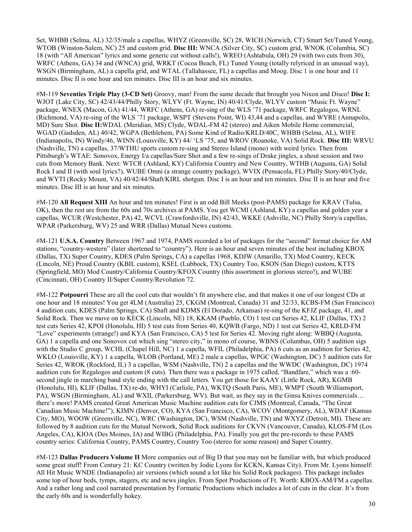Set, WHBB (Selma, AL) 32/35/male a capellas, WHYZ (Greenville, SC) 28, WICH (Norwich, CT) Smart Set/Tuned Young, WTOB (Winston-Salem, NC) 25 and custom grid. **Disc III:** WNCA (Silver City, SC) custom grid, WNOK (Columbia, SC) 18 (with "All American" lyrics and some generic cut without calls!), WREO (Ashtabula, OH) 29 (with two cuts from 30), WRFC (Athens, GA) 34 and (WNCA) grid, WRKT (Cocoa Beach, FL) Tuned Young (totally relyriced in an unusual way), WSGN (Birmingham, AL) a capella grid, and WTAL (Tallahassee, FL) a capellas and Moog. Disc 1 is one hour and 11 minutes. Disc II is one hour and ten minutes. Disc III is an hour and six minutes.

#M-119 **Seventies Triple Play (3-CD Set)** Groovy, man! From the same decade that brought you Nixon and Disco! **Disc I:**  WJOT (Lake City, SC) 42/43/44/Philly Story, WLYV (Ft. Wayne, IN) 40/41/Clyde, WLYV custom "Music Ft. Wayne" package, WNEX (Macon, GA) 41/44, WRFC (Athens, GA) re-sing of the WLS '71 package, WRFC Regalogos, WRNL (Richmond, VA) re-sing of the WLS '71 package, WSPT (Stevens Point, WI) 43,44 and a capellas, and WYRE (Annapolis, MD) Sure Shot. **Disc II:**WDAL (Meridian, MS) Clyde, WDAL-FM 42 (stereo) and Aiken Mobile Home commercial, WGAD (Gadsden, AL) 40/42, WGPA (Bethlehem, PA) Some Kind of Radio/KRLD/40C, WHBB (Selma, AL), WIFE (Indianapolis, IN) Windy/46, WINN (Louisville, KY) 44/ 'LS '75, and WROV (Roanoke, VA) Solid Rock. **Disc III:** WRVU (Nashville, TN) a capellas, 37/WTHU sports custom re-sing and Stereo Island (mono) with weird lyrics. Then from Pittsburgh's WTAE: Sonovox, Energy I/a capellas/Sure Shot and a few re-sings of Drake jingles, a shout session and two cuts from Memory Bank. Next: WTCR (Ashland, KY) California Country and New Country, WTHB (Augusta, GA) Solid Rock I and II (with soul lyrics?), WUBE Omni (a strange country package), WVIX (Pensacola, FL) Philly Story/40/Clyde, and WYTI (Rocky Mount, VA) 40/42/44/Shaft/KIRL shotgun. Disc I is an hour and ten minutes. Disc II is an hour and five minutes. Disc III is an hour and six minutes.

#M-120 **All Request XIII** An hour and ten minutes! First is an odd Bill Meeks (post-PAMS) package for KRAV (Tulsa, OK), then the rest are from the 60s and 70s archives at PAMS. You get WCMI (Ashland, KY) a capellas and golden year a capellas, WCUR (Westchester, PA) 42, WCVL (Crawfordsville, IN) 42/43, WKKE (Ashville, NC) Philly Story/a capellas, WPAR (Parkersburg, WV) 25 and WRR (Dallas) Mutual News customs.

#M-121 **U.S.A. Country** Between 1967 and 1974, PAMS recorded a lot of packages for the "second" format choice for AM stations, "country-western" (later shortened to "country"). Here is an hour and seven minutes of the best including KBOX (Dallas, TX) Super Country, KDES (Palm Springs, CA) a capellas 1968, KDJW (Amarillo, TX) Mod Country, KECK (Lincoln, NE) Proud Country (KBIL custom), KSEL (Lubbock, TX) Country Too, KSON (San Diego) custom, KTTS (Springfield, MO) Mod Country/California Country/KFOX Country (this assortment in glorious stereo!), and WUBE (Cincinnati, OH) Country II/Super Country/Revolution 72.

#M-122 **Potpourri** These are all the cool cuts that wouldn't fit anywhere else, and that makes it one of our longest CDs at one hour and 18 minutes! You get 4LM (Australia) 25, CKGM (Montreal, Canada) 31 and 32/33, KCBS-FM (San Francisco) 4 audition cuts, KDES (Palm Springs, CA) Shaft and KDMS (El Dorado, Arkansas) re-sing of the KFJZ package, 41, and Solid Rock. Then we move on to KECK (Lincoln, NE) 18, KKAM (Pueblo, CO) 1 test cut Series 42, KLIF (Dallas, TX) 2 test cuts Series 42, KPOI (Honolulu, HI) 5 test cuts from Series 40, KQWB (Fargo, ND) 1 test cut Series 42, KRLD-FM "Love" experiments (strange!) and KYA (San Francisco, CA) 5 test for Series 42. Moving right along: WBBQ (Augusta, GA) 1 a capella and one Sonovox cut which sing "stereo city," in mono of course, WBNS (Columbus, OH) 5 audition sigs with the Studio C group, WCHL (Chapel Hill, NC) 1 a capella, WFIL (Philadelphia, PA) 6 cuts as an audition for Series 42, WKLO (Louisville, KY) 1 a capella, WLOB (Portland, ME) 2 male a capellas, WPGC (Washington, DC) 5 audition cuts for Series 42, WROK (Rockford, IL) 3 a capellas, WSM (Nashville, TN) 2 a capellas and the WWDC (Washington, DC) 1974 audition cuts for Regalogos and custom (8 cuts). Then there was a package in 1975 called, "Bandfare," which was a :60 second jingle in marching band style ending with the call letters. You get those for KAAY (Little Rock, AR), KGMB (Honolulu, HI), KLIF (Dallas, TX) re-do, WHYI (Carlisle, PA), WKTQ (South Paris, ME), WMPT (South Williamsport, PA), WSGN (Birmingham, AL) and WXIL (Parkersburg, WV). But wait, as they say in the Ginsu Knives commercials… there's more! PAMS created Great American Music Machine audition cuts for CJMS (Montreal, Canada, "The Great Canadian Music Machine!"), KIMN (Denver, CO), KYA (San Francisco, CA), WCOV (Montgomery, AL), WDAF (Kansas City, MO), WOOW (Greenville, NC), WRC (Washington, DC), WSM (Nashville, TN) and WXYZ (Detroit, MI). These are followed by 8 audition cuts for the Mutual Network, Solid Rock auditions for CKVN (Vancouver, Canada), KLOS-FM (Los Angeles, CA), KIOA (Des Moines, IA) and WIBG (Philadelphia, PA). Finally you get the pre-records to these PAMS country series: California Country, PAMS Country, Country Too (stereo for some reason) and Super Country.

#M-123 **Dallas Producers Volume II** More companies out of Big D that you may not be familiar with, but which produced some great stuff! From Century 21: KC Country (written by Jodie Lyons for KCKN, Kansas City). From Mr. Lyons himself: All Hit Music WNDE (Indianapolis) air versions (which sound a lot like his Solid Rock packages). This package includes some top of hour beds, tymps, stagers, etc and news jingles. From Spot Productions of Ft. Worth: KBOX-AM/FM a capellas. And a rather long and cool narrated presentation by Formatic Productions which includes a lot of cuts in the clear. It's from the early 60s and is wonderfully hokey.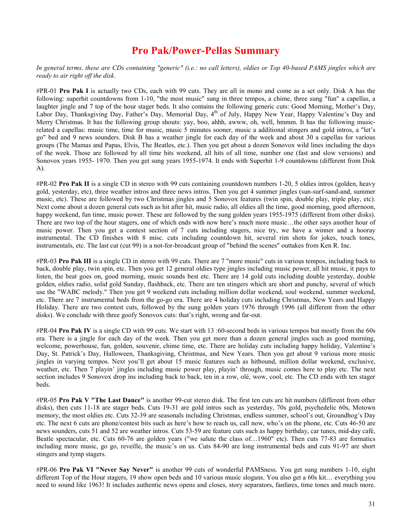#### **Pro Pak/Power-Pellas Summary**

#### *In general terms, these are CDs containing "generic" (i.e.: no call letters), oldies or Top 40-based PAMS jingles which are ready to air right off the disk.*

#PR-01 **Pro Pak I** is actually two CDs, each with 99 cuts. They are all in mono and come as a set only. Disk A has the following: superhit countdowns from 1-10, "the most music" sung in three tempos, a chime, three sung "fun" a capellas, a laughter jingle and 7 top of the hour stager beds. It also contains the following generic cuts: Good Morning, Mother's Day, Labor Day, Thanksgiving Day, Father's Day, Memorial Day, 4<sup>th</sup> of July, Happy New Year, Happy Valentine's Day and Merry Christmas. It has the following group shouts: yay, boo, ahhh, awww, oh, well, hmmm. It has the following musicrelated a capellas: music time, time for music, music 5 minutes sooner, music a additional stingers and gold intros, a "let's go" bed and 9 news sounders. Disk B has a weather jingle for each day of the week and about 30 a capellas for various groups (The Mamas and Papas, Elvis, The Beatles, etc.). Then you get about a dozen Sonovox wild lines including the days of the week. Those are followed by all time hits weekend, all hits of all time, number one (fast and slow versions) and Sonovox years 1955- 1970. Then you get sung years 1955-1974. It ends with Superhit 1-9 countdowns (different from Disk A).

#PR-02 **Pro Pak II** is a single CD in stereo with 99 cuts containing countdown numbers 1-20, 5 oldies intros (golden, heavy gold, yesterday, etc), three weather intros and three news intros. Then you get 4 summer jingles (sun-surf-sand-and, summer music, etc). These are followed by two Christmas jingles and 5 Sonovox features (twin spin, double play, triple play, etc). Next come about a dozen general cuts such as hit after hit, music radio, all oldies all the time, good morning, good afternoon, happy weekend, fun time, music power. These are followed by the sung golden years 1955-1975 (different from other disks). There are two top of the hour stagers, one of which ends with now here's much more music…the other says another hour of music power. Then you get a contest section of 7 cuts including stagers, nice try, we have a winner and a hooray instrumental. The CD finishes with 8 misc. cuts including countdown hit, several rim shots for jokes, touch tones, instrumentals, etc. The last cut (cut 99) is a not-for-broadcast group of "behind the scenes" outtakes from Ken R. Inc.

#PR-03 **Pro Pak III** is a single CD in stereo with 99 cuts. There are 7 "more music" cuts in various tempos, including back to back, double play, twin spin, etc. Then you get 12 general oldies type jingles including music power, all hit music, it pays to listen, the beat goes on, good morning, music sounds best etc. There are 14 gold cuts including double yesterday, double golden, oldies radio, solid gold Sunday, flashback, etc. There are ten stingers which are short and punchy, several of which use the "WABC melody." Then you get 9 weekend cuts including million dollar weekend, soul weekend, summer weekend, etc. There are 7 instrumental beds from the go-go era. There are 4 holiday cuts including Christmas, New Years and Happy Holiday. There are two contest cuts, followed by the sung golden years 1976 through 1996 (all different from the other disks). We conclude with three goofy Sonovox cuts: that's right, wrong and far-out.

#PR-04 **Pro Pak IV** is a single CD with 99 cuts. We start with 13 :60-second beds in various tempos but mostly from the 60s era. There is a jingle for each day of the week. Then you get more than a dozen general jingles such as good morning, welcome, powerhouse, fun, golden, souvenir, chime time, etc. There are holiday cuts including happy holiday, Valentine's Day, St. Patrick's Day, Halloween, Thanksgiving, Christmas, and New Years. Then you get about 9 various more music jingles in varying tempos. Next you'll get about 15 music features such as hitbound, million dollar weekend, exclusive, weather, etc. Then 7 playin' jingles including music power play, playin' through, music comes here to play etc. The next section includes 9 Sonovox drop ins including back to back, ten in a row, olé, wow, cool, etc. The CD ends with ten stager beds.

#PR-05 **Pro Pak V "The Last Dance"** is another 99-cut stereo disk. The first ten cuts are hit numbers (different from other disks), then cuts 11-18 are stager beds. Cuts 19-31 are gold intros such as yesterday, 70s gold, psychedelic 60s, Motown memory, the most oldies etc. Cuts 32-39 are seasonals including Christmas, endless summer, school's out, Groundhog's Day etc. The next 6 cuts are phone/contest bits such as here's how to reach us, call now, who's on the phone, etc. Cuts 46-50 are news sounders, cuts 51 and 52 are weather intros. Cuts 53-59 are feature cuts such as happy birthday, car tunes, mid-day café, Beatle spectacular, etc. Cuts 60-76 are golden years ("we salute the class of…1960" etc). Then cuts 77-83 are formatics including more music, go go, reveille, the music's on us. Cuts 84-90 are long instrumental beds and cuts 91-97 are short stingers and tymp stagers.

#PR-06 **Pro Pak VI "Never Say Never"** is another 99 cuts of wonderful PAMSness. You get sung numbers 1-10, eight different Top of the Hour stagers, 19 show open beds and 10 various music slogans. You also get a 60s kit… everything you need to sound like 1963! It includes authentic news opens and closes, story separators, fanfares, time tones and much more.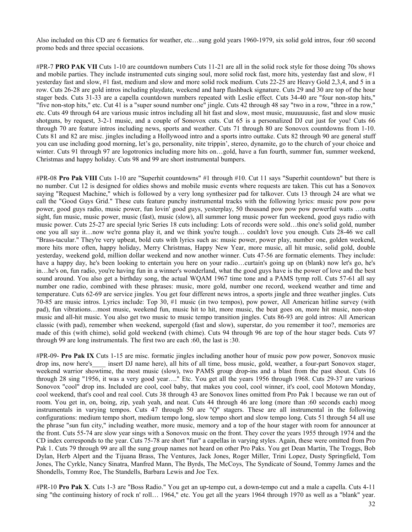Also included on this CD are 6 formatics for weather, etc…sung gold years 1960-1979, six solid gold intros, four :60 second promo beds and three special occasions.

#PR-7 **PRO PAK VII** Cuts 1-10 are countdown numbers Cuts 11-21 are all in the solid rock style for those doing 70s shows and mobile parties. They include instrumented cuts singing soul, more solid rock fast, more hits, yesterday fast and slow, #1 yesterday fast and slow, #1 fast, medium and slow and more solid rock medium. Cuts 22-25 are Heavy Gold 2,3,4, and 5 in a row. Cuts 26-28 are gold intros including playdate, weekend and harp flashback signature. Cuts 29 and 30 are top of the hour stager beds. Cuts 31-33 are a capella countdown numbers repeated with Leslie effect. Cuts 34-40 are "four non-stop hits," "five non-stop hits," etc. Cut 41 is a "super sound number one" jingle. Cuts 42 through 48 say "two in a row, "three in a row," etc. Cuts 49 through 64 are various music intros including all hit fast and slow, most music, muuuuuusic, fast and slow music shotguns, by request, 3-2-1 music, and a couple of Sonovox cuts. Cut 65 is a personalized DJ cut just for you! Cuts 66 through 70 are feature intros including news, sports and weather. Cuts 71 through 80 are Sonovox countdowns from 1-10. Cuts 81 and 82 are misc. jingles including a Hollywood intro and a sports intro outtake. Cuts 82 through 90 are general stuff you can use including good morning, let's go, personality, nite trippin', stereo, dynamite, go to the church of your choice and winter. Cuts 91 through 97 are logotronics including more hits on...gold, have a fun fourth, summer fun, summer weekend, Christmas and happy holiday. Cuts 98 and 99 are short instrumental bumpers.

#PR-08 **Pro Pak VIII** Cuts 1-10 are "Superhit countdowns" #1 through #10. Cut 11 says "Superhit countdown" but there is no number. Cut 12 is designed for oldies shows and mobile music events where requests are taken. This cut has a Sonovox saying "Request Machine," which is followed by a very long synthesizer pad for talkover. Cuts 13 through 24 are what we call the "Good Guys Grid." These cuts feature punchy instrumental tracks with the following lyrics: music pow pow pow power, good guys radio, music power, fun lovin' good guys, yesterplay, 50 thousand pow pow pow powerful watts …outta sight, fun music, music power, music (fast), music (slow), all summer long music power fun weekend, good guys radio with music power. Cuts 25-27 are special lyric Series 18 cuts including: Lots of records were sold…this one's solid gold, number one you all say it…now we're gonna play it, and we think you're tough… couldn't love you enough. Cuts 28-46 we call "Brass-tacular." They're very upbeat, bold cuts with lyrics such as: music power, power play, number one, golden weekend, more hits more often, happy holiday, Merry Christmas, Happy New Year, more music, all hit music, solid gold, double yesterday, weekend gold, million dollar weekend and now another winner. Cuts 47-56 are formatic elements. They include: have a happy day, he's been looking to entertain you here on your radio…curtain's going up on (blank) now let's go, he's in…he's on, fun radio, you're having fun in a winner's wonderland, what the good guys have is the power of love and the best sound around. You also get a birthday song, the actual WQAM 1967 time tone and a PAMS tymp roll. Cuts 57-61 all say number one radio, combined with these phrases: music, more gold, number one record, weekend weather and time and temperature. Cuts 62-69 are service jingles. You get four different news intros, a sports jingle and three weather jingles. Cuts 70-85 are music intros. Lyrics include: Top 30, #1 music (in two tempos), pow power, All American hitline survey (with pad), fun vibrations…most music, weekend fun, music hit to hit, more music, the beat goes on, more hit music, non-stop music and all-hit music. You also get two music to music tempo transition jingles. Cuts 86-93 are gold intros: All American classic (with pad), remember when weekend, supergold (fast and slow), superstar, do you remember it too?, memories are made of this (with chime), solid gold weekend (with chime). Cuts 94 through 96 are top of the hour stager beds. Cuts 97 through 99 are long instrumentals. The first two are each :60, the last is :30.

#PR-09- **Pro Pak IX** Cuts 1-15 are misc. formatic jingles including another hour of music pow pow power, Sonovox music drop ins, now here's\_\_\_\_ insert DJ name here), all hits of all time, boss music, gold, weather, a four-part Sonovox stager, weekend warrior showtime, the most music (slow), two PAMS group drop-ins and a blast from the past shout. Cuts 16 through 28 sing "1956, it was a very good year…." Etc. You get all the years 1956 through 1968. Cuts 29-37 are various Sonovox "cool" drop ins. Included are cool, cool baby, that makes you cool, cool winner, it's cool, cool Motown Monday, cool weekend, that's cool and real cool. Cuts 38 through 43 are Sonovox lines omitted from Pro Pak 1 because we ran out of room. You get in, on, boing, zip, yeah yeah, and neat. Cuts 44 through 46 are long (more than :60 seconds each) moog instrumentals in varying tempos. Cuts 47 through 50 are "Q" stagers. These are all instrumental in the following configurations: medium tempo short, medium tempo long, slow tempo short and slow tempo long. Cuts 51 through 54 all use the phrase "sun fun city," including weather, more music, memory and a top of the hour stager with room for announcer at the front. Cuts 55-74 are slow year sings with a Sonovox music on the front. They cover the years 1955 through 1974 and the CD index corresponds to the year. Cuts 75-78 are short "fun" a capellas in varying styles. Again, these were omitted from Pro Pak 1. Cuts 79 through 99 are all the sung group names not heard on other Pro Paks. You get Dean Martin, The Troggs, Bob Dylan, Herb Alpert and the Tijuana Brass, The Ventures, Jack Jones, Roger Miller, Trini Lopez, Dusty Springfield, Tom Jones, The Cyrkle, Nancy Sinatra, Manfred Mann, The Byrds, The McCoys, The Syndicate of Sound, Tommy James and the Shondells, Tommy Roe, The Standells, Barbara Lewis and Joe Tex.

#PR-10 **Pro Pak X**. Cuts 1-3 are "Boss Radio." You get an up-tempo cut, a down-tempo cut and a male a capella. Cuts 4-11 sing "the continuing history of rock n' roll… 1964," etc. You get all the years 1964 through 1970 as well as a "blank" year.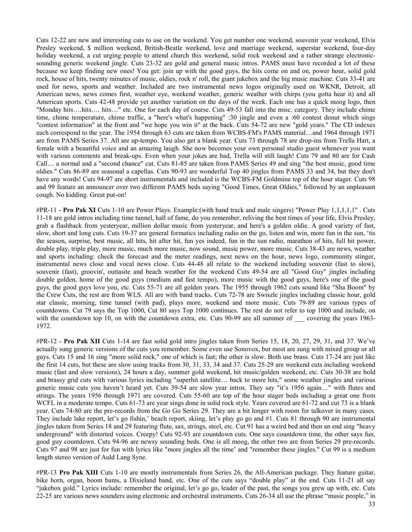Cuts 12-22 are new and interesting cuts to use on the weekend. You get number one weekend, souvenir year weekend, Elvis Presley weekend, \$ million weekend, British-Beatle weekend, love and marriage weekend, superstar weekend, four-day holiday weekend, a cut urging people to attend church this weekend, solid rock weekend and a rather strange electronicsounding generic weekend jingle. Cuts 23-32 are gold and general music intros. PAMS must have recorded a lot of these because we keep finding new ones! You get: join up with the good guys, the hits come on and on, power hour, solid gold rock, house of hits, twenty minutes of music, oldies, rock n' roll, the giant jukebox and the big music machine. Cuts 33-41 are used for news, sports and weather. Included are two instrumental news logos originally used on WKNR, Detroit, all American news, news comes first, weather eye, weekend weather, generic weather with chirps (you gotta hear it) and all American sports. Cuts 42-48 provide yet another variation on the days of the week. Each one has a quick moog logo, then "Monday hits….hits…. hits…" etc. One for each day of course. Cuts 49-53 fall into the misc. category. They include chime time, chime temperature, chime traffic, a "here's what's happening" :30 jingle and even a :60 contest donut which sings "contest information" at the front and "we hope you win it" at the back. Cuts 54-72 are new "gold years." The CD indexes each correspond to the year. The 1954 through 63 cuts are taken from WCBS-FM's PAMS material…and 1964 through 1971 are from PAMS Series 37. All are up-tempo. You also get a blank year. Cuts 73 through 78 are drop-ins from Trella Hart, a female with a beautiful voice and an amazing laugh. She now becomes your own personal studio guest whenever you want with various comments and break-ups. Even when your jokes are bad, Trella will still laugh! Cuts 79 and 80 are for Cash Call… a normal and a "second chance" cut. Cuts 81-85 are taken from PAMS Series 49 and sing "the best music, good time oldies." Cuts 86-89 are seasonal a capellas. Cuts 90-93 are wonderful Top 40 jingles from PAMS 33 and 34, but they don't have any words! Cuts 94-97 are short instrumentals and included is the WCBS-FM Goldmine top of the hour stager. Cuts 98 and 99 feature an announcer over two different PAMS beds saying "Good Times, Great Oldies," followed by an unpleasant cough. No kidding. Great put-on!

#PR-11 - **Pro Pak XI** Cuts 1-10 are Power Plays. Example:(with band track and male singers) "Power Play 1,1,1,1,1" . Cuts 11-18 are gold intros including time tunnel, hall of fame, do you remember, reliving the best times of your life, Elvis Presley, grab a flashback from yesteryear, million dollar music from yesteryear, and here's a golden oldie. A good variety of fast, slow, short and long cuts. Cuts 19-37 are general formatics including radio on the go, listen and win, more fun in the sun, 'tis the season, surprise, best music, all hits, hit after hit, fun yes indeed, fun in the sun radio, marathon of hits, full hit power, double play, triple play, more music, much more music, now sound, music power, more music. Cuts 38-43 are news, weather and sports including: check the forecast and the meter readings, next news on the hour, news logo, community stinger, instrumental news close and vocal news close. Cuts 44-48 all relate to the weekend including souvenir (fast to slow), souvenir (fast), groovin', outtasite and beach weather for the weekend Cuts 49-54 are all "Good Guy" jingles including double golden, home of the good guys (medium and fast tempo), more music with the good guys, here's one of the good guys, the good guys love you, etc. Cuts 55-71 are all golden years. The 1955 through 1962 cuts sound like "Sha Boom" by the Crew Cuts, the rest are from WLS. All are with band tracks. Cuts 72-78 are Swiszle jingles including classic hour, gold star classic, morning, time tunnel (with pad), plays more, weekend and more music. Cuts 79-89 are various types of countdowns. Cut 79 says the Top 1000, Cut 80 says Top 1000 continues. The rest do not refer to top 1000 and include, on with the countdown top 10, on with the countdown extra, etc. Cuts 90-99 are all summer of covering the years 1963-1972.

#PR-12 - **Pro Pak XII** Cuts 1-14 are fast solid gold intro jingles taken from Series 15, 18, 20, 27, 29, 31, and 37. We've actually sung generic versions of the cuts you remember. Some even use Sonovox, but most are sung with mixed group or all guys. Cuts 15 and 16 sing "more solid rock," one of which is fast; the other is slow. Both use brass. Cuts 17-24 are just like the first 14 cuts, but these are slow using tracks from 30, 31, 33, 34 and 37. Cuts 25-29 are weekend cuts including weekend music (fast and slow versions), 24 hours a day, summer gold weekend, hit music/golden weekend, etc. Cuts 30-38 are bold and brassy grid cuts with various lyrics including "superhit satellite… back to more hits," some weather jingles and various generic music cuts you haven't heard yet. Cuts 39-54 are slow year intros. They say "it's 1956 again…" with flutes and strings. The years 1956 through 1971 are covered. Cuts 55-60 are top of the hour stager beds including a great one from WCFL in a moderate tempo. Cuts 61-73 are year sings done in solid rock style. Years covered are 61-72 and cut 73 is a blank year. Cuts 74-80 are the pre-records from the Go Go Series 29. They are a bit longer with room for talkover in many cases. They include lake report, let's go fishin,' beach report, skiing, let's play go go and #1. Cuts 81 through 90 are instrumental jingles taken from Series 18 and 29 featuring flute, sax, strings, steel, etc. Cut 91 has a weird bed and then an end sing "heavy underground" with distorted voices. Creepy! Cuts 92-93 are countdown cuts. One says countdown time, the other says fun, good guy countdown. Cuts 94-96 are newsy sounding beds. One is all moog, the other two are from Series 29 pre-records. Cuts 97 and 98 are just for fun with lyrics like "more jingles all the time' and "remember these jingles." Cut 99 is a medium length stereo version of Auld Lang Syne.

#PR-13 **Pro Pak XIII** Cuts 1-10 are mostly instrumentals from Series 26, the All-American package. They feature guitar, bike horn, organ, boom bams, a Dixieland band, etc. One of the cuts says "double play" at the end. Cuts 11-21 all say "jukebox gold." Lyrics include: remember the original, let's go go, leader of the past, the songs you grew up with, etc. Cuts 22-25 are various news sounders using electronic and orchestral instruments. Cuts 26-34 all use the phrase "music people," in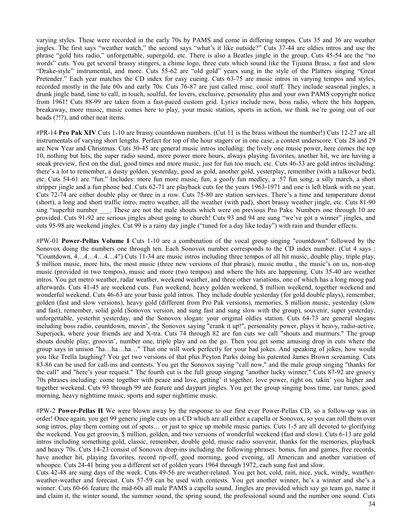varying styles. These were recorded in the early 70s by PAMS and come in differing tempos. Cuts 35 and 36 are weather jingles. The first says "weather watch," the second says "what's it like outside?" Cuts 37-44 are oldies intros and use the phrase "gold hits radio," unforgettable, supergold, etc. There is also a Beatles jingle in the group. Cuts 45-54 are the "no words" cuts. You get several brassy stingers, a chime logo, three cuts which sound like the Tijuana Brass, a fast and slow "Drake-style" instrumental, and more. Cuts 55-62 are "old gold" years sung in the style of the Platters singing "Great Pretender." Each year matches the CD index for easy cueing. Cuts 63-75 are music intros in varying tempos and styles, recorded mostly in the late 60s and early 70s. Cuts 76-87 are just called misc. cool stuff. They include seasonal jingles, a drunk jingle band, time to call, in touch, soulful, for lovers, exclusive, personality plus and your own PAMS copyright notice from 1961! Cuts 88-99 are taken from a fast-paced custom grid. Lyrics include now, boss radio, where the hits happen, breakaway, more music, music comes here to play, your music station, sports in action, we think we're going out of our heads (?!?), and other neat items.

#PR-14 **Pro Pak XIV** Cuts 1-10 are brassy countdown numbers. (Cut 11 is the brass without the number!) Cuts 12-27 are all instrumentals of varying short lengths. Perfect for top of the hour stagers or in one case, a contest underscore. Cuts 28 and 29 are New Year and Christmas. Cuts 30-45 are general music intros including: the lively one music power, here comes the top 10, nothing but hits, the super radio sound, more power more hours, always playing favorites, another hit, we are having a sneak preview, first on the dial, good times and more music, just for fun too much, etc. Cuts 46-53 are gold intros including: there's a lot to remember, a dusty golden, yesterday, good as gold, another gold, yesterplay, remember (with a talkover bed), etc. Cuts 54-61 are "fun." Includes: more fun more music, fun, a goofy fun medley, a :57 fun song, a silly march, a short stripper jingle and a fun phone bed. Cuts 62-71 are playback cuts for the years 1963-1971 and one is left blank with no year. Cuts 72-74 are either double play or three in a row. Cuts 75-80 are station services. There's a time and temperature donut (short), a long and short traffic intro, metro weather, all the weather (with pad), short brassy weather jingle, etc. Cuts 81-90 sing "superhit number \_\_\_.. These are not the male shouts which were on previous Pro Paks. Numbers one through 10 are provided. Cuts 91-92 are serious jingles about going to church! Cuts 93 and 94 are sung "we've got a winner" jingles, and cuts 95-98 are weekend jingles. Cut 99 is a rainy day jingle ("tuned for a day like today") with rain and thunder effects.

#PW-01 **Power-Pellas Volume I** Cuts 1-10 are a combination of the vocal group singing "countdown" followed by the Sonovox doing the numbers one through ten. Each Sonovox number corresponds to the CD index number. (Cut 4 says : "Countdown, 4…4…4…4…4") Cuts 11-34 are music intros including three tempos of all hit music, double play, triple play, \$ million music, more hits, the most music (three new versions of that phrase), music mutha , the music's on us, non-stop music (provided in two tempos), music and more (two tempos) and where the hits are happening. Cuts 35-40 are weather intros. You get metro weather, radar weather, weekend weather, and three other variations, one of which has a long moog pad afterwards. Cuts 41-45 are weekend cuts. Fun weekend, heavy golden weekend, \$ million weekend, together weekend and wonderful weekend. Cuts 46-63 are your basic gold intros. They include double yesterday (for gold double plays), remember, golden (fast and slow versions), heavy gold (different from Pro Pak versions), memories, \$ million music, yesterday (slow and fast), remember, solid gold (Sonovox version, and sung fast and sung slow with the group), souvenir, super yesterday, unforgettable, yesterhit yesterday, and the Sonovox slogan: your original oldies station. Cuts 64-73 are general slogans including boss radio, countdown, movin', the Sonovox saying "crank it up!", personality power, plays it heavy, radio-active, Superjock, where your friends are and X-tra. Cuts 74 through 82 are fun cuts we call "shouts and murmurs." The group shouts double play, groovin', number one, triple play and on the go. Then you get some amusing drop in cuts where the group says in unison "ha…ha…ha…" That one will work perfectly for your bad jokes. And speaking of jokes, how would you like Trella laughing? You get two versions of that plus Peyton Parks doing his patented James Brown screaming. Cuts 83-86 can be used for call-ins and contests. You get the Sonovox saying "call now," and the male group singing "thanks for the call" and "here's your request." The fourth cut is the full group singing "another lucky winner." Cuts 87-92 are groovy 70s phrases including: come together with peace and love, getting' it together, love power, right on, takin' you higher and together weekend. Cuts 93 through 99 are feature and daypart jingles. You get the group singing boss time, car tunes, good morning, heavy nighttime music, sports and super nighttime music.

#PW-2 **Power-Pellas II** We were blown away by the response to our first ever Power-Pellas CD, so a follow-up was in order! Once again, you get 99 generic jingle cuts on a CD which are all either a capella or Sonovox, so you can roll them over song intros, play them coming out of spots… or just to spice up mobile music parties. Cuts 1-5 are all devoted to glorifying the weekend. You get groovin, \$ million, golden, and two versions of wonderful weekend (fast and slow). Cuts 6-13 are gold intros including something gold, classic, remember, double gold, music radio souvenir, thanks for the memories, playback and heavy 70s. Cuts 14-23 consist of Sonovox drop-ins including the following phrases: bonus, fun and games, free records, have another hit, playing favorites, record rip-off, good morning, good evening, all American and another variation of whoopee. Cuts 24-41 bring you a different set of golden years 1964 through 1972, each sung fast and slow.

Cuts 42-48 are sung days of the week. Cuts 49-56 are weather-related. You get hot, cold, rain, nice, yuck, windy, weatherweather-weather and forecast. Cuts 57-59 can be used with contests. You get another winner, he's a winner and she's a winner. Cuts 60-66 feature the mid-60s all male PAMS a capella sound. Jingles are provided which say go team go, name it and claim it, the winter sound, the summer sound, the spring sound, the professional sound and the number one sound. Cuts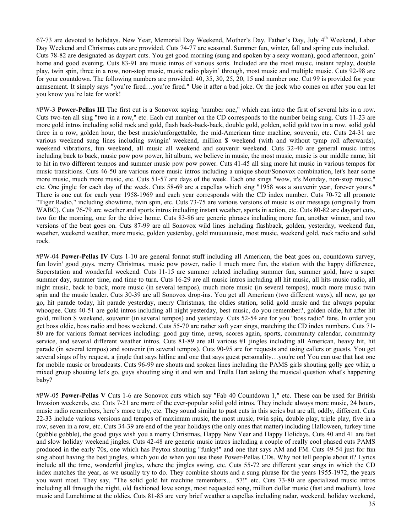67-73 are devoted to holidays. New Year, Memorial Day Weekend, Mother's Day, Father's Day, July 4<sup>th</sup> Weekend, Labor Day Weekend and Christmas cuts are provided. Cuts 74-77 are seasonal. Summer fun, winter, fall and spring cuts included. Cuts 78-82 are designated as daypart cuts. You get good morning (sung and spoken by a sexy woman), good afternoon, goin' home and good evening. Cuts 83-91 are music intros of various sorts. Included are the most music, instant replay, double play, twin spin, three in a row, non-stop music, music radio playin' through, most music and multiple music. Cuts 92-98 are for your countdown. The following numbers are provided: 40, 35, 30, 25, 20, 15 and number one. Cut 99 is provided for your amusement. It simply says "you're fired…you're fired." Use it after a bad joke. Or the jock who comes on after you can let you know you're late for work!

#PW-3 **Power-Pellas III** The first cut is a Sonovox saying "number one," which can intro the first of several hits in a row. Cuts two-ten all sing "two in a row," etc. Each cut number on the CD corresponds to the number being sung. Cuts 11-23 are more gold intros including solid rock and gold, flash back-back-back, double gold, golden, solid gold two in a row, solid gold three in a row, golden hour, the best music/unforgettable, the mid-American time machine, souvenir, etc. Cuts 24-31 are various weekend sung lines including swingin' weekend, million \$ weekend (with and without tymp roll afterwards), weekend vibrations, fun weekend, all music all weekend and souvenir weekend. Cuts 32-40 are general music intros including back to back, music pow pow power, hit album, we believe in music, the most music, music is our middle name, hit to hit in two different tempos and summer music pow pow power. Cuts 41-45 all sing more hit music in various tempos for music transitions. Cuts 46-50 are various more music intros including a unique shout/Sonovox combination, let's hear some more music, much more music, etc. Cuts 51-57 are days of the week. Each one sings "wow, it's Monday, non-stop music," etc. One jingle for each day of the week. Cuts 58-69 are a capellas which sing "1958 was a souvenir year, forever yours." There is one cut for each year 1958-1969 and each year corresponds with the CD index number. Cuts 70-72 all promote "Tiger Radio," including showtime, twin spin, etc. Cuts 73-75 are various versions of music is our message (originally from WABC). Cuts 76-79 are weather and sports intros including instant weather, sports in action, etc. Cuts 80-82 are daypart cuts, two for the morning, one for the drive home. Cuts 83-86 are generic phrases including more fun, another winner, and two versions of the beat goes on. Cuts 87-99 are all Sonovox wild lines including flashback, golden, yesterday, weekend fun, weather, weekend weather, more music, golden yesterday, gold muuuuuusic, most music, weekend gold, rock radio and solid rock.

#PW-04 **Power-Pellas IV** Cuts 1-10 are general format stuff including all American, the beat goes on, countdown survey, fun lovin' good guys, merry Christmas, music pow power, radio 1 much more fun, the station with the happy difference, Superstation and wonderful weekend. Cuts 11-15 are summer related including summer fun, summer gold, have a super summer day, summer time, and time to turn. Cuts 16-29 are all music intros including all hit music, all hits music radio, all night music, back to back, more music (in several tempos), much more music (in several tempos), much more music twin spin and the music leader. Cuts 30-39 are all Sonovox drop-ins. You get all American (two different ways), all new, go go go, hit parade today, hit parade yesterday, merry Christmas, the oldies station, solid gold music and the always popular whoopee. Cuts 40-51 are gold intros including all night yesterday, best music, do you remember?, golden oldie, hit after hit gold, million \$ weekend, souvenir (in several tempos) and yesterday. Cuts 52-54 are for you "boss radio" fans. In order you get boss oldie, boss radio and boss weekend. Cuts 55-70 are rather soft year sings, matching the CD index numbers. Cuts 71- 80 are for various format services including: good guy time, news, scores again, sports, community calendar, community service, and several different weather intros. Cuts 81-89 are all various #1 jingles including all American, heavy hit, hit parade (in several tempos) and souvenir (in several tempos). Cuts 90-95 are for requests and using callers or guests. You get several sings of by request, a jingle that says hitline and one that says guest personality...you're on! You can use that last one for mobile music or broadcasts. Cuts 96-99 are shouts and spoken lines including the PAMS girls shouting golly gee whiz, a mixed group shouting let's go, guys shouting sing it and win and Trella Hart asking the musical question what's happening baby?

#PW-05 **Power-Pellas V** Cuts 1-6 are Sonovox cuts which say "Fab 40 Countdown 1," etc. These can be used for British Invasion weekends, etc. Cuts 7-21 are more of the ever-popular solid gold intros. They include always more music, 24 hours, music radio remembers, here's more truly, etc. They sound similar to past cuts in this series but are all, oddly, different. Cuts 22-33 include various versions and tempos of maximum music, the most music, twin spin, double play, triple play, five in a row, seven in a row, etc. Cuts 34-39 are end of the year holidays (the only ones that matter) including Halloween, turkey time (gobble gobble), the good guys wish you a merry Christmas, Happy New Year and Happy Holidays. Cuts 40 and 41 are fast and slow holiday weekend jingles. Cuts 42-48 are generic music intros including a couple of really cool phased cuts PAMS produced in the early 70s, one which has Peyton shouting "funky!" and one that says AM and FM. Cuts 49-54 just for fun sing about having the best jingles, which you do when you use these Power-Pellas CDs. Why not tell people about it? Lyrics include all the time, wonderful jingles, where the jingles swing, etc. Cuts 55-72 are different year sings in which the CD index matches the year, as we usually try to do. They combine shouts and a sung phrase for the years 1955-1972, the years you want most. They say, "The solid gold hit machine remembers… 57!" etc. Cuts 73-80 are specialized music intros including all through the night, old fashioned love songs, most requested song, million dollar music (fast and medium), love music and Lunchtime at the oldies. Cuts 81-85 are very brief weather a capellas including radar, weekend, holiday weekend,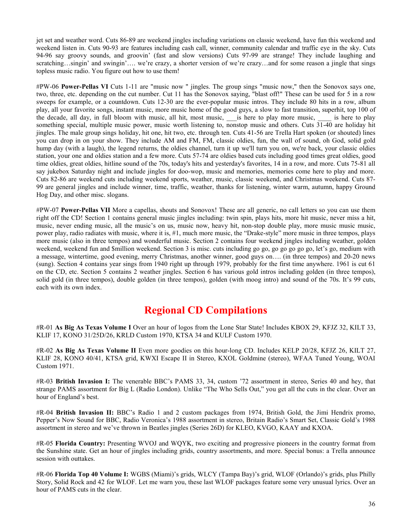jet set and weather word. Cuts 86-89 are weekend jingles including variations on classic weekend, have fun this weekend and weekend listen in. Cuts 90-93 are features including cash call, winner, community calendar and traffic eye in the sky. Cuts 94-96 say groovy sounds, and groovin' (fast and slow versions) Cuts 97-99 are strange! They include laughing and scratching…singin' and swingin'…. we're crazy, a shorter version of we're crazy…and for some reason a jingle that sings topless music radio. You figure out how to use them!

#PW-06 **Power-Pellas VI** Cuts 1-11 are "music now " jingles. The group sings "music now," then the Sonovox says one, two, three, etc. depending on the cut number. Cut 11 has the Sonovox saying, "blast off!" These can be used for 5 in a row sweeps for example, or a countdown. Cuts 12-30 are the ever-popular music intros. They include 80 hits in a row, album play, all your favorite songs, instant music, more music home of the good guys, a slow to fast transition, superhit, top 100 of the decade, all day, in full bloom with music, all hit, most music, \_\_\_\_is here to play more music, \_\_\_\_\_ is here to play something special, multiple music power, music worth listening to, nonstop music and others. Cuts 31-40 are holiday hit jingles. The male group sings holiday, hit one, hit two, etc. through ten. Cuts 41-56 are Trella Hart spoken (or shouted) lines you can drop in on your show. They include AM and FM, FM, classic oldies, fun, the wall of sound, oh God, solid gold hump day (with a laugh), the legend returns, the oldies channel, turn it up we'll turn you on, we're back, your classic oldies station, your one and oldies station and a few more. Cuts 57-74 are oldies based cuts including good times great oldies, good time oldies, great oldies, hitline sound of the 70s, today's hits and yesterday's favorites, 14 in a row, and more. Cuts 75-81 all say jukebox Saturday night and include jingles for doo-wop, music and memories, memories come here to play and more. Cuts 82-86 are weekend cuts including weekend sports, weather, music, classic weekend, and Christmas weekend. Cuts 87- 99 are general jingles and include winner, time, traffic, weather, thanks for listening, winter warm, autumn, happy Ground Hog Day, and other misc. slogans.

#PW-07 **Power-Pellas VII** More a capellas, shouts and Sonovox! These are all generic, no call letters so you can use them right off the CD! Section 1 contains general music jingles including: twin spin, plays hits, more hit music, never miss a hit, music, never ending music, all the music's on us, music now, heavy hit, non-stop double play, more music music music, power play, radio radiates with music, where it is, #1, much more music, the "Drake-style" more music in three tempos, plays more music (also in three tempos) and wonderful music. Section 2 contains four weekend jingles including weather, golden weekend, weekend fun and \$million weekend. Section 3 is misc. cuts including go go, go go go go go, let's go, medium with a message, wintertime, good evening, merry Christmas, another winner, good guys on…. (in three tempos) and 20-20 news (sung). Section 4 contains year sings from 1940 right up through 1979, probably for the first time anywhere. 1961 is cut 61 on the CD, etc. Section 5 contains 2 weather jingles. Section 6 has various gold intros including golden (in three tempos), solid gold (in three tempos), double golden (in three tempos), golden (with moog intro) and sound of the 70s. It's 99 cuts, each with its own index.

#### **Regional CD Compilations**

#R-01 **As Big As Texas Volume I** Over an hour of logos from the Lone Star State! Includes KBOX 29, KFJZ 32, KILT 33, KLIF 17, KONO 31/25D/26, KRLD Custom 1970, KTSA 34 and KULF Custom 1970.

#R-02 **As Big As Texas Volume II** Even more goodies on this hour-long CD. Includes KELP 20/28, KFJZ 26, KILT 27, KLIF 28, KONO 40/41, KTSA grid, KWXI Escape II in Stereo, KXOL Goldmine (stereo), WFAA Tuned Young, WOAI Custom 1971.

#R-03 **British Invasion I:** The venerable BBC's PAMS 33, 34, custom '72 assortment in stereo, Series 40 and hey, that strange PAMS assortment for Big L (Radio London). Unlike "The Who Sells Out," you get all the cuts in the clear. Over an hour of England's best.

#R-04 **British Invasion II:** BBC's Radio 1 and 2 custom packages from 1974, British Gold, the Jimi Hendrix promo, Pepper's Now Sound for BBC, Radio Veronica's 1988 assortment in stereo, Britain Radio's Smart Set, Classic Gold's 1988 assortment in stereo and we've thrown in Beatles jingles (Series 26D) for KLEO, KVGO, KAAY and KXOA.

#R-05 **Florida Country:** Presenting WVOJ and WQYK, two exciting and progressive pioneers in the country format from the Sunshine state. Get an hour of jingles including grids, country assortments, and more. Special bonus: a Trella announce session with outtakes.

#R-06 **Florida Top 40 Volume I:** WGBS (Miami)'s grids, WLCY (Tampa Bay)'s grid, WLOF (Orlando)'s grids, plus Philly Story, Solid Rock and 42 for WLOF. Let me warn you, these last WLOF packages feature some very unusual lyrics. Over an hour of PAMS cuts in the clear.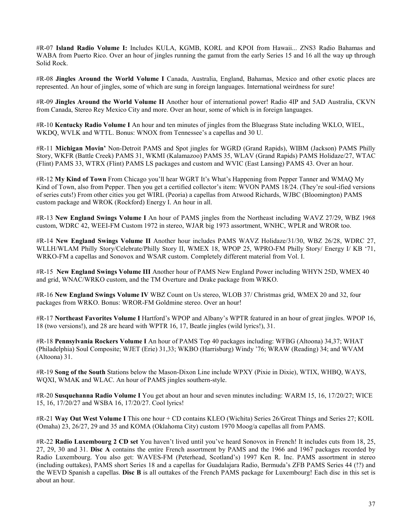#R-07 **Island Radio Volume I:** Includes KULA, KGMB, KORL and KPOI from Hawaii... ZNS3 Radio Bahamas and WABA from Puerto Rico. Over an hour of jingles running the gamut from the early Series 15 and 16 all the way up through Solid Rock.

#R-08 **Jingles Around the World Volume I** Canada, Australia, England, Bahamas, Mexico and other exotic places are represented. An hour of jingles, some of which are sung in foreign languages. International weirdness for sure!

#R-09 **Jingles Around the World Volume II** Another hour of international power! Radio 4IP and 5AD Australia, CKVN from Canada, Stereo Rey Mexico City and more. Over an hour, some of which is in foreign languages.

#R-10 **Kentucky Radio Volume I** An hour and ten minutes of jingles from the Bluegrass State including WKLO, WIEL, WKDQ, WVLK and WTTL. Bonus: WNOX from Tennessee's a capellas and 30 U.

#R-11 **Michigan Movin'** Non-Detroit PAMS and Spot jingles for WGRD (Grand Rapids), WIBM (Jackson) PAMS Philly Story, WKFR (Battle Creek) PAMS 31, WKMI (Kalamazoo) PAMS 35, WLAV (Grand Rapids) PAMS Holidaze/27, WTAC (Flint) PAMS 33, WTRX (Flint) PAMS LS packages and custom and WVIC (East Lansing) PAMS 43. Over an hour.

#R-12 **My Kind of Town** From Chicago you'll hear WGRT It's What's Happening from Pepper Tanner and WMAQ My Kind of Town, also from Pepper. Then you get a certified collector's item: WVON PAMS 18/24. (They're soul-ified versions of series cuts!) From other cities you get WIRL (Peoria) a capellas from Atwood Richards, WJBC (Bloomington) PAMS custom package and WROK (Rockford) Energy I. An hour in all.

#R-13 **New England Swings Volume I** An hour of PAMS jingles from the Northeast including WAVZ 27/29, WBZ 1968 custom, WDRC 42, WEEI-FM Custom 1972 in stereo, WJAR big 1973 assortment, WNHC, WPLR and WROR too.

#R-14 **New England Swings Volume II** Another hour includes PAMS WAVZ Holidaze/31/30, WBZ 26/28, WDRC 27, WLLH/WLAM Philly Story/Celebrate/Philly Story II, WMEX 18, WPOP 25, WPRO-FM Philly Story/ Energy I/ KB '71, WRKO-FM a capellas and Sonovox and WSAR custom. Completely different material from Vol. I.

#R-15 **New England Swings Volume III** Another hour of PAMS New England Power including WHYN 25D, WMEX 40 and grid, WNAC/WRKO custom, and the TM Overture and Drake package from WRKO.

#R-16 **New England Swings Volume IV** WBZ Count on Us stereo, WLOB 37/ Christmas grid, WMEX 20 and 32, four packages from WRKO. Bonus: WROR-FM Goldmine stereo. Over an hour!

#R-17 **Northeast Favorites Volume I** Hartford's WPOP and Albany's WPTR featured in an hour of great jingles. WPOP 16, 18 (two versions!), and 28 are heard with WPTR 16, 17, Beatle jingles (wild lyrics!), 31.

#R-18 **Pennsylvania Rockers Volume I** An hour of PAMS Top 40 packages including: WFBG (Altoona) 34,37; WHAT (Philadelphia) Soul Composite; WJET (Erie) 31,33; WKBO (Harrisburg) Windy '76; WRAW (Reading) 34; and WVAM (Altoona) 31.

#R-19 **Song of the South** Stations below the Mason-Dixon Line include WPXY (Pixie in Dixie), WTIX, WHBQ, WAYS, WQXI, WMAK and WLAC. An hour of PAMS jingles southern-style.

#R-20 **Susquehanna Radio Volume I** You get about an hour and seven minutes including: WARM 15, 16, 17/20/27; WICE 15, 16, 17/20/27 and WSBA 16, 17/20/27. Cool lyrics!

#R-21 **Way Out West Volume I** This one hour + CD contains KLEO (Wichita) Series 26/Great Things and Series 27; KOIL (Omaha) 23, 26/27, 29 and 35 and KOMA (Oklahoma City) custom 1970 Moog/a capellas all from PAMS.

#R-22 **Radio Luxembourg 2 CD set** You haven't lived until you've heard Sonovox in French! It includes cuts from 18, 25, 27, 29, 30 and 31. **Disc A** contains the entire French assortment by PAMS and the 1966 and 1967 packages recorded by Radio Luxembourg. You also get: WAVES-FM (Peterhead, Scotland's) 1997 Ken R. Inc. PAMS assortment in stereo (including outtakes), PAMS short Series 18 and a capellas for Guadalajara Radio, Bermuda's ZFB PAMS Series 44 (!?) and the WEVD Spanish a capellas. **Disc B** is all outtakes of the French PAMS package for Luxembourg! Each disc in this set is about an hour.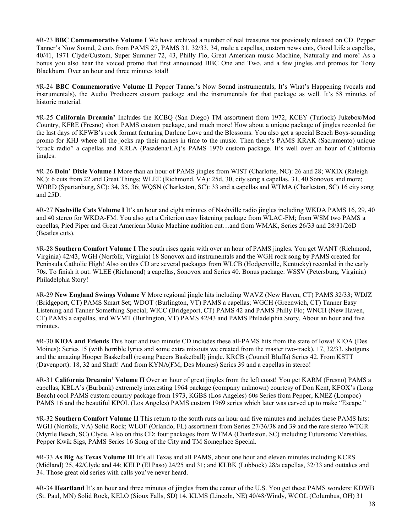#R-23 **BBC Commemorative Volume I** We have archived a number of real treasures not previously released on CD. Pepper Tanner's Now Sound, 2 cuts from PAMS 27, PAMS 31, 32/33, 34, male a capellas, custom news cuts, Good Life a capellas, 40/41, 1971 Clyde/Custom, Super Summer 72, 43, Philly Flo, Great American music Machine, Naturally and more! As a bonus you also hear the voiced promo that first announced BBC One and Two, and a few jingles and promos for Tony Blackburn. Over an hour and three minutes total!

#R-24 **BBC Commemorative Volume II** Pepper Tanner's Now Sound instrumentals, It's What's Happening (vocals and instrumentals), the Audio Producers custom package and the instrumentals for that package as well. It's 58 minutes of historic material.

#R-25 **California Dreamin'** Includes the KCBQ (San Diego) TM assortment from 1972, KCEY (Turlock) Jukebox/Mod Country, KFRE (Fresno) short PAMS custom package, and much more! How about a unique package of jingles recorded for the last days of KFWB's rock format featuring Darlene Love and the Blossoms. You also get a special Beach Boys-sounding promo for KHJ where all the jocks rap their names in time to the music. Then there's PAMS KRAK (Sacramento) unique "crack radio" a capellas and KRLA (Pasadena/LA)'s PAMS 1970 custom package. It's well over an hour of California jingles.

#R-26 **Doin' Dixie Volume I** More than an hour of PAMS jingles from WIST (Charlotte, NC): 26 and 28; WKIX (Raleigh NC): 6 cuts from 22 and Great Things; WLEE (Richmond, VA): 25d, 30, city song a capellas, 31, 40 Sonovox and more; WORD (Spartanburg, SC): 34, 35, 36; WQSN (Charleston, SC): 33 and a capellas and WTMA (Charleston, SC) 16 city song and 25D.

#R-27 **Nashville Cats Volume I** It's an hour and eight minutes of Nashville radio jingles including WKDA PAMS 16, 29, 40 and 40 stereo for WKDA-FM. You also get a Criterion easy listening package from WLAC-FM; from WSM two PAMS a capellas, Pied Piper and Great American Music Machine audition cut…and from WMAK, Series 26/33 and 28/31/26D (Beatles cuts).

#R-28 **Southern Comfort Volume I** The south rises again with over an hour of PAMS jingles. You get WANT (Richmond, Virginia) 42/43, WGH (Norfolk, Virginia) 18 Sonovox and instrumentals and the WGH rock song by PAMS created for Peninsula Catholic High! Also on this CD are several packages from WLCB (Hodgenville, Kentucky) recorded in the early 70s. To finish it out: WLEE (Richmond) a capellas, Sonovox and Series 40. Bonus package: WSSV (Petersburg, Virginia) Philadelphia Story!

#R-29 **New England Swings Volume V** More regional jingle hits including WAVZ (New Haven, CT) PAMS 32/33; WDJZ (Bridgeport, CT) PAMS Smart Set; WDOT (Burlington, VT) PAMS a capellas; WGCH (Greenwich, CT) Tanner Easy Listening and Tanner Something Special; WICC (Bridgeport, CT) PAMS 42 and PAMS Philly Flo; WNCH (New Haven, CT) PAMS a capellas, and WVMT (Burlington, VT) PAMS 42/43 and PAMS Philadelphia Story. About an hour and five minutes.

#R-30 **KIOA and Friends** This hour and two minute CD includes these all-PAMS hits from the state of Iowa! KIOA (Des Moines): Series 15 (with horrible lyrics and some extra mixouts we created from the master two-track), 17, 32/33, shotguns and the amazing Hooper Basketball (resung Pacers Basketball) jingle. KRCB (Council Bluffs) Series 42. From KSTT (Davenport): 18, 32 and Shaft! And from KYNA(FM, Des Moines) Series 39 and a capellas in stereo!

#R-31 **California Dreamin' Volume II** Over an hour of great jingles from the left coast! You get KARM (Fresno) PAMS a capellas, KBLA's (Burbank) extremely interesting 1964 package (company unknown) courtesy of Don Kent, KFOX's (Long Beach) cool PAMS custom country package from 1973, KGBS (Los Angeles) 60s Series from Pepper, KNEZ (Lompoc) PAMS 16 and the beautiful KPOL (Los Angeles) PAMS custom 1969 series which later was carved up to make "Escape."

#R-32 **Southern Comfort Volume II** This return to the south runs an hour and five minutes and includes these PAMS hits: WGH (Norfolk, VA) Solid Rock; WLOF (Orlando, FL) assortment from Series 27/36/38 and 39 and the rare stereo WTGR (Myrtle Beach, SC) Clyde. Also on this CD: four packages from WTMA (Charleston, SC) including Futursonic Versatiles, Pepper Kwik Sigs, PAMS Series 16 Song of the City and TM Someplace Special.

#R-33 **As Big As Texas Volume III** It's all Texas and all PAMS, about one hour and eleven minutes including KCRS (Midland) 25, 42/Clyde and 44; KELP (El Paso) 24/25 and 31; and KLBK (Lubbock) 28/a capellas, 32/33 and outtakes and 34. Those great old series with calls you've never heard.

#R-34 **Heartland** It's an hour and three minutes of jingles from the center of the U.S. You get these PAMS wonders: KDWB (St. Paul, MN) Solid Rock, KELO (Sioux Falls, SD) 14, KLMS (Lincoln, NE) 40/48/Windy, WCOL (Columbus, OH) 31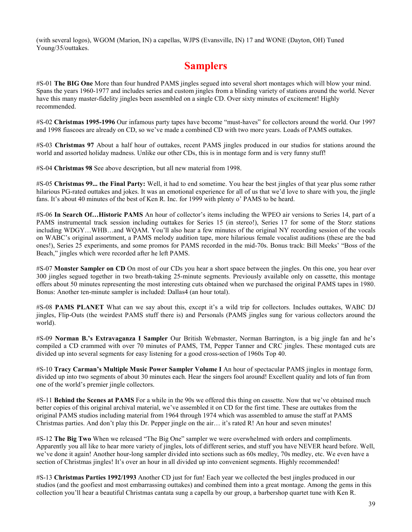(with several logos), WGOM (Marion, IN) a capellas, WJPS (Evansville, IN) 17 and WONE (Dayton, OH) Tuned Young/35/outtakes.

# **Samplers**

#S-01 **The BIG One** More than four hundred PAMS jingles segued into several short montages which will blow your mind. Spans the years 1960-1977 and includes series and custom jingles from a blinding variety of stations around the world. Never have this many master-fidelity jingles been assembled on a single CD. Over sixty minutes of excitement! Highly recommended.

#S-02 **Christmas 1995-1996** Our infamous party tapes have become "must-haves" for collectors around the world. Our 1997 and 1998 fiascoes are already on CD, so we've made a combined CD with two more years. Loads of PAMS outtakes.

#S-03 **Christmas 97** About a half hour of outtakes, recent PAMS jingles produced in our studios for stations around the world and assorted holiday madness. Unlike our other CDs, this is in montage form and is very funny stuff!

#S-04 **Christmas 98** See above description, but all new material from 1998.

#S-05 **Christmas 99... the Final Party:** Well, it had to end sometime. You hear the best jingles of that year plus some rather hilarious PG-rated outtakes and jokes. It was an emotional experience for all of us that we'd love to share with you, the jingle fans. It's about 40 minutes of the best of Ken R. Inc. for 1999 with plenty o' PAMS to be heard.

#S-06 **In Search Of…Historic PAMS** An hour of collector's items including the WPEO air versions to Series 14, part of a PAMS instrumental track session including outtakes for Series 15 (in stereo!), Series 17 for some of the Storz stations including WDGY…WHB…and WQAM. You'll also hear a few minutes of the original NY recording session of the vocals on WABC's original assortment, a PAMS melody audition tape, more hilarious female vocalist auditions (these are the bad ones!), Series 25 experiments, and some promos for PAMS recorded in the mid-70s. Bonus track: Bill Meeks' "Boss of the Beach," jingles which were recorded after he left PAMS.

#S-07 **Monster Sampler on CD** On most of our CDs you hear a short space between the jingles. On this one, you hear over 300 jingles segued together in two breath-taking 25-minute segments. Previously available only on cassette, this montage offers about 50 minutes representing the most interesting cuts obtained when we purchased the original PAMS tapes in 1980. Bonus: Another ten-minute sampler is included: Dallas4 (an hour total).

#S-08 **PAMS PLANET** What can we say about this, except it's a wild trip for collectors. Includes outtakes, WABC DJ jingles, Flip-Outs (the weirdest PAMS stuff there is) and Personals (PAMS jingles sung for various collectors around the world).

#S-09 **Norman B.'s Extravaganza I Sampler** Our British Webmaster, Norman Barrington, is a big jingle fan and he's compiled a CD crammed with over 70 minutes of PAMS, TM, Pepper Tanner and CRC jingles. These montaged cuts are divided up into several segments for easy listening for a good cross-section of 1960s Top 40.

#S-10 **Tracy Carman's Multiple Music Power Sampler Volume I** An hour of spectacular PAMS jingles in montage form, divided up into two segments of about 30 minutes each. Hear the singers fool around! Excellent quality and lots of fun from one of the world's premier jingle collectors.

#S-11 **Behind the Scenes at PAMS** For a while in the 90s we offered this thing on cassette. Now that we've obtained much better copies of this original archival material, we've assembled it on CD for the first time. These are outtakes from the original PAMS studios including material from 1964 through 1974 which was assembled to amuse the staff at PAMS Christmas parties. And don't play this Dr. Pepper jingle on the air… it's rated R! An hour and seven minutes!

#S-12 **The Big Two** When we released "The Big One" sampler we were overwhelmed with orders and compliments. Apparently you all like to hear more variety of jingles, lots of different series, and stuff you have NEVER heard before. Well, we've done it again! Another hour-long sampler divided into sections such as 60s medley, 70s medley, etc. We even have a section of Christmas jingles! It's over an hour in all divided up into convenient segments. Highly recommended!

#S-13 **Christmas Parties 1992/1993** Another CD just for fun! Each year we collected the best jingles produced in our studios (and the goofiest and most embarrassing outtakes) and combined them into a great montage. Among the gems in this collection you'll hear a beautiful Christmas cantata sung a capella by our group, a barbershop quartet tune with Ken R.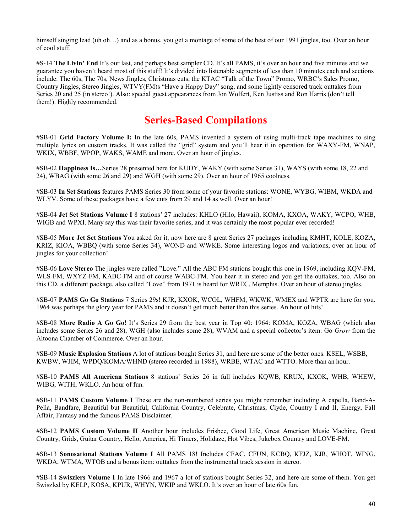himself singing lead (uh oh...) and as a bonus, you get a montage of some of the best of our 1991 jingles, too. Over an hour of cool stuff.

#S-14 **The Livin' End** It's our last, and perhaps best sampler CD. It's all PAMS, it's over an hour and five minutes and we guarantee you haven't heard most of this stuff! It's divided into listenable segments of less than 10 minutes each and sections include: The 60s, The 70s, News Jingles, Christmas cuts, the KTAC "Talk of the Town" Promo, WRBC's Sales Promo, Country Jingles, Stereo Jingles, WTVY(FM)s "Have a Happy Day" song, and some lightly censored track outtakes from Series 20 and 25 (in stereo!). Also: special guest appearances from Jon Wolfert, Ken Justiss and Ron Harris (don't tell them!). Highly recommended.

### **Series-Based Compilations**

#SB-01 **Grid Factory Volume I:** In the late 60s, PAMS invented a system of using multi-track tape machines to sing multiple lyrics on custom tracks. It was called the "grid" system and you'll hear it in operation for WAXY-FM, WNAP, WKIX, WBBF, WPOP, WAKS, WAME and more. Over an hour of jingles.

#SB-02 **Happiness Is…**Series 28 presented here for KUDY, WAKY (with some Series 31), WAYS (with some 18, 22 and 24), WBAG (with some 26 and 29) and WGH (with some 29). Over an hour of 1965 coolness.

#SB-03 **In Set Stations** features PAMS Series 30 from some of your favorite stations: WONE, WYBG, WIBM, WKDA and WLYV. Some of these packages have a few cuts from 29 and 14 as well. Over an hour!

#SB-04 **Jet Set Stations Volume I** 8 stations' 27 includes: KHLO (Hilo, Hawaii), KOMA, KXOA, WAKY, WCPO, WHB, WIGB and WPXI. Many say this was their favorite series, and it was certainly the most popular ever recorded!

#SB-05 **More Jet Set Stations** You asked for it, now here are 8 great Series 27 packages including KMHT, KOLE, KOZA, KRIZ, KIOA, WBBQ (with some Series 34), WOND and WWKE. Some interesting logos and variations, over an hour of jingles for your collection!

#SB-06 **Love Stereo** The jingles were called "Love." All the ABC FM stations bought this one in 1969, including KQV-FM, WLS-FM, WXYZ-FM, KABC-FM and of course WABC-FM. You hear it in stereo and you get the outtakes, too. Also on this CD, a different package, also called "Love" from 1971 is heard for WREC, Memphis. Over an hour of stereo jingles.

#SB-07 **PAMS Go Go Stations** 7 Series 29s! KJR, KXOK, WCOL, WHFM, WKWK, WMEX and WPTR are here for you. 1964 was perhaps the glory year for PAMS and it doesn't get much better than this series. An hour of hits!

#SB-08 **More Radio A Go Go!** It's Series 29 from the best year in Top 40: 1964: KOMA, KOZA, WBAG (which also includes some Series 26 and 28), WGH (also includes some 28), WVAM and a special collector's item: Go *Grow* from the Altoona Chamber of Commerce. Over an hour.

#SB-09 **Music Explosion Stations** A lot of stations bought Series 31, and here are some of the better ones. KSEL, WSBB, KWBW, WJIM, WPDQ/KOMA/WHND (stereo recorded in 1988), WRBE, WTAC and WTTO. More than an hour.

#SB-10 **PAMS All American Stations** 8 stations' Series 26 in full includes KQWB, KRUX, KXOK, WHB, WHEW, WIBG, WITH, WKLO. An hour of fun.

#SB-11 **PAMS Custom Volume I** These are the non-numbered series you might remember including A capella, Band-A-Pella, Bandfare, Beautiful but Beautiful, California Country, Celebrate, Christmas, Clyde, Country I and II, Energy, Fall Affair, Fantasy and the famous PAMS Disclaimer.

#SB-12 **PAMS Custom Volume II** Another hour includes Frisbee, Good Life, Great American Music Machine, Great Country, Grids, Guitar Country, Hello, America, Hi Timers, Holidaze, Hot Vibes, Jukebox Country and LOVE-FM.

#SB-13 **Sonosational Stations Volume I** All PAMS 18! Includes CFAC, CFUN, KCBQ, KFJZ, KJR, WHOT, WING, WKDA, WTMA, WTOB and a bonus item: outtakes from the instrumental track session in stereo.

#SB-14 **Swiszlers Volume I** In late 1966 and 1967 a lot of stations bought Series 32, and here are some of them. You get Swiszled by KELP, KOSA, KPUR, WHYN, WKIP and WKLO. It's over an hour of late 60s fun.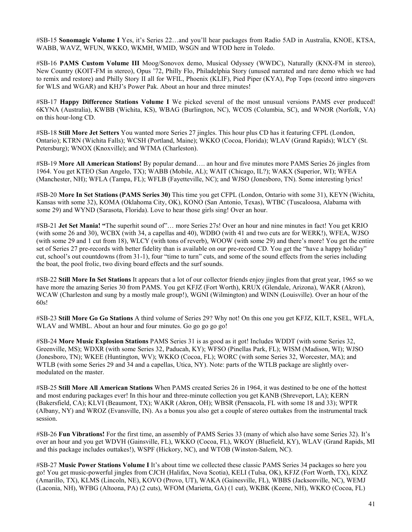#SB-15 **Sonomagic Volume I** Yes, it's Series 22…and you'll hear packages from Radio 5AD in Australia, KNOE, KTSA, WABB, WAVZ, WFUN, WKKO, WKMH, WMID, WSGN and WTOD here in Toledo.

#SB-16 **PAMS Custom Volume III** Moog/Sonovox demo, Musical Odyssey (WWDC), Naturally (KNX-FM in stereo), New Country (KOIT-FM in stereo), Opus '72, Philly Flo, Philadelphia Story (unused narrated and rare demo which we had to remix and restore) and Philly Story II all for WFIL, Phoenix (KLIF), Pied Piper (KYA), Pop Tops (record intro singovers for WLS and WGAR) and KHJ's Power Pak. About an hour and three minutes!

#SB-17 **Happy Difference Stations Volume I** We picked several of the most unusual versions PAMS ever produced! 6KYNA (Australia), KWBB (Wichita, KS), WBAG (Burlington, NC), WCOS (Columbia, SC), and WNOR (Norfolk, VA) on this hour-long CD.

#SB-18 **Still More Jet Setters** You wanted more Series 27 jingles. This hour plus CD has it featuring CFPL (London, Ontario); KTRN (Wichita Falls); WCSH (Portland, Maine); WKKO (Cocoa, Florida); WLAV (Grand Rapids); WLCY (St. Petersburg); WNOX (Knoxville); and WTMA (Charleston).

#SB-19 **More All American Stations!** By popular demand…. an hour and five minutes more PAMS Series 26 jingles from 1964. You get KTEO (San Angelo, TX); WABB (Mobile, AL); WAIT (Chicago, IL?); WAKX (Superior, WI); WFEA (Manchester, NH); WFLA (Tampa, FL); WFLB (Fayetteville, NC); and WJSO (Jonesboro, TN). Some interesting lyrics!

#SB-20 **More In Set Stations (PAMS Series 30)** This time you get CFPL (London, Ontario with some 31), KEYN (Wichita, Kansas with some 32), KOMA (Oklahoma City, OK), KONO (San Antonio, Texas), WTBC (Tuscaloosa, Alabama with some 29) and WYND (Sarasota, Florida). Love to hear those girls sing! Over an hour.

#SB-21 **Jet Set Mania! "**The superhit sound of"… more Series 27s! Over an hour and nine minutes in fact! You get KRIO (with some 26 and 30), WCBX (with 34, a capellas and 40), WDBO (with 41 and two cuts are for WERK!), WFEA, WJSO (with some 29 and 1 cut from 18), WLCY (with tons of reverb), WOOW (with some 29) and there's more! You get the entire set of Series 27 pre-records with better fidelity than is available on our pre-record CD. You get the "have a happy holiday" cut, school's out countdowns (from 31-1), four "time to turn" cuts, and some of the sound effects from the series including the boat, the pool frolic, two diving board effects and the surf sounds.

#SB-22 **Still More In Set Stations** It appears that a lot of our collector friends enjoy jingles from that great year, 1965 so we have more the amazing Series 30 from PAMS. You get KFJZ (Fort Worth), KRUX (Glendale, Arizona), WAKR (Akron), WCAW (Charleston and sung by a mostly male group!), WGNI (Wilmington) and WINN (Louisville). Over an hour of the 60s!

#SB-23 **Still More Go Go Stations** A third volume of Series 29? Why not! On this one you get KFJZ, KILT, KSEL, WFLA, WLAV and WMBL. About an hour and four minutes. Go go go go go!

#SB-24 **More Music Explosion Stations** PAMS Series 31 is as good as it got! Includes WDDT (with some Series 32, Greenville, MS); WDXR (with some Series 32, Paducah, KY); WFSO (Pinellas Park, FL); WISM (Madison, WI); WJSO (Jonesboro, TN); WKEE (Huntington, WV); WKKO (Cocoa, FL); WORC (with some Series 32, Worcester, MA); and WTLB (with some Series 29 and 34 and a capellas, Utica, NY). Note: parts of the WTLB package are slightly overmodulated on the master.

#SB-25 **Still More All American Stations** When PAMS created Series 26 in 1964, it was destined to be one of the hottest and most enduring packages ever! In this hour and three-minute collection you get KANB (Shreveport, LA); KERN (Bakersfield, CA); KLVI (Beaumont, TX); WAKR (Akron, OH); WBSR (Pensacola, FL with some 18 and 33); WPTR (Albany, NY) and WROZ (Evansville, IN). As a bonus you also get a couple of stereo outtakes from the instrumental track session.

#SB-26 **Fun Vibrations!** For the first time, an assembly of PAMS Series 33 (many of which also have some Series 32). It's over an hour and you get WDVH (Gainsville, FL), WKKO (Cocoa, FL), WKOY (Bluefield, KY), WLAV (Grand Rapids, MI and this package includes outtakes!), WSPF (Hickory, NC), and WTOB (Winston-Salem, NC).

#SB-27 **Music Power Stations Volume I** It's about time we collected these classic PAMS Series 34 packages so here you go! You get music-powerful jingles from CJCH (Halifax, Nova Scotia), KELI (Tulsa, OK), KFJZ (Fort Worth, TX), KIXZ (Amarillo, TX), KLMS (Lincoln, NE), KOVO (Provo, UT), WAKA (Gainesville, FL), WBBS (Jacksonville, NC), WEMJ (Laconia, NH), WFBG (Altoona, PA) (2 cuts), WFOM (Marietta, GA) (1 cut), WKBK (Keene, NH), WKKO (Cocoa, FL)